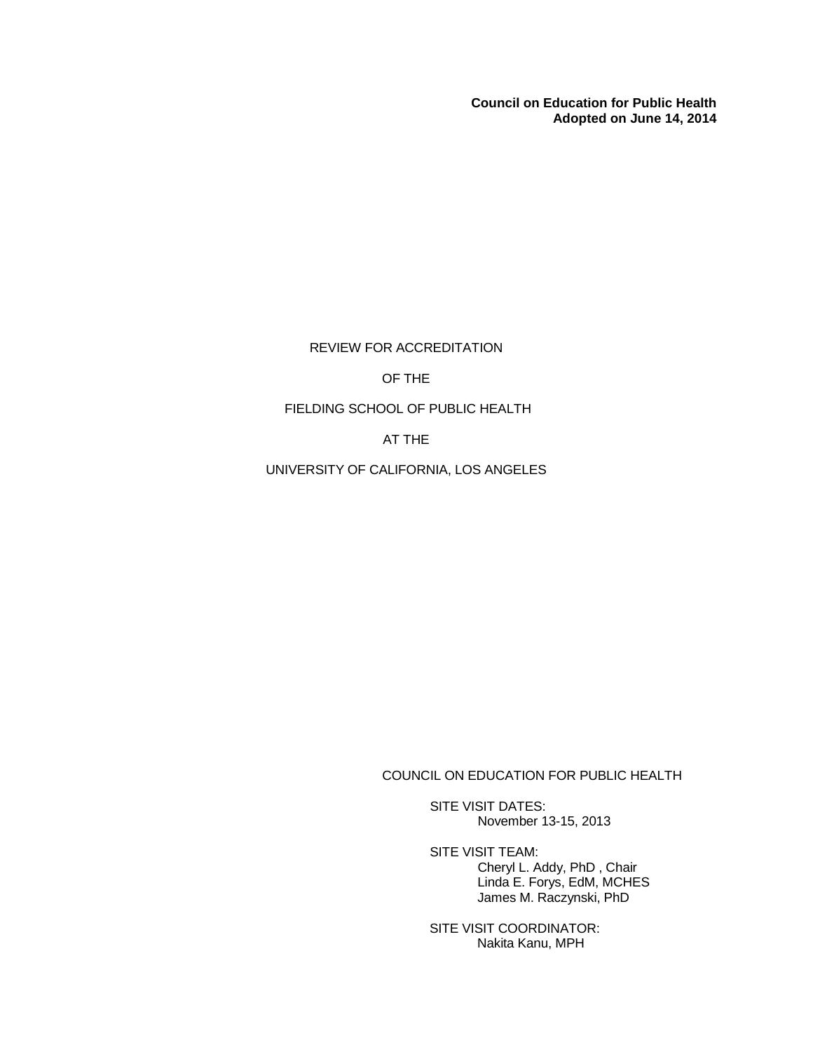**Council on Education for Public Health Adopted on June 14, 2014**

REVIEW FOR ACCREDITATION

OF THE

### FIELDING SCHOOL OF PUBLIC HEALTH

AT THE

UNIVERSITY OF CALIFORNIA, LOS ANGELES

COUNCIL ON EDUCATION FOR PUBLIC HEALTH

SITE VISIT DATES: November 13-15, 2013

SITE VISIT TEAM: Cheryl L. Addy, PhD , Chair Linda E. Forys, EdM, MCHES James M. Raczynski, PhD

SITE VISIT COORDINATOR: Nakita Kanu, MPH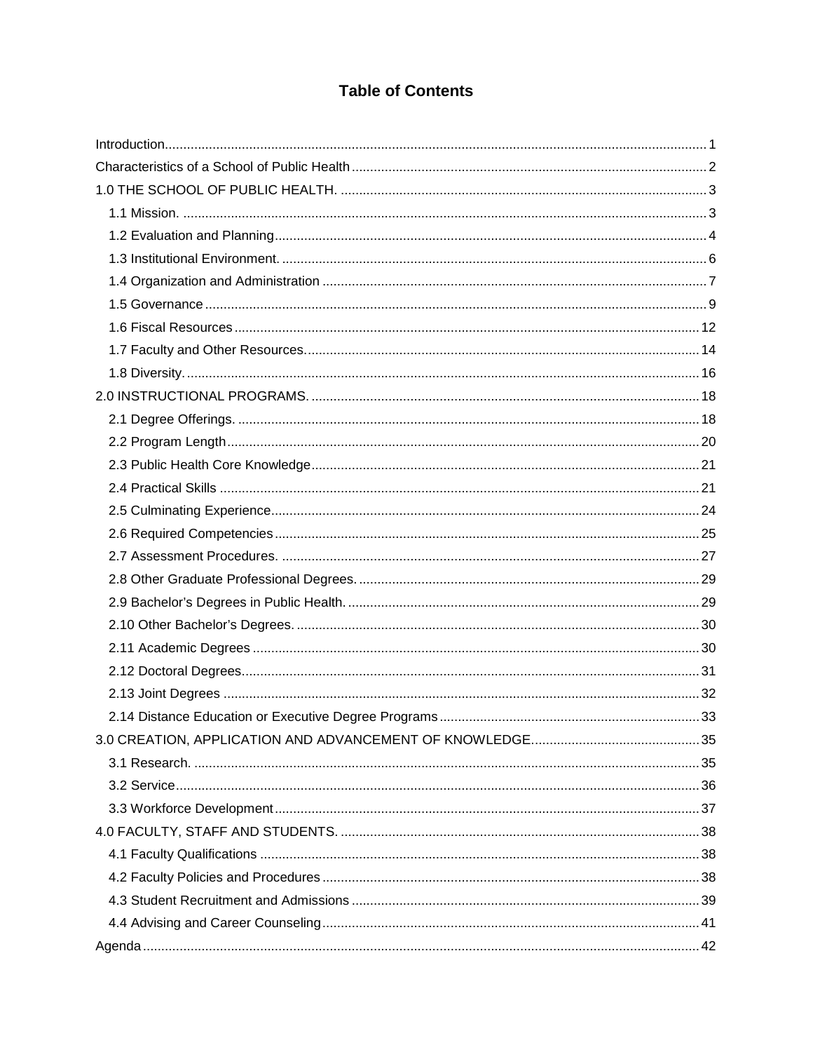# **Table of Contents**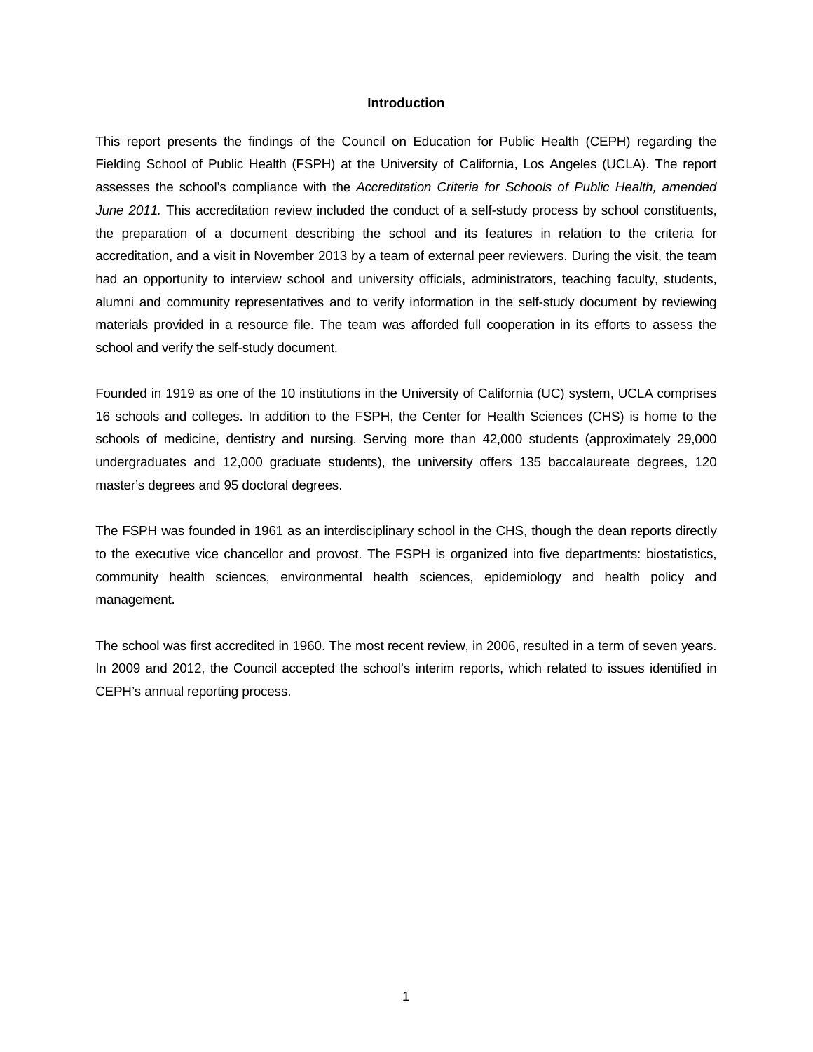### **Introduction**

<span id="page-2-0"></span>This report presents the findings of the Council on Education for Public Health (CEPH) regarding the Fielding School of Public Health (FSPH) at the University of California, Los Angeles (UCLA). The report assesses the school's compliance with the *Accreditation Criteria for Schools of Public Health, amended June 2011.* This accreditation review included the conduct of a self-study process by school constituents, the preparation of a document describing the school and its features in relation to the criteria for accreditation, and a visit in November 2013 by a team of external peer reviewers. During the visit, the team had an opportunity to interview school and university officials, administrators, teaching faculty, students, alumni and community representatives and to verify information in the self-study document by reviewing materials provided in a resource file. The team was afforded full cooperation in its efforts to assess the school and verify the self-study document.

Founded in 1919 as one of the 10 institutions in the University of California (UC) system, UCLA comprises 16 schools and colleges. In addition to the FSPH, the Center for Health Sciences (CHS) is home to the schools of medicine, dentistry and nursing. Serving more than 42,000 students (approximately 29,000 undergraduates and 12,000 graduate students), the university offers 135 baccalaureate degrees, 120 master's degrees and 95 doctoral degrees.

The FSPH was founded in 1961 as an interdisciplinary school in the CHS, though the dean reports directly to the executive vice chancellor and provost. The FSPH is organized into five departments: biostatistics, community health sciences, environmental health sciences, epidemiology and health policy and management.

The school was first accredited in 1960. The most recent review, in 2006, resulted in a term of seven years. In 2009 and 2012, the Council accepted the school's interim reports, which related to issues identified in CEPH's annual reporting process.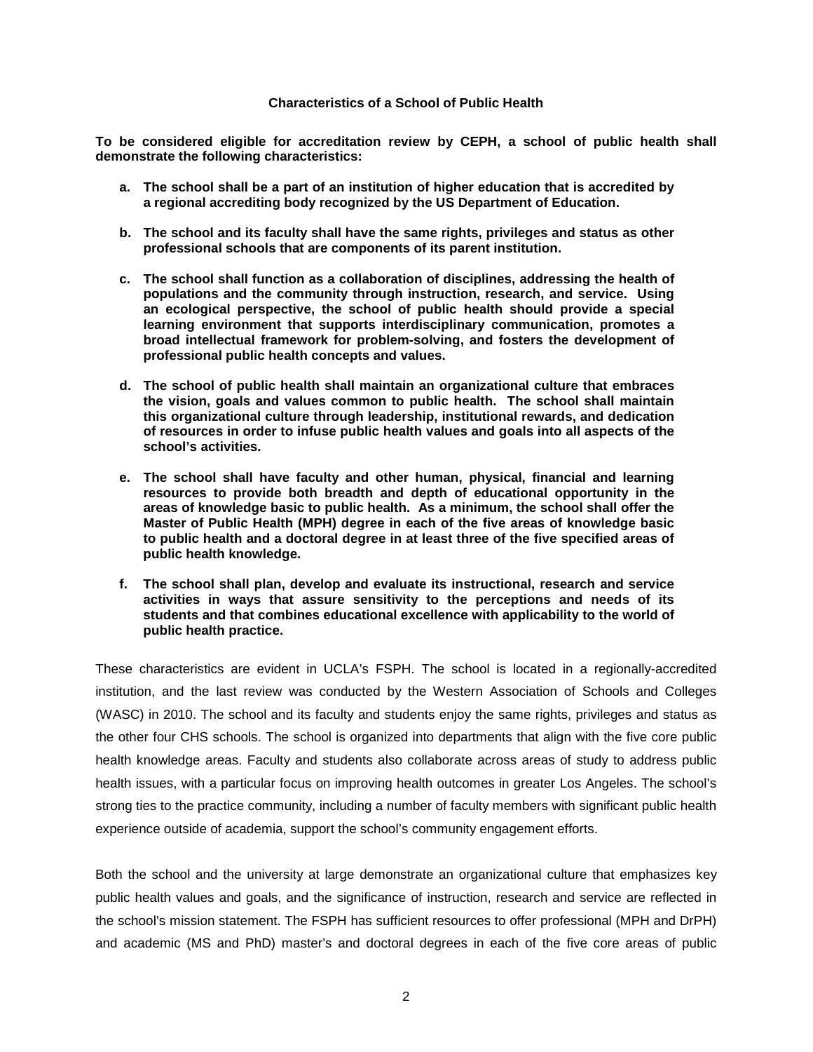### **Characteristics of a School of Public Health**

<span id="page-3-0"></span>**To be considered eligible for accreditation review by CEPH, a school of public health shall demonstrate the following characteristics:**

- **a. The school shall be a part of an institution of higher education that is accredited by a regional accrediting body recognized by the US Department of Education.**
- **b. The school and its faculty shall have the same rights, privileges and status as other professional schools that are components of its parent institution.**
- **c. The school shall function as a collaboration of disciplines, addressing the health of populations and the community through instruction, research, and service. Using an ecological perspective, the school of public health should provide a special learning environment that supports interdisciplinary communication, promotes a broad intellectual framework for problem-solving, and fosters the development of professional public health concepts and values.**
- **d. The school of public health shall maintain an organizational culture that embraces the vision, goals and values common to public health. The school shall maintain this organizational culture through leadership, institutional rewards, and dedication of resources in order to infuse public health values and goals into all aspects of the school's activities.**
- **e. The school shall have faculty and other human, physical, financial and learning resources to provide both breadth and depth of educational opportunity in the areas of knowledge basic to public health. As a minimum, the school shall offer the Master of Public Health (MPH) degree in each of the five areas of knowledge basic to public health and a doctoral degree in at least three of the five specified areas of public health knowledge.**
- **f. The school shall plan, develop and evaluate its instructional, research and service activities in ways that assure sensitivity to the perceptions and needs of its students and that combines educational excellence with applicability to the world of public health practice.**

These characteristics are evident in UCLA's FSPH. The school is located in a regionally-accredited institution, and the last review was conducted by the Western Association of Schools and Colleges (WASC) in 2010. The school and its faculty and students enjoy the same rights, privileges and status as the other four CHS schools. The school is organized into departments that align with the five core public health knowledge areas. Faculty and students also collaborate across areas of study to address public health issues, with a particular focus on improving health outcomes in greater Los Angeles. The school's strong ties to the practice community, including a number of faculty members with significant public health experience outside of academia, support the school's community engagement efforts.

Both the school and the university at large demonstrate an organizational culture that emphasizes key public health values and goals, and the significance of instruction, research and service are reflected in the school's mission statement. The FSPH has sufficient resources to offer professional (MPH and DrPH) and academic (MS and PhD) master's and doctoral degrees in each of the five core areas of public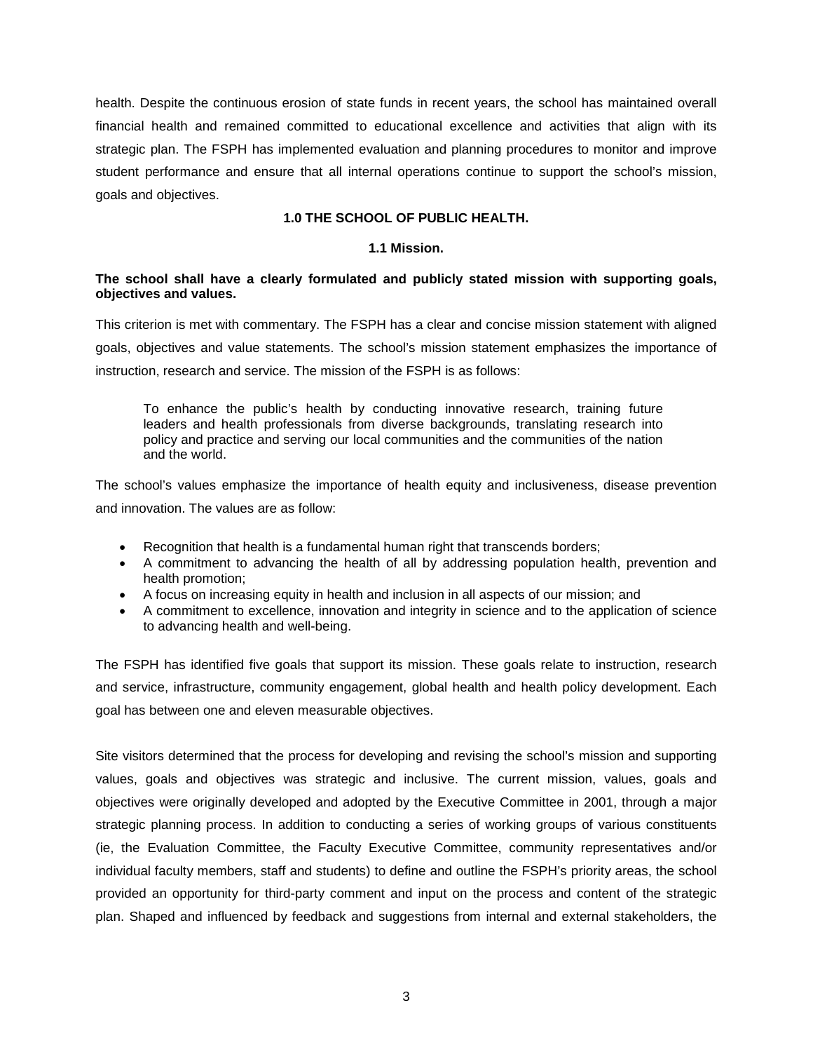health. Despite the continuous erosion of state funds in recent years, the school has maintained overall financial health and remained committed to educational excellence and activities that align with its strategic plan. The FSPH has implemented evaluation and planning procedures to monitor and improve student performance and ensure that all internal operations continue to support the school's mission, goals and objectives.

## **1.0 THE SCHOOL OF PUBLIC HEALTH.**

## **1.1 Mission.**

## <span id="page-4-1"></span><span id="page-4-0"></span>**The school shall have a clearly formulated and publicly stated mission with supporting goals, objectives and values.**

This criterion is met with commentary. The FSPH has a clear and concise mission statement with aligned goals, objectives and value statements. The school's mission statement emphasizes the importance of instruction, research and service. The mission of the FSPH is as follows:

To enhance the public's health by conducting innovative research, training future leaders and health professionals from diverse backgrounds, translating research into policy and practice and serving our local communities and the communities of the nation and the world.

The school's values emphasize the importance of health equity and inclusiveness, disease prevention and innovation. The values are as follow:

- Recognition that health is a fundamental human right that transcends borders;
- A commitment to advancing the health of all by addressing population health, prevention and health promotion;
- A focus on increasing equity in health and inclusion in all aspects of our mission; and
- A commitment to excellence, innovation and integrity in science and to the application of science to advancing health and well-being.

The FSPH has identified five goals that support its mission. These goals relate to instruction, research and service, infrastructure, community engagement, global health and health policy development. Each goal has between one and eleven measurable objectives.

Site visitors determined that the process for developing and revising the school's mission and supporting values, goals and objectives was strategic and inclusive. The current mission, values, goals and objectives were originally developed and adopted by the Executive Committee in 2001, through a major strategic planning process. In addition to conducting a series of working groups of various constituents (ie, the Evaluation Committee, the Faculty Executive Committee, community representatives and/or individual faculty members, staff and students) to define and outline the FSPH's priority areas, the school provided an opportunity for third-party comment and input on the process and content of the strategic plan. Shaped and influenced by feedback and suggestions from internal and external stakeholders, the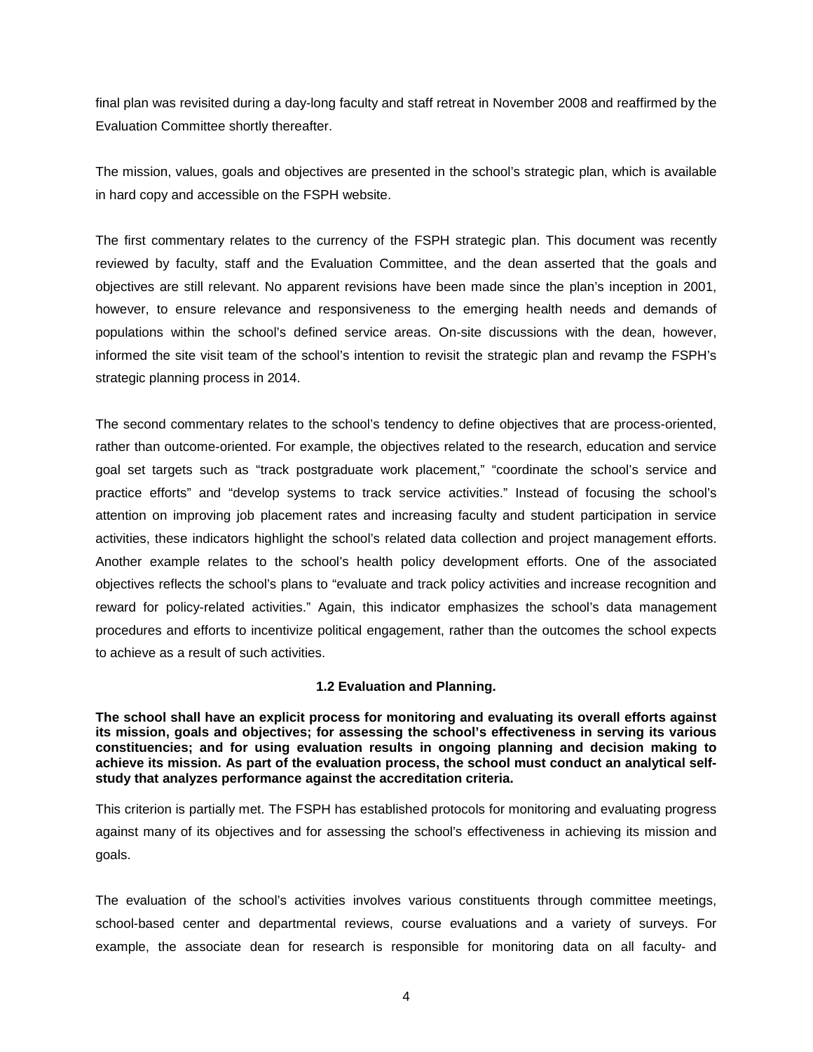final plan was revisited during a day-long faculty and staff retreat in November 2008 and reaffirmed by the Evaluation Committee shortly thereafter.

The mission, values, goals and objectives are presented in the school's strategic plan, which is available in hard copy and accessible on the FSPH website.

The first commentary relates to the currency of the FSPH strategic plan. This document was recently reviewed by faculty, staff and the Evaluation Committee, and the dean asserted that the goals and objectives are still relevant. No apparent revisions have been made since the plan's inception in 2001, however, to ensure relevance and responsiveness to the emerging health needs and demands of populations within the school's defined service areas. On-site discussions with the dean, however, informed the site visit team of the school's intention to revisit the strategic plan and revamp the FSPH's strategic planning process in 2014.

The second commentary relates to the school's tendency to define objectives that are process-oriented, rather than outcome-oriented. For example, the objectives related to the research, education and service goal set targets such as "track postgraduate work placement," "coordinate the school's service and practice efforts" and "develop systems to track service activities." Instead of focusing the school's attention on improving job placement rates and increasing faculty and student participation in service activities, these indicators highlight the school's related data collection and project management efforts. Another example relates to the school's health policy development efforts. One of the associated objectives reflects the school's plans to "evaluate and track policy activities and increase recognition and reward for policy-related activities." Again, this indicator emphasizes the school's data management procedures and efforts to incentivize political engagement, rather than the outcomes the school expects to achieve as a result of such activities.

## **1.2 Evaluation and Planning.**

<span id="page-5-0"></span>**The school shall have an explicit process for monitoring and evaluating its overall efforts against its mission, goals and objectives; for assessing the school's effectiveness in serving its various constituencies; and for using evaluation results in ongoing planning and decision making to achieve its mission. As part of the evaluation process, the school must conduct an analytical selfstudy that analyzes performance against the accreditation criteria.**

This criterion is partially met. The FSPH has established protocols for monitoring and evaluating progress against many of its objectives and for assessing the school's effectiveness in achieving its mission and goals.

The evaluation of the school's activities involves various constituents through committee meetings, school-based center and departmental reviews, course evaluations and a variety of surveys. For example, the associate dean for research is responsible for monitoring data on all faculty- and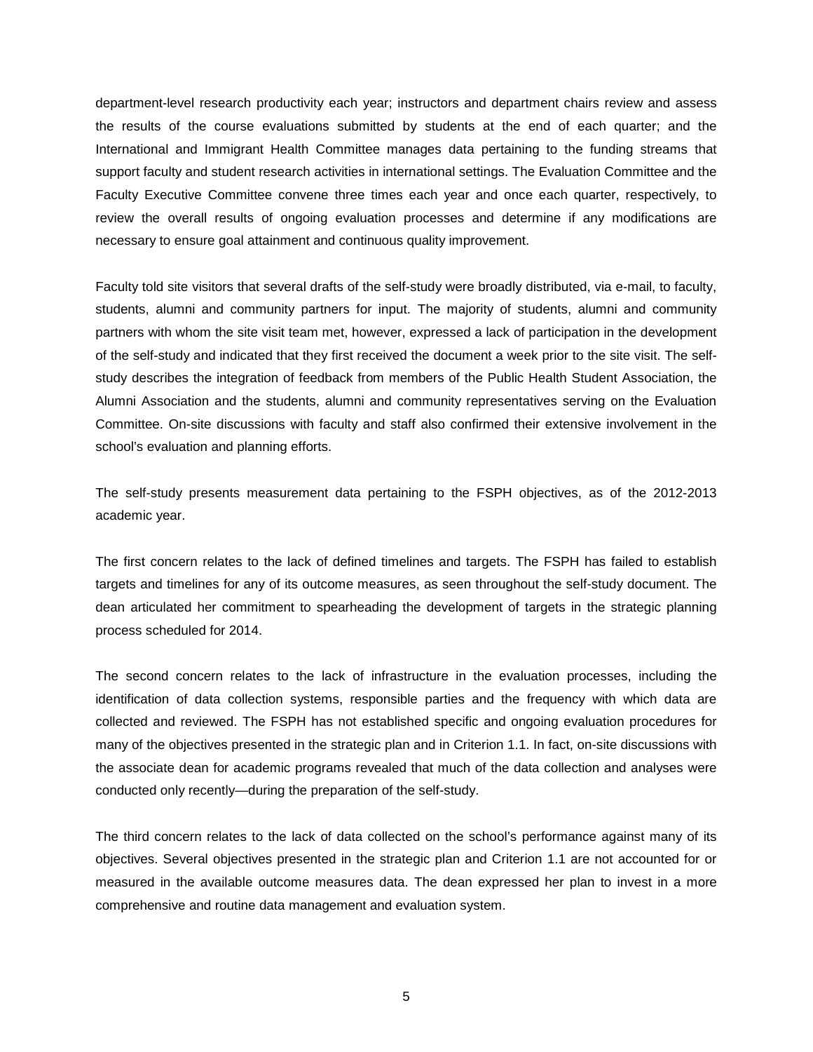department-level research productivity each year; instructors and department chairs review and assess the results of the course evaluations submitted by students at the end of each quarter; and the International and Immigrant Health Committee manages data pertaining to the funding streams that support faculty and student research activities in international settings. The Evaluation Committee and the Faculty Executive Committee convene three times each year and once each quarter, respectively, to review the overall results of ongoing evaluation processes and determine if any modifications are necessary to ensure goal attainment and continuous quality improvement.

Faculty told site visitors that several drafts of the self-study were broadly distributed, via e-mail, to faculty, students, alumni and community partners for input. The majority of students, alumni and community partners with whom the site visit team met, however, expressed a lack of participation in the development of the self-study and indicated that they first received the document a week prior to the site visit. The selfstudy describes the integration of feedback from members of the Public Health Student Association, the Alumni Association and the students, alumni and community representatives serving on the Evaluation Committee. On-site discussions with faculty and staff also confirmed their extensive involvement in the school's evaluation and planning efforts.

The self-study presents measurement data pertaining to the FSPH objectives, as of the 2012-2013 academic year.

The first concern relates to the lack of defined timelines and targets. The FSPH has failed to establish targets and timelines for any of its outcome measures, as seen throughout the self-study document. The dean articulated her commitment to spearheading the development of targets in the strategic planning process scheduled for 2014.

The second concern relates to the lack of infrastructure in the evaluation processes, including the identification of data collection systems, responsible parties and the frequency with which data are collected and reviewed. The FSPH has not established specific and ongoing evaluation procedures for many of the objectives presented in the strategic plan and in Criterion 1.1. In fact, on-site discussions with the associate dean for academic programs revealed that much of the data collection and analyses were conducted only recently—during the preparation of the self-study.

The third concern relates to the lack of data collected on the school's performance against many of its objectives. Several objectives presented in the strategic plan and Criterion 1.1 are not accounted for or measured in the available outcome measures data. The dean expressed her plan to invest in a more comprehensive and routine data management and evaluation system.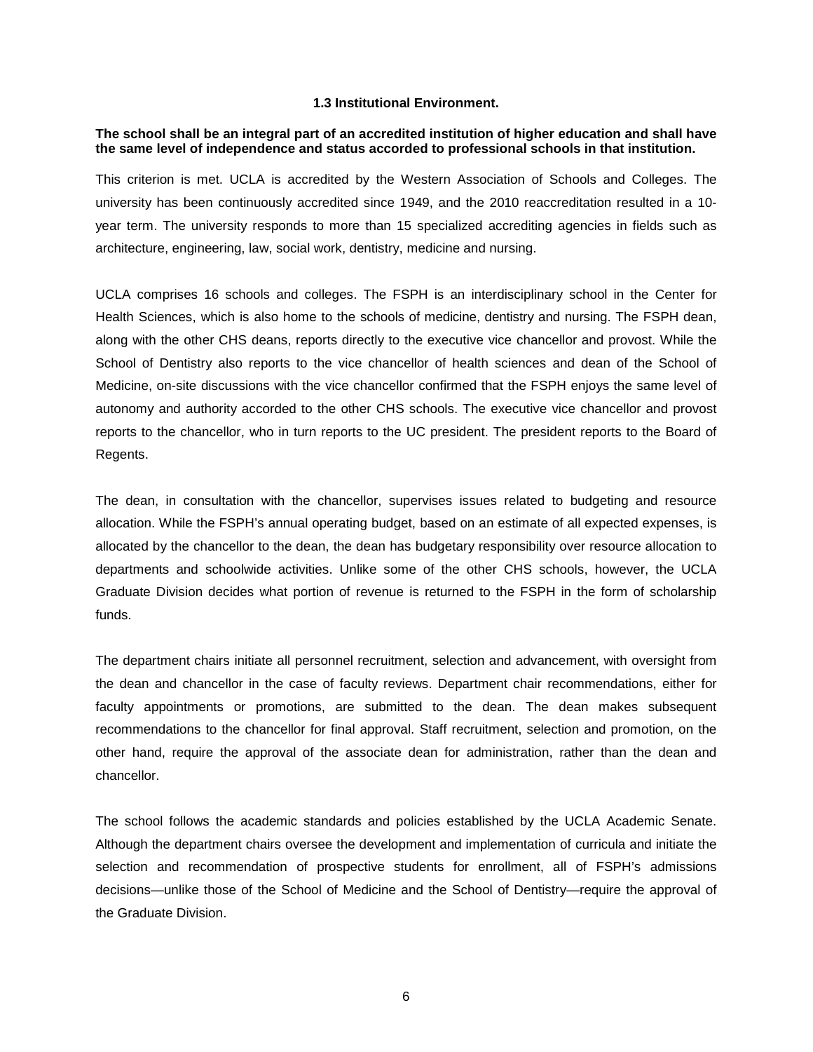### **1.3 Institutional Environment.**

### <span id="page-7-0"></span>**The school shall be an integral part of an accredited institution of higher education and shall have the same level of independence and status accorded to professional schools in that institution.**

This criterion is met. UCLA is accredited by the Western Association of Schools and Colleges. The university has been continuously accredited since 1949, and the 2010 reaccreditation resulted in a 10 year term. The university responds to more than 15 specialized accrediting agencies in fields such as architecture, engineering, law, social work, dentistry, medicine and nursing.

UCLA comprises 16 schools and colleges. The FSPH is an interdisciplinary school in the Center for Health Sciences, which is also home to the schools of medicine, dentistry and nursing. The FSPH dean, along with the other CHS deans, reports directly to the executive vice chancellor and provost. While the School of Dentistry also reports to the vice chancellor of health sciences and dean of the School of Medicine, on-site discussions with the vice chancellor confirmed that the FSPH enjoys the same level of autonomy and authority accorded to the other CHS schools. The executive vice chancellor and provost reports to the chancellor, who in turn reports to the UC president. The president reports to the Board of Regents.

The dean, in consultation with the chancellor, supervises issues related to budgeting and resource allocation. While the FSPH's annual operating budget, based on an estimate of all expected expenses, is allocated by the chancellor to the dean, the dean has budgetary responsibility over resource allocation to departments and schoolwide activities. Unlike some of the other CHS schools, however, the UCLA Graduate Division decides what portion of revenue is returned to the FSPH in the form of scholarship funds.

The department chairs initiate all personnel recruitment, selection and advancement, with oversight from the dean and chancellor in the case of faculty reviews. Department chair recommendations, either for faculty appointments or promotions, are submitted to the dean. The dean makes subsequent recommendations to the chancellor for final approval. Staff recruitment, selection and promotion, on the other hand, require the approval of the associate dean for administration, rather than the dean and chancellor.

The school follows the academic standards and policies established by the UCLA Academic Senate. Although the department chairs oversee the development and implementation of curricula and initiate the selection and recommendation of prospective students for enrollment, all of FSPH's admissions decisions—unlike those of the School of Medicine and the School of Dentistry—require the approval of the Graduate Division.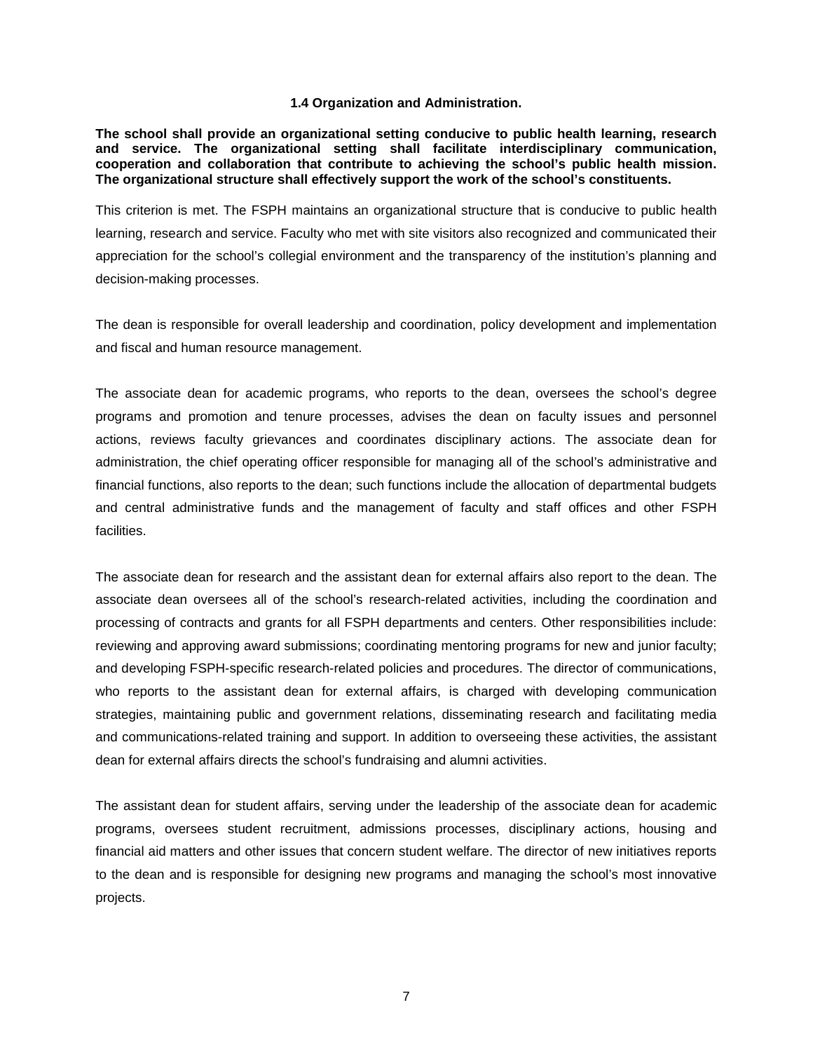### **1.4 Organization and Administration.**

<span id="page-8-0"></span>**The school shall provide an organizational setting conducive to public health learning, research and service. The organizational setting shall facilitate interdisciplinary communication, cooperation and collaboration that contribute to achieving the school's public health mission. The organizational structure shall effectively support the work of the school's constituents.**

This criterion is met. The FSPH maintains an organizational structure that is conducive to public health learning, research and service. Faculty who met with site visitors also recognized and communicated their appreciation for the school's collegial environment and the transparency of the institution's planning and decision-making processes.

The dean is responsible for overall leadership and coordination, policy development and implementation and fiscal and human resource management.

The associate dean for academic programs, who reports to the dean, oversees the school's degree programs and promotion and tenure processes, advises the dean on faculty issues and personnel actions, reviews faculty grievances and coordinates disciplinary actions. The associate dean for administration, the chief operating officer responsible for managing all of the school's administrative and financial functions, also reports to the dean; such functions include the allocation of departmental budgets and central administrative funds and the management of faculty and staff offices and other FSPH facilities.

The associate dean for research and the assistant dean for external affairs also report to the dean. The associate dean oversees all of the school's research-related activities, including the coordination and processing of contracts and grants for all FSPH departments and centers. Other responsibilities include: reviewing and approving award submissions; coordinating mentoring programs for new and junior faculty; and developing FSPH-specific research-related policies and procedures. The director of communications, who reports to the assistant dean for external affairs, is charged with developing communication strategies, maintaining public and government relations, disseminating research and facilitating media and communications-related training and support. In addition to overseeing these activities, the assistant dean for external affairs directs the school's fundraising and alumni activities.

The assistant dean for student affairs, serving under the leadership of the associate dean for academic programs, oversees student recruitment, admissions processes, disciplinary actions, housing and financial aid matters and other issues that concern student welfare. The director of new initiatives reports to the dean and is responsible for designing new programs and managing the school's most innovative projects.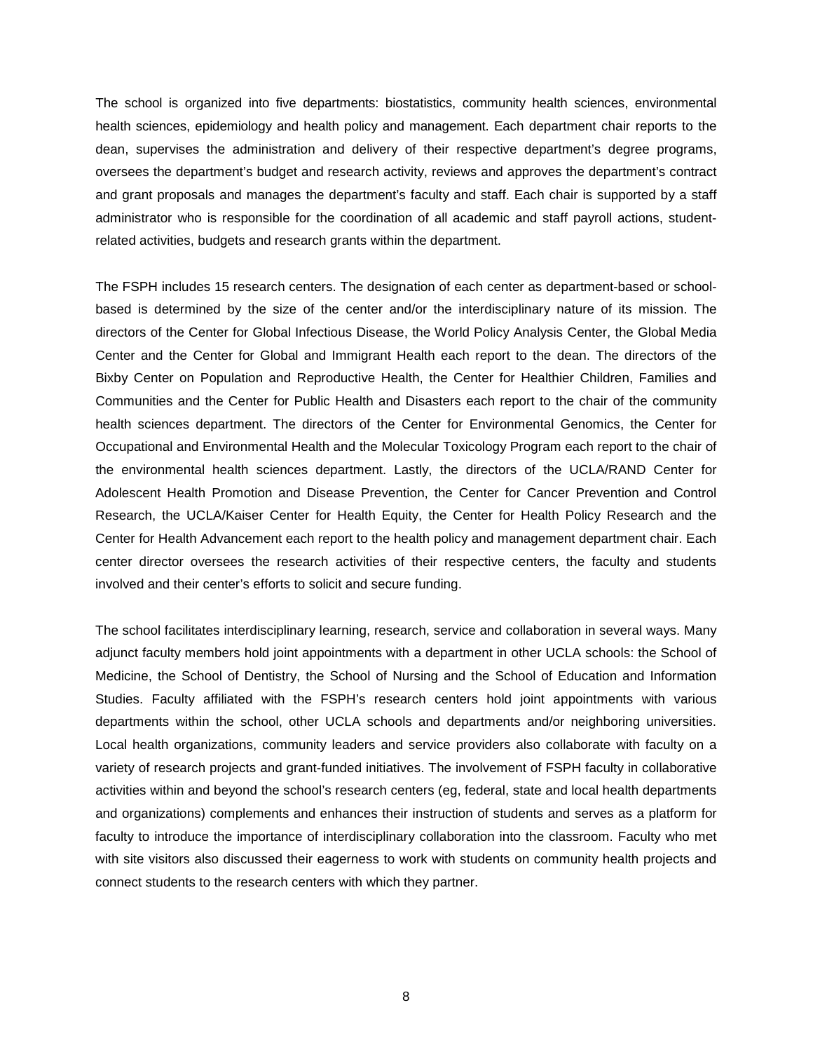The school is organized into five departments: biostatistics, community health sciences, environmental health sciences, epidemiology and health policy and management. Each department chair reports to the dean, supervises the administration and delivery of their respective department's degree programs, oversees the department's budget and research activity, reviews and approves the department's contract and grant proposals and manages the department's faculty and staff. Each chair is supported by a staff administrator who is responsible for the coordination of all academic and staff payroll actions, studentrelated activities, budgets and research grants within the department.

The FSPH includes 15 research centers. The designation of each center as department-based or schoolbased is determined by the size of the center and/or the interdisciplinary nature of its mission. The directors of the Center for Global Infectious Disease, the World Policy Analysis Center, the Global Media Center and the Center for Global and Immigrant Health each report to the dean. The directors of the Bixby Center on Population and Reproductive Health, the Center for Healthier Children, Families and Communities and the Center for Public Health and Disasters each report to the chair of the community health sciences department. The directors of the Center for Environmental Genomics, the Center for Occupational and Environmental Health and the Molecular Toxicology Program each report to the chair of the environmental health sciences department. Lastly, the directors of the UCLA/RAND Center for Adolescent Health Promotion and Disease Prevention, the Center for Cancer Prevention and Control Research, the UCLA/Kaiser Center for Health Equity, the Center for Health Policy Research and the Center for Health Advancement each report to the health policy and management department chair. Each center director oversees the research activities of their respective centers, the faculty and students involved and their center's efforts to solicit and secure funding.

The school facilitates interdisciplinary learning, research, service and collaboration in several ways. Many adjunct faculty members hold joint appointments with a department in other UCLA schools: the School of Medicine, the School of Dentistry, the School of Nursing and the School of Education and Information Studies. Faculty affiliated with the FSPH's research centers hold joint appointments with various departments within the school, other UCLA schools and departments and/or neighboring universities. Local health organizations, community leaders and service providers also collaborate with faculty on a variety of research projects and grant-funded initiatives. The involvement of FSPH faculty in collaborative activities within and beyond the school's research centers (eg, federal, state and local health departments and organizations) complements and enhances their instruction of students and serves as a platform for faculty to introduce the importance of interdisciplinary collaboration into the classroom. Faculty who met with site visitors also discussed their eagerness to work with students on community health projects and connect students to the research centers with which they partner.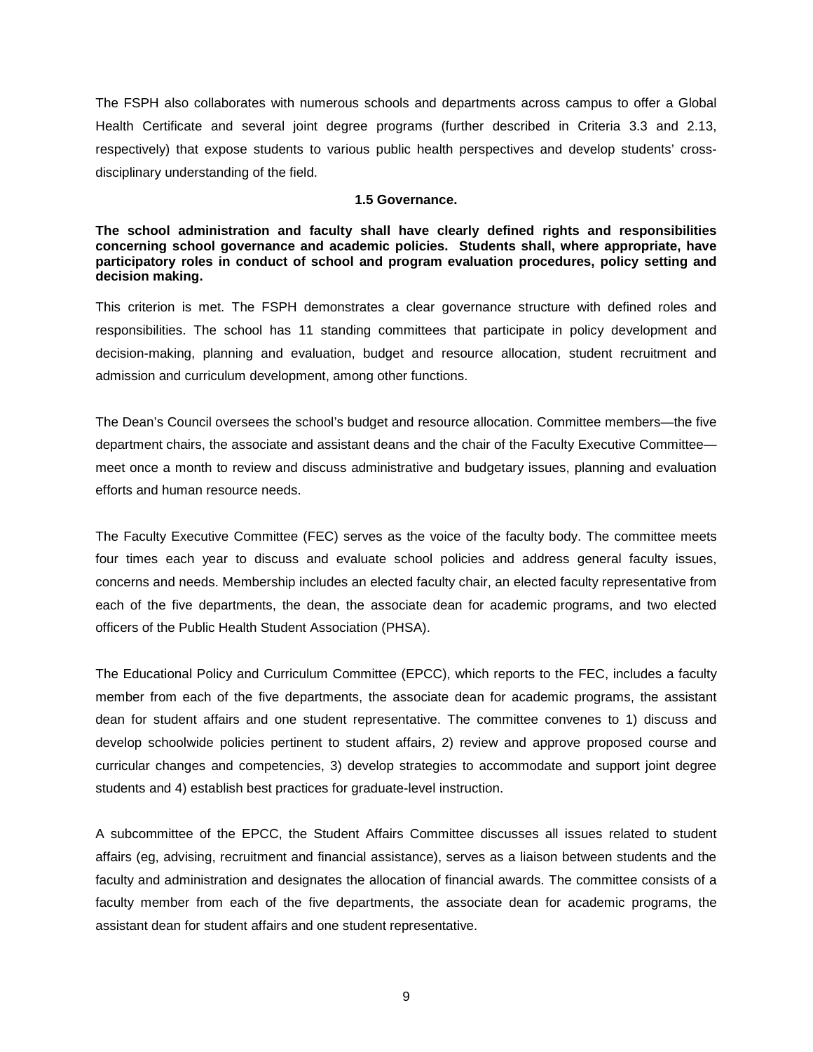The FSPH also collaborates with numerous schools and departments across campus to offer a Global Health Certificate and several joint degree programs (further described in Criteria 3.3 and 2.13, respectively) that expose students to various public health perspectives and develop students' crossdisciplinary understanding of the field.

### **1.5 Governance.**

<span id="page-10-0"></span>**The school administration and faculty shall have clearly defined rights and responsibilities concerning school governance and academic policies. Students shall, where appropriate, have participatory roles in conduct of school and program evaluation procedures, policy setting and decision making.**

This criterion is met. The FSPH demonstrates a clear governance structure with defined roles and responsibilities. The school has 11 standing committees that participate in policy development and decision-making, planning and evaluation, budget and resource allocation, student recruitment and admission and curriculum development, among other functions.

The Dean's Council oversees the school's budget and resource allocation. Committee members—the five department chairs, the associate and assistant deans and the chair of the Faculty Executive Committee meet once a month to review and discuss administrative and budgetary issues, planning and evaluation efforts and human resource needs.

The Faculty Executive Committee (FEC) serves as the voice of the faculty body. The committee meets four times each year to discuss and evaluate school policies and address general faculty issues, concerns and needs. Membership includes an elected faculty chair, an elected faculty representative from each of the five departments, the dean, the associate dean for academic programs, and two elected officers of the Public Health Student Association (PHSA).

The Educational Policy and Curriculum Committee (EPCC), which reports to the FEC, includes a faculty member from each of the five departments, the associate dean for academic programs, the assistant dean for student affairs and one student representative. The committee convenes to 1) discuss and develop schoolwide policies pertinent to student affairs, 2) review and approve proposed course and curricular changes and competencies, 3) develop strategies to accommodate and support joint degree students and 4) establish best practices for graduate-level instruction.

A subcommittee of the EPCC, the Student Affairs Committee discusses all issues related to student affairs (eg, advising, recruitment and financial assistance), serves as a liaison between students and the faculty and administration and designates the allocation of financial awards. The committee consists of a faculty member from each of the five departments, the associate dean for academic programs, the assistant dean for student affairs and one student representative.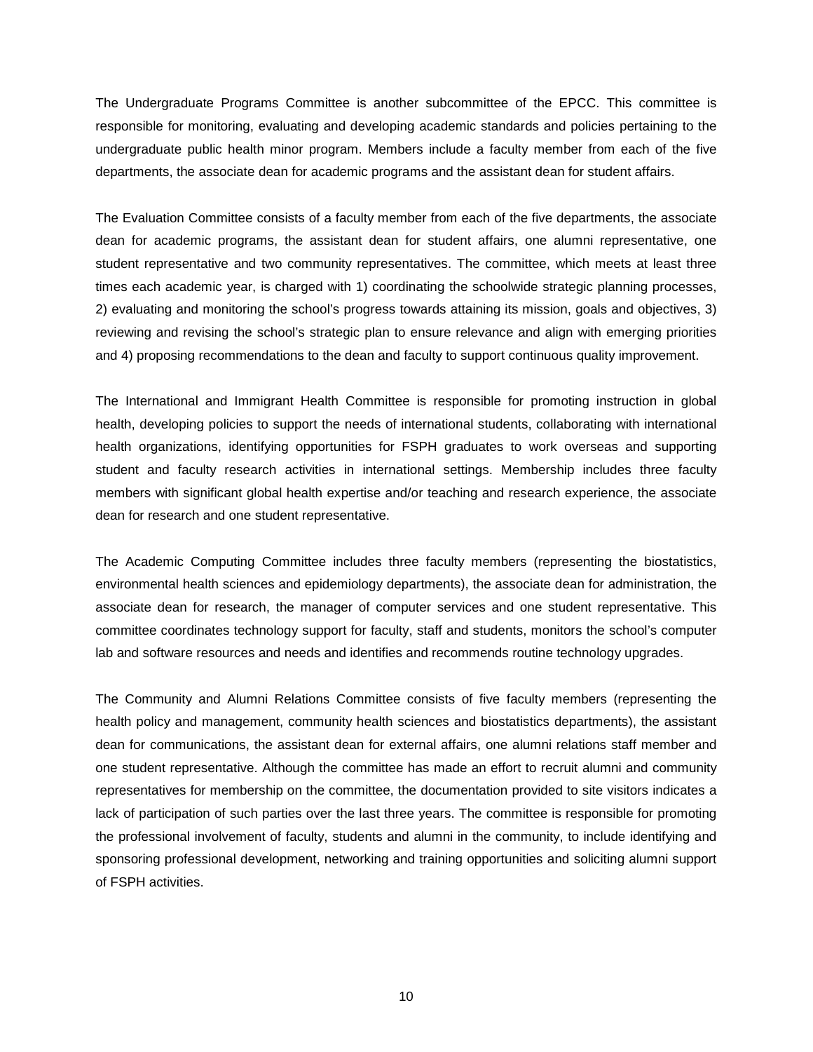The Undergraduate Programs Committee is another subcommittee of the EPCC. This committee is responsible for monitoring, evaluating and developing academic standards and policies pertaining to the undergraduate public health minor program. Members include a faculty member from each of the five departments, the associate dean for academic programs and the assistant dean for student affairs.

The Evaluation Committee consists of a faculty member from each of the five departments, the associate dean for academic programs, the assistant dean for student affairs, one alumni representative, one student representative and two community representatives. The committee, which meets at least three times each academic year, is charged with 1) coordinating the schoolwide strategic planning processes, 2) evaluating and monitoring the school's progress towards attaining its mission, goals and objectives, 3) reviewing and revising the school's strategic plan to ensure relevance and align with emerging priorities and 4) proposing recommendations to the dean and faculty to support continuous quality improvement.

The International and Immigrant Health Committee is responsible for promoting instruction in global health, developing policies to support the needs of international students, collaborating with international health organizations, identifying opportunities for FSPH graduates to work overseas and supporting student and faculty research activities in international settings. Membership includes three faculty members with significant global health expertise and/or teaching and research experience, the associate dean for research and one student representative.

The Academic Computing Committee includes three faculty members (representing the biostatistics, environmental health sciences and epidemiology departments), the associate dean for administration, the associate dean for research, the manager of computer services and one student representative. This committee coordinates technology support for faculty, staff and students, monitors the school's computer lab and software resources and needs and identifies and recommends routine technology upgrades.

The Community and Alumni Relations Committee consists of five faculty members (representing the health policy and management, community health sciences and biostatistics departments), the assistant dean for communications, the assistant dean for external affairs, one alumni relations staff member and one student representative. Although the committee has made an effort to recruit alumni and community representatives for membership on the committee, the documentation provided to site visitors indicates a lack of participation of such parties over the last three years. The committee is responsible for promoting the professional involvement of faculty, students and alumni in the community, to include identifying and sponsoring professional development, networking and training opportunities and soliciting alumni support of FSPH activities.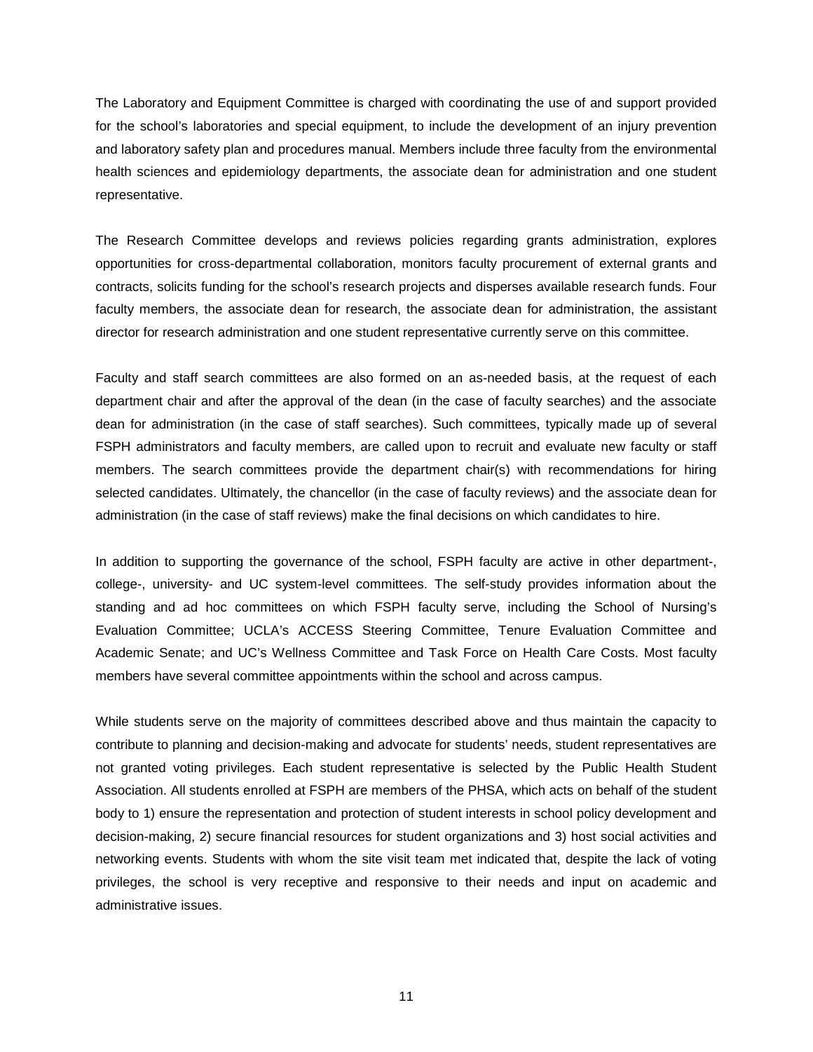The Laboratory and Equipment Committee is charged with coordinating the use of and support provided for the school's laboratories and special equipment, to include the development of an injury prevention and laboratory safety plan and procedures manual. Members include three faculty from the environmental health sciences and epidemiology departments, the associate dean for administration and one student representative.

The Research Committee develops and reviews policies regarding grants administration, explores opportunities for cross-departmental collaboration, monitors faculty procurement of external grants and contracts, solicits funding for the school's research projects and disperses available research funds. Four faculty members, the associate dean for research, the associate dean for administration, the assistant director for research administration and one student representative currently serve on this committee.

Faculty and staff search committees are also formed on an as-needed basis, at the request of each department chair and after the approval of the dean (in the case of faculty searches) and the associate dean for administration (in the case of staff searches). Such committees, typically made up of several FSPH administrators and faculty members, are called upon to recruit and evaluate new faculty or staff members. The search committees provide the department chair(s) with recommendations for hiring selected candidates. Ultimately, the chancellor (in the case of faculty reviews) and the associate dean for administration (in the case of staff reviews) make the final decisions on which candidates to hire.

In addition to supporting the governance of the school, FSPH faculty are active in other department-, college-, university- and UC system-level committees. The self-study provides information about the standing and ad hoc committees on which FSPH faculty serve, including the School of Nursing's Evaluation Committee; UCLA's ACCESS Steering Committee, Tenure Evaluation Committee and Academic Senate; and UC's Wellness Committee and Task Force on Health Care Costs. Most faculty members have several committee appointments within the school and across campus.

While students serve on the majority of committees described above and thus maintain the capacity to contribute to planning and decision-making and advocate for students' needs, student representatives are not granted voting privileges. Each student representative is selected by the Public Health Student Association. All students enrolled at FSPH are members of the PHSA, which acts on behalf of the student body to 1) ensure the representation and protection of student interests in school policy development and decision-making, 2) secure financial resources for student organizations and 3) host social activities and networking events. Students with whom the site visit team met indicated that, despite the lack of voting privileges, the school is very receptive and responsive to their needs and input on academic and administrative issues.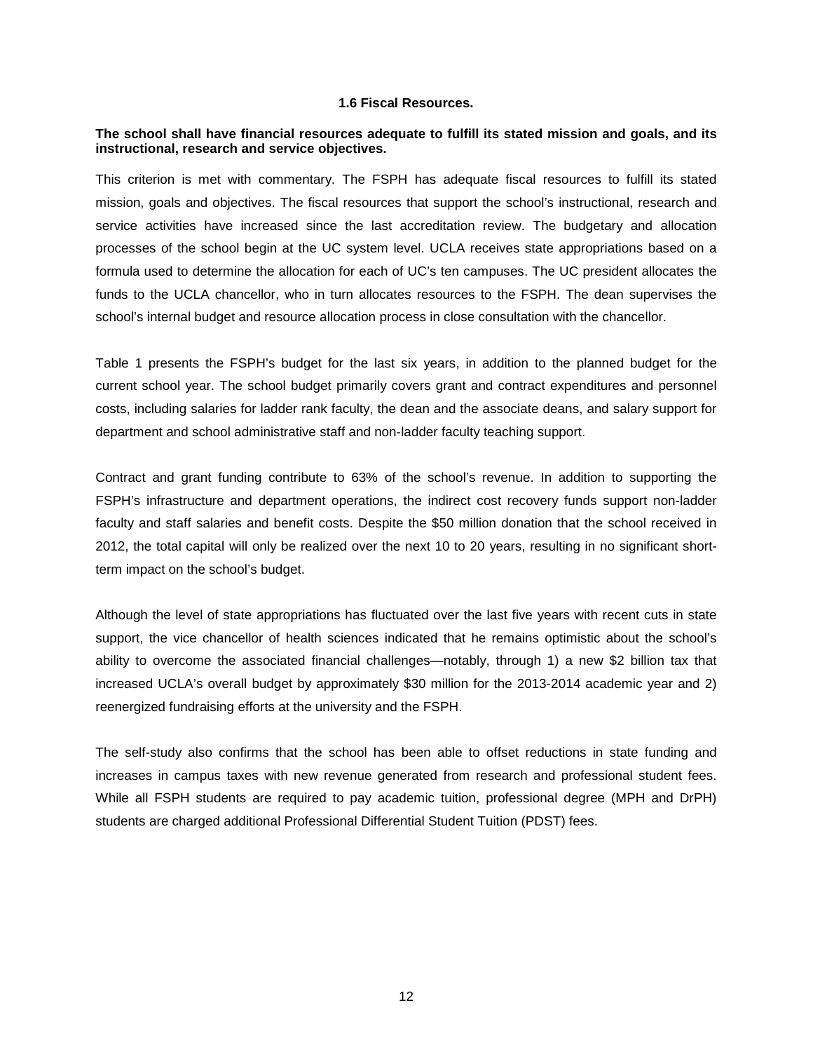### **1.6 Fiscal Resources.**

### <span id="page-13-0"></span>**The school shall have financial resources adequate to fulfill its stated mission and goals, and its instructional, research and service objectives.**

This criterion is met with commentary. The FSPH has adequate fiscal resources to fulfill its stated mission, goals and objectives. The fiscal resources that support the school's instructional, research and service activities have increased since the last accreditation review. The budgetary and allocation processes of the school begin at the UC system level. UCLA receives state appropriations based on a formula used to determine the allocation for each of UC's ten campuses. The UC president allocates the funds to the UCLA chancellor, who in turn allocates resources to the FSPH. The dean supervises the school's internal budget and resource allocation process in close consultation with the chancellor.

Table 1 presents the FSPH's budget for the last six years, in addition to the planned budget for the current school year. The school budget primarily covers grant and contract expenditures and personnel costs, including salaries for ladder rank faculty, the dean and the associate deans, and salary support for department and school administrative staff and non-ladder faculty teaching support.

Contract and grant funding contribute to 63% of the school's revenue. In addition to supporting the FSPH's infrastructure and department operations, the indirect cost recovery funds support non-ladder faculty and staff salaries and benefit costs. Despite the \$50 million donation that the school received in 2012, the total capital will only be realized over the next 10 to 20 years, resulting in no significant shortterm impact on the school's budget.

Although the level of state appropriations has fluctuated over the last five years with recent cuts in state support, the vice chancellor of health sciences indicated that he remains optimistic about the school's ability to overcome the associated financial challenges—notably, through 1) a new \$2 billion tax that increased UCLA's overall budget by approximately \$30 million for the 2013-2014 academic year and 2) reenergized fundraising efforts at the university and the FSPH.

The self-study also confirms that the school has been able to offset reductions in state funding and increases in campus taxes with new revenue generated from research and professional student fees. While all FSPH students are required to pay academic tuition, professional degree (MPH and DrPH) students are charged additional Professional Differential Student Tuition (PDST) fees.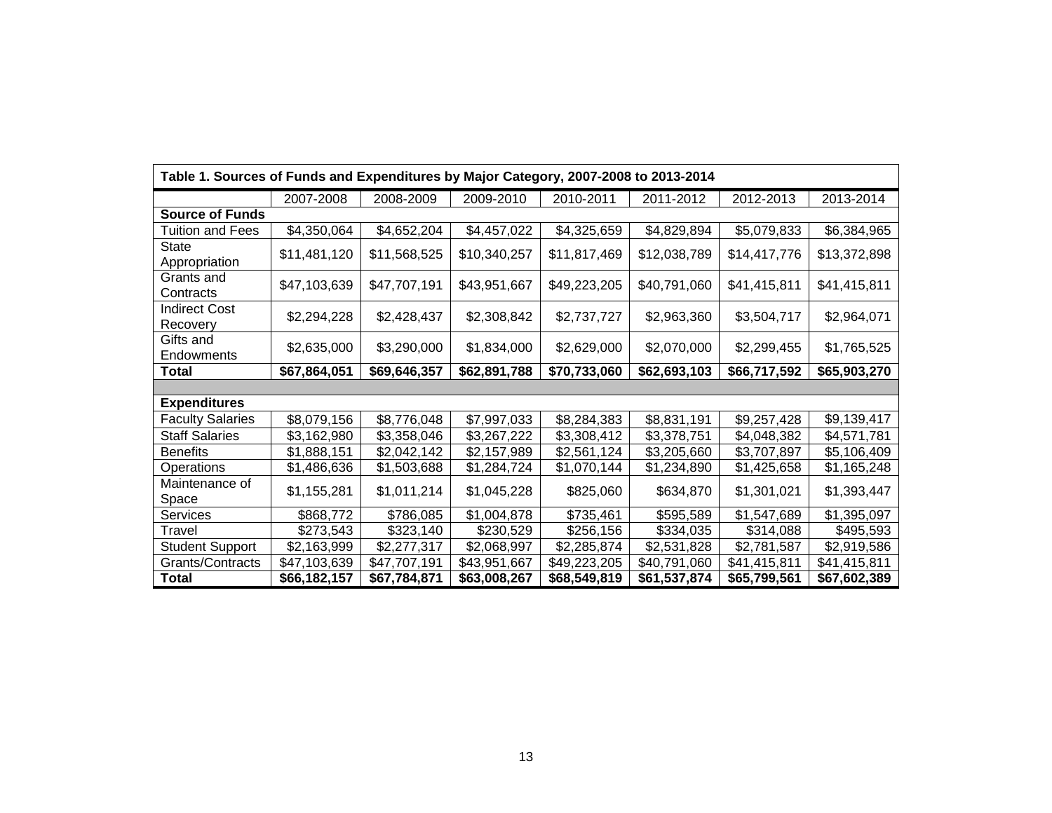| Table 1. Sources of Funds and Expenditures by Major Category, 2007-2008 to 2013-2014 |              |              |              |              |              |              |              |
|--------------------------------------------------------------------------------------|--------------|--------------|--------------|--------------|--------------|--------------|--------------|
|                                                                                      | 2007-2008    | 2008-2009    | 2009-2010    | 2010-2011    | 2011-2012    | 2012-2013    | 2013-2014    |
| <b>Source of Funds</b>                                                               |              |              |              |              |              |              |              |
| Tuition and Fees                                                                     | \$4,350,064  | \$4,652,204  | \$4,457,022  | \$4,325,659  | \$4,829,894  | \$5,079,833  | \$6,384,965  |
| State<br>Appropriation                                                               | \$11,481,120 | \$11,568,525 | \$10,340,257 | \$11,817,469 | \$12,038,789 | \$14,417,776 | \$13,372,898 |
| Grants and<br>Contracts                                                              | \$47,103,639 | \$47,707,191 | \$43,951,667 | \$49,223,205 | \$40,791,060 | \$41,415,811 | \$41,415,811 |
| <b>Indirect Cost</b><br>Recovery                                                     | \$2,294,228  | \$2,428,437  | \$2,308,842  | \$2,737,727  | \$2,963,360  | \$3,504,717  | \$2,964,071  |
| Gifts and<br>Endowments                                                              | \$2,635,000  | \$3,290,000  | \$1,834,000  | \$2,629,000  | \$2,070,000  | \$2,299,455  | \$1,765,525  |
| Total                                                                                | \$67,864,051 | \$69,646,357 | \$62,891,788 | \$70,733,060 | \$62,693,103 | \$66,717,592 | \$65,903,270 |
|                                                                                      |              |              |              |              |              |              |              |
| <b>Expenditures</b>                                                                  |              |              |              |              |              |              |              |
| <b>Faculty Salaries</b>                                                              | \$8,079,156  | \$8,776,048  | \$7,997,033  | \$8,284,383  | \$8,831,191  | \$9,257,428  | \$9,139,417  |
| <b>Staff Salaries</b>                                                                | \$3,162,980  | \$3,358,046  | \$3,267,222  | \$3,308,412  | \$3,378,751  | \$4,048,382  | \$4,571,781  |
| <b>Benefits</b>                                                                      | \$1,888,151  | \$2,042,142  | \$2,157,989  | \$2,561,124  | \$3,205,660  | \$3,707,897  | \$5,106,409  |
| Operations                                                                           | \$1,486,636  | \$1,503,688  | \$1,284,724  | \$1,070,144  | \$1,234,890  | \$1,425,658  | \$1,165,248  |
| Maintenance of<br>Space                                                              | \$1,155,281  | \$1,011,214  | \$1,045,228  | \$825,060    | \$634,870    | \$1,301,021  | \$1,393,447  |
| Services                                                                             | \$868,772    | \$786,085    | \$1,004,878  | \$735,461    | \$595,589    | \$1,547,689  | \$1,395,097  |
| Travel                                                                               | \$273,543    | \$323,140    | \$230,529    | \$256,156    | \$334,035    | \$314,088    | \$495,593    |
| <b>Student Support</b>                                                               | \$2,163,999  | \$2,277,317  | \$2,068,997  | \$2,285,874  | \$2,531,828  | \$2,781,587  | \$2,919,586  |
| Grants/Contracts                                                                     | \$47,103,639 | \$47,707,191 | \$43,951,667 | \$49,223,205 | \$40,791,060 | \$41,415,811 | \$41,415,811 |
| <b>Total</b>                                                                         | \$66,182,157 | \$67,784,871 | \$63,008,267 | \$68,549,819 | \$61,537,874 | \$65,799,561 | \$67,602,389 |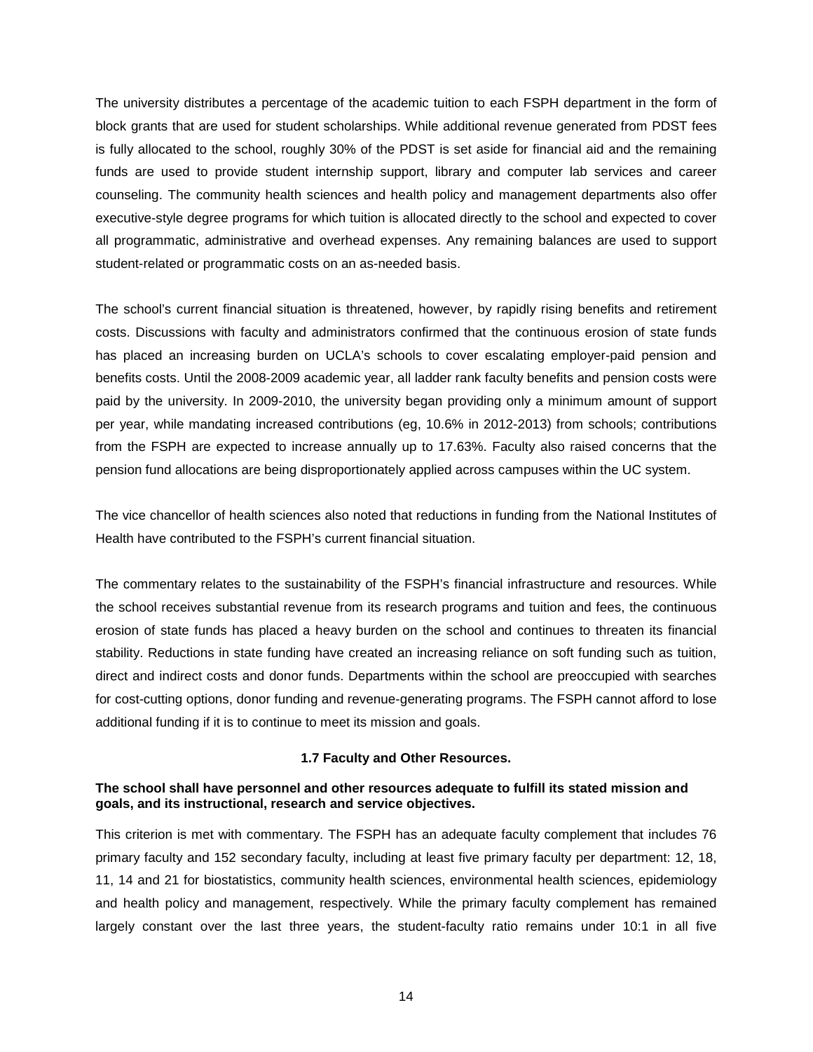The university distributes a percentage of the academic tuition to each FSPH department in the form of block grants that are used for student scholarships. While additional revenue generated from PDST fees is fully allocated to the school, roughly 30% of the PDST is set aside for financial aid and the remaining funds are used to provide student internship support, library and computer lab services and career counseling. The community health sciences and health policy and management departments also offer executive-style degree programs for which tuition is allocated directly to the school and expected to cover all programmatic, administrative and overhead expenses. Any remaining balances are used to support student-related or programmatic costs on an as-needed basis.

The school's current financial situation is threatened, however, by rapidly rising benefits and retirement costs. Discussions with faculty and administrators confirmed that the continuous erosion of state funds has placed an increasing burden on UCLA's schools to cover escalating employer-paid pension and benefits costs. Until the 2008-2009 academic year, all ladder rank faculty benefits and pension costs were paid by the university. In 2009-2010, the university began providing only a minimum amount of support per year, while mandating increased contributions (eg, 10.6% in 2012-2013) from schools; contributions from the FSPH are expected to increase annually up to 17.63%. Faculty also raised concerns that the pension fund allocations are being disproportionately applied across campuses within the UC system.

The vice chancellor of health sciences also noted that reductions in funding from the National Institutes of Health have contributed to the FSPH's current financial situation.

The commentary relates to the sustainability of the FSPH's financial infrastructure and resources. While the school receives substantial revenue from its research programs and tuition and fees, the continuous erosion of state funds has placed a heavy burden on the school and continues to threaten its financial stability. Reductions in state funding have created an increasing reliance on soft funding such as tuition, direct and indirect costs and donor funds. Departments within the school are preoccupied with searches for cost-cutting options, donor funding and revenue-generating programs. The FSPH cannot afford to lose additional funding if it is to continue to meet its mission and goals.

### **1.7 Faculty and Other Resources.**

### <span id="page-15-0"></span>**The school shall have personnel and other resources adequate to fulfill its stated mission and goals, and its instructional, research and service objectives.**

This criterion is met with commentary. The FSPH has an adequate faculty complement that includes 76 primary faculty and 152 secondary faculty, including at least five primary faculty per department: 12, 18, 11, 14 and 21 for biostatistics, community health sciences, environmental health sciences, epidemiology and health policy and management, respectively. While the primary faculty complement has remained largely constant over the last three years, the student-faculty ratio remains under 10:1 in all five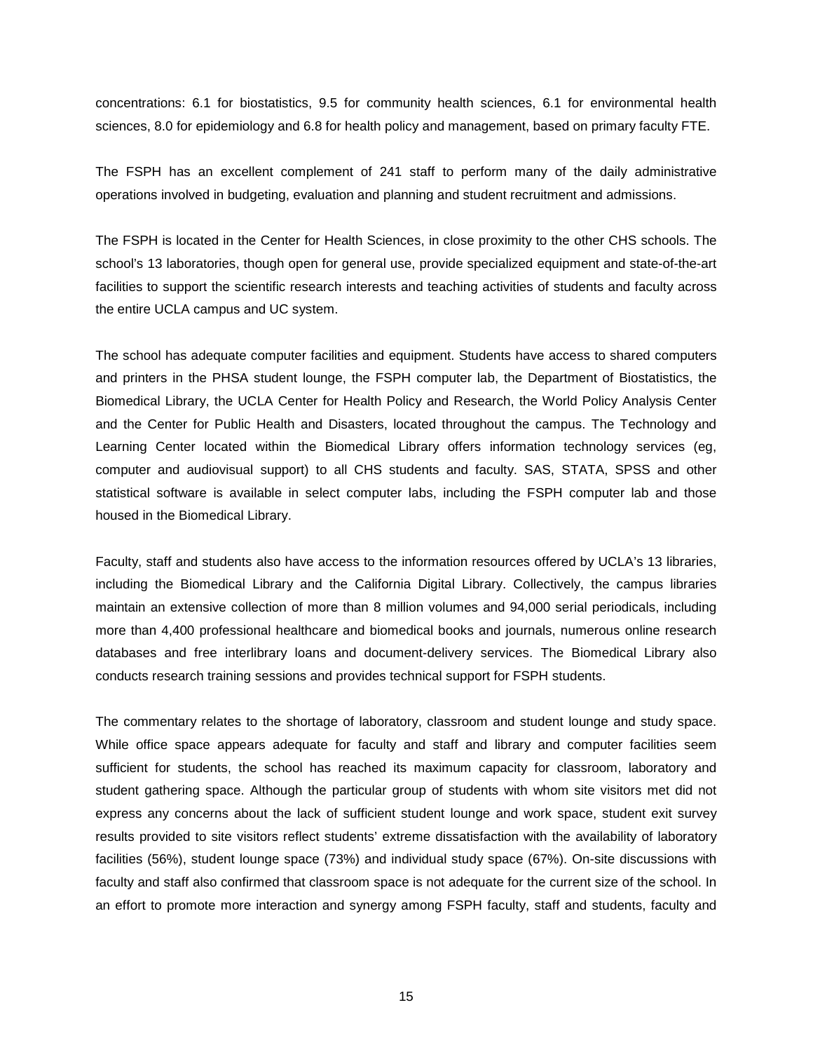concentrations: 6.1 for biostatistics, 9.5 for community health sciences, 6.1 for environmental health sciences, 8.0 for epidemiology and 6.8 for health policy and management, based on primary faculty FTE.

The FSPH has an excellent complement of 241 staff to perform many of the daily administrative operations involved in budgeting, evaluation and planning and student recruitment and admissions.

The FSPH is located in the Center for Health Sciences, in close proximity to the other CHS schools. The school's 13 laboratories, though open for general use, provide specialized equipment and state-of-the-art facilities to support the scientific research interests and teaching activities of students and faculty across the entire UCLA campus and UC system.

The school has adequate computer facilities and equipment. Students have access to shared computers and printers in the PHSA student lounge, the FSPH computer lab, the Department of Biostatistics, the Biomedical Library, the UCLA Center for Health Policy and Research, the World Policy Analysis Center and the Center for Public Health and Disasters, located throughout the campus. The Technology and Learning Center located within the Biomedical Library offers information technology services (eg, computer and audiovisual support) to all CHS students and faculty. SAS, STATA, SPSS and other statistical software is available in select computer labs, including the FSPH computer lab and those housed in the Biomedical Library.

Faculty, staff and students also have access to the information resources offered by UCLA's 13 libraries, including the Biomedical Library and the California Digital Library. Collectively, the campus libraries maintain an extensive collection of more than 8 million volumes and 94,000 serial periodicals, including more than 4,400 professional healthcare and biomedical books and journals, numerous online research databases and free interlibrary loans and document-delivery services. The Biomedical Library also conducts research training sessions and provides technical support for FSPH students.

The commentary relates to the shortage of laboratory, classroom and student lounge and study space. While office space appears adequate for faculty and staff and library and computer facilities seem sufficient for students, the school has reached its maximum capacity for classroom, laboratory and student gathering space. Although the particular group of students with whom site visitors met did not express any concerns about the lack of sufficient student lounge and work space, student exit survey results provided to site visitors reflect students' extreme dissatisfaction with the availability of laboratory facilities (56%), student lounge space (73%) and individual study space (67%). On-site discussions with faculty and staff also confirmed that classroom space is not adequate for the current size of the school. In an effort to promote more interaction and synergy among FSPH faculty, staff and students, faculty and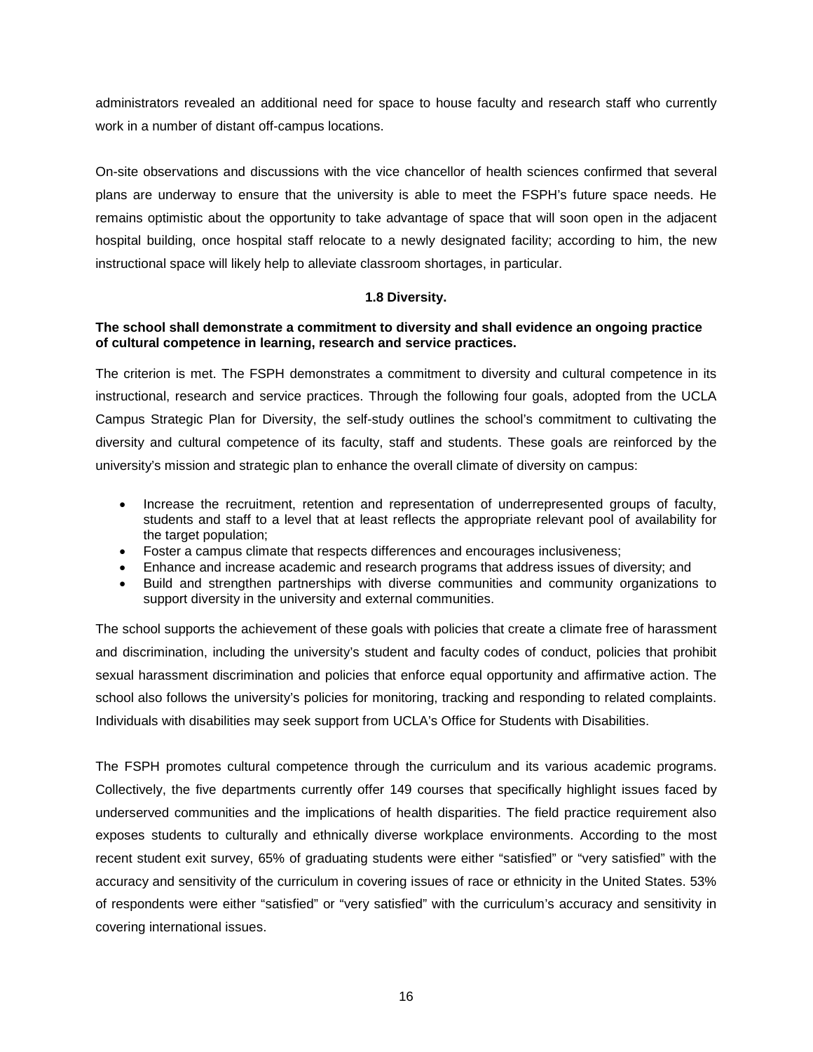administrators revealed an additional need for space to house faculty and research staff who currently work in a number of distant off-campus locations.

On-site observations and discussions with the vice chancellor of health sciences confirmed that several plans are underway to ensure that the university is able to meet the FSPH's future space needs. He remains optimistic about the opportunity to take advantage of space that will soon open in the adjacent hospital building, once hospital staff relocate to a newly designated facility; according to him, the new instructional space will likely help to alleviate classroom shortages, in particular.

## **1.8 Diversity.**

## <span id="page-17-0"></span>**The school shall demonstrate a commitment to diversity and shall evidence an ongoing practice of cultural competence in learning, research and service practices.**

The criterion is met. The FSPH demonstrates a commitment to diversity and cultural competence in its instructional, research and service practices. Through the following four goals, adopted from the UCLA Campus Strategic Plan for Diversity, the self-study outlines the school's commitment to cultivating the diversity and cultural competence of its faculty, staff and students. These goals are reinforced by the university's mission and strategic plan to enhance the overall climate of diversity on campus:

- Increase the recruitment, retention and representation of underrepresented groups of faculty, students and staff to a level that at least reflects the appropriate relevant pool of availability for the target population;
- Foster a campus climate that respects differences and encourages inclusiveness;
- Enhance and increase academic and research programs that address issues of diversity; and
- Build and strengthen partnerships with diverse communities and community organizations to support diversity in the university and external communities.

The school supports the achievement of these goals with policies that create a climate free of harassment and discrimination, including the university's student and faculty codes of conduct, policies that prohibit sexual harassment discrimination and policies that enforce equal opportunity and affirmative action. The school also follows the university's policies for monitoring, tracking and responding to related complaints. Individuals with disabilities may seek support from UCLA's Office for Students with Disabilities.

The FSPH promotes cultural competence through the curriculum and its various academic programs. Collectively, the five departments currently offer 149 courses that specifically highlight issues faced by underserved communities and the implications of health disparities. The field practice requirement also exposes students to culturally and ethnically diverse workplace environments. According to the most recent student exit survey, 65% of graduating students were either "satisfied" or "very satisfied" with the accuracy and sensitivity of the curriculum in covering issues of race or ethnicity in the United States. 53% of respondents were either "satisfied" or "very satisfied" with the curriculum's accuracy and sensitivity in covering international issues.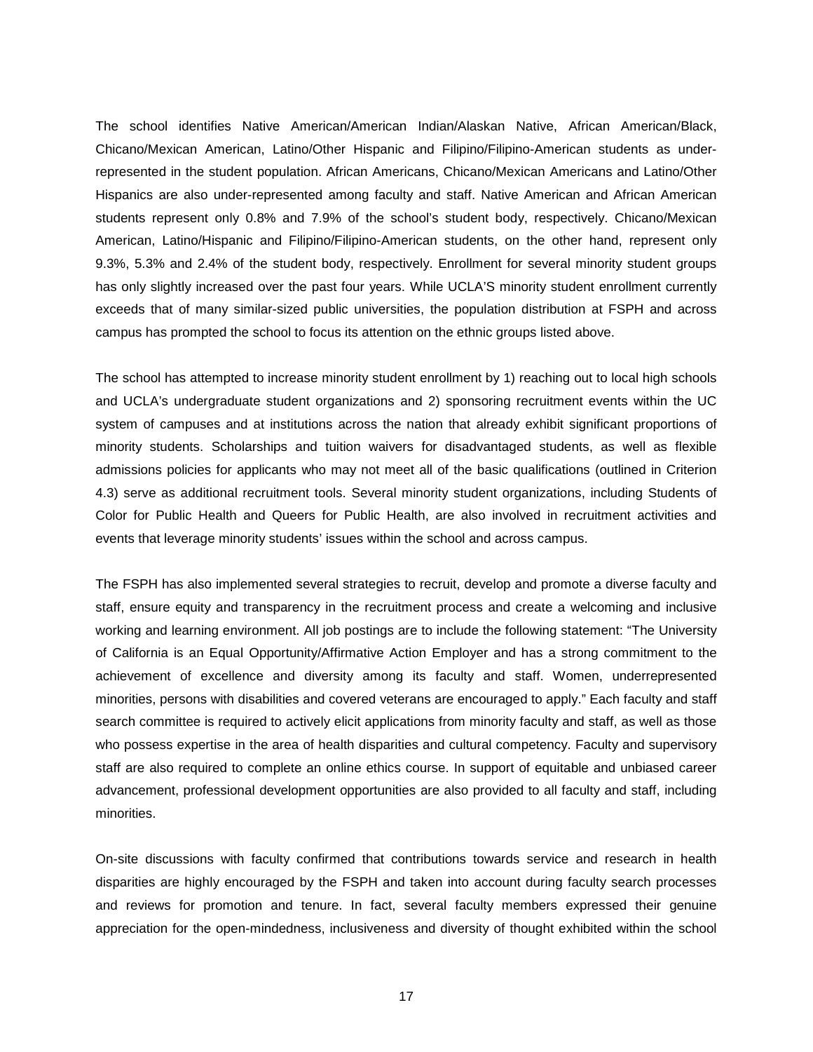The school identifies Native American/American Indian/Alaskan Native, African American/Black, Chicano/Mexican American, Latino/Other Hispanic and Filipino/Filipino-American students as underrepresented in the student population. African Americans, Chicano/Mexican Americans and Latino/Other Hispanics are also under-represented among faculty and staff. Native American and African American students represent only 0.8% and 7.9% of the school's student body, respectively. Chicano/Mexican American, Latino/Hispanic and Filipino/Filipino-American students, on the other hand, represent only 9.3%, 5.3% and 2.4% of the student body, respectively. Enrollment for several minority student groups has only slightly increased over the past four years. While UCLA'S minority student enrollment currently exceeds that of many similar-sized public universities, the population distribution at FSPH and across campus has prompted the school to focus its attention on the ethnic groups listed above.

The school has attempted to increase minority student enrollment by 1) reaching out to local high schools and UCLA's undergraduate student organizations and 2) sponsoring recruitment events within the UC system of campuses and at institutions across the nation that already exhibit significant proportions of minority students. Scholarships and tuition waivers for disadvantaged students, as well as flexible admissions policies for applicants who may not meet all of the basic qualifications (outlined in Criterion 4.3) serve as additional recruitment tools. Several minority student organizations, including Students of Color for Public Health and Queers for Public Health, are also involved in recruitment activities and events that leverage minority students' issues within the school and across campus.

The FSPH has also implemented several strategies to recruit, develop and promote a diverse faculty and staff, ensure equity and transparency in the recruitment process and create a welcoming and inclusive working and learning environment. All job postings are to include the following statement: "The University of California is an Equal Opportunity/Affirmative Action Employer and has a strong commitment to the achievement of excellence and diversity among its faculty and staff. Women, underrepresented minorities, persons with disabilities and covered veterans are encouraged to apply." Each faculty and staff search committee is required to actively elicit applications from minority faculty and staff, as well as those who possess expertise in the area of health disparities and cultural competency. Faculty and supervisory staff are also required to complete an online ethics course. In support of equitable and unbiased career advancement, professional development opportunities are also provided to all faculty and staff, including minorities.

On-site discussions with faculty confirmed that contributions towards service and research in health disparities are highly encouraged by the FSPH and taken into account during faculty search processes and reviews for promotion and tenure. In fact, several faculty members expressed their genuine appreciation for the open-mindedness, inclusiveness and diversity of thought exhibited within the school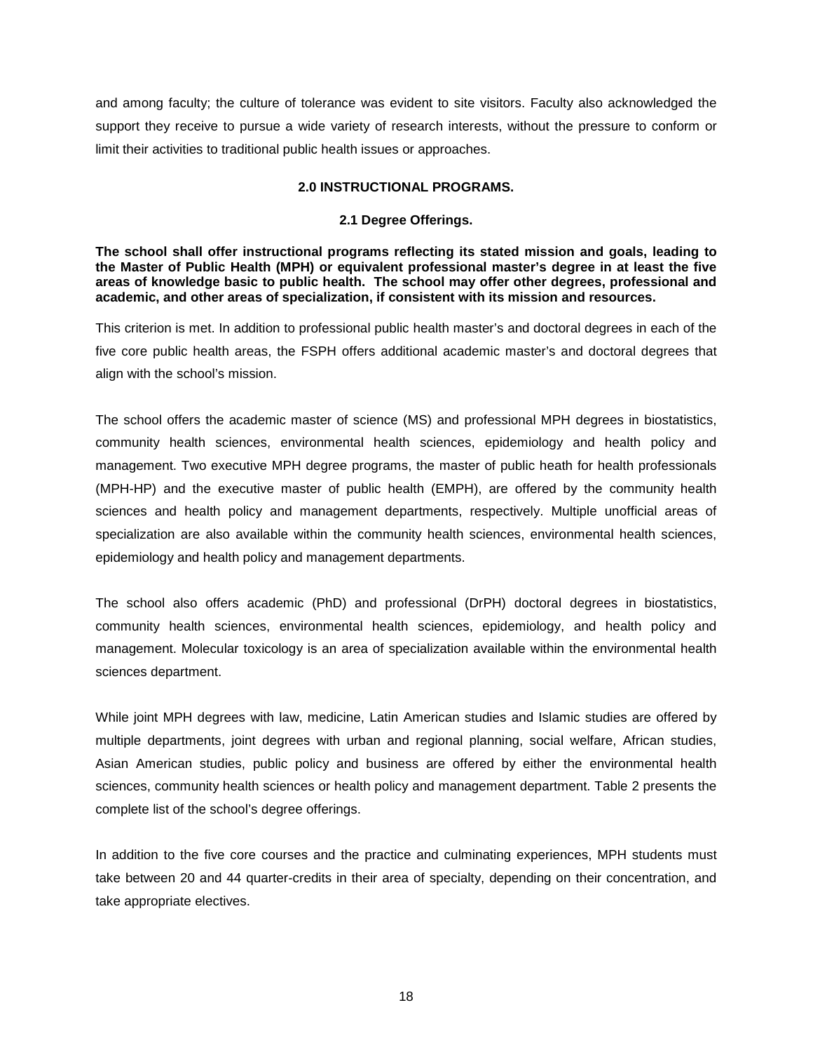and among faculty; the culture of tolerance was evident to site visitors. Faculty also acknowledged the support they receive to pursue a wide variety of research interests, without the pressure to conform or limit their activities to traditional public health issues or approaches.

### **2.0 INSTRUCTIONAL PROGRAMS.**

### **2.1 Degree Offerings.**

<span id="page-19-1"></span><span id="page-19-0"></span>**The school shall offer instructional programs reflecting its stated mission and goals, leading to the Master of Public Health (MPH) or equivalent professional master's degree in at least the five areas of knowledge basic to public health. The school may offer other degrees, professional and academic, and other areas of specialization, if consistent with its mission and resources.**

This criterion is met. In addition to professional public health master's and doctoral degrees in each of the five core public health areas, the FSPH offers additional academic master's and doctoral degrees that align with the school's mission.

The school offers the academic master of science (MS) and professional MPH degrees in biostatistics, community health sciences, environmental health sciences, epidemiology and health policy and management. Two executive MPH degree programs, the master of public heath for health professionals (MPH-HP) and the executive master of public health (EMPH), are offered by the community health sciences and health policy and management departments, respectively. Multiple unofficial areas of specialization are also available within the community health sciences, environmental health sciences, epidemiology and health policy and management departments.

The school also offers academic (PhD) and professional (DrPH) doctoral degrees in biostatistics, community health sciences, environmental health sciences, epidemiology, and health policy and management. Molecular toxicology is an area of specialization available within the environmental health sciences department.

While joint MPH degrees with law, medicine, Latin American studies and Islamic studies are offered by multiple departments, joint degrees with urban and regional planning, social welfare, African studies, Asian American studies, public policy and business are offered by either the environmental health sciences, community health sciences or health policy and management department. Table 2 presents the complete list of the school's degree offerings.

In addition to the five core courses and the practice and culminating experiences, MPH students must take between 20 and 44 quarter-credits in their area of specialty, depending on their concentration, and take appropriate electives.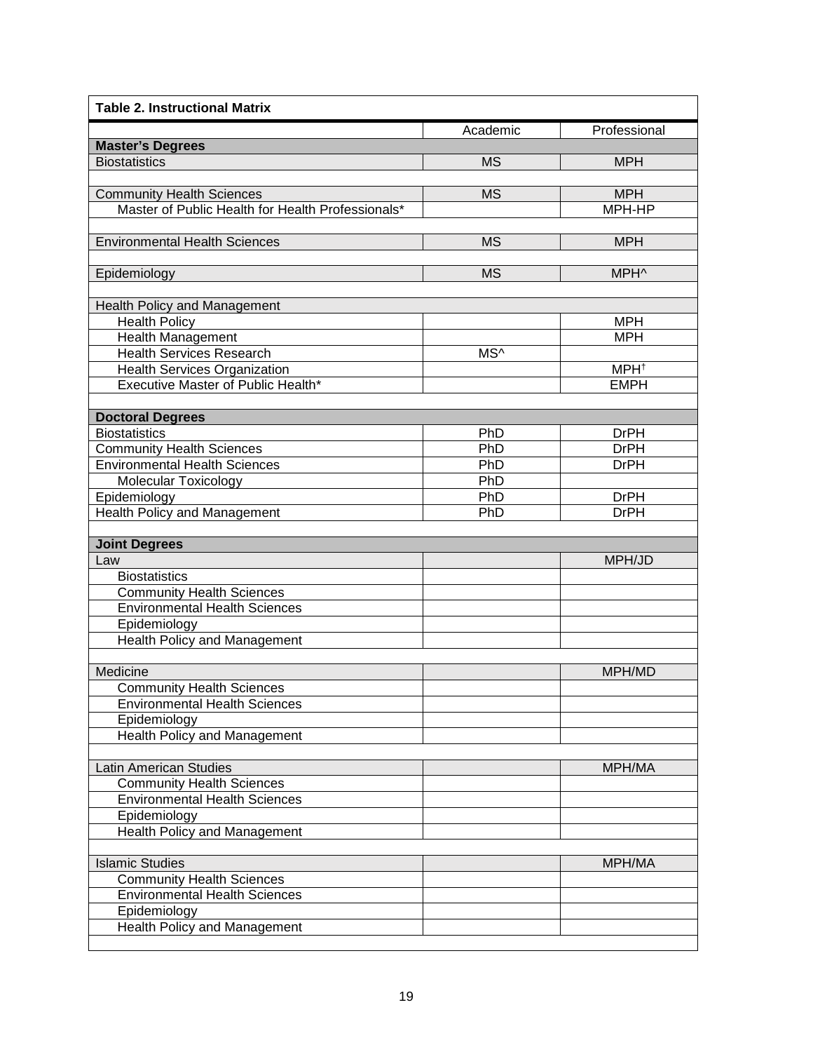| <b>Table 2. Instructional Matrix</b>              |           |                  |
|---------------------------------------------------|-----------|------------------|
|                                                   | Academic  | Professional     |
| <b>Master's Degrees</b>                           |           |                  |
| <b>Biostatistics</b>                              | <b>MS</b> | <b>MPH</b>       |
| <b>Community Health Sciences</b>                  | <b>MS</b> | <b>MPH</b>       |
| Master of Public Health for Health Professionals* |           | MPH-HP           |
|                                                   |           |                  |
| <b>Environmental Health Sciences</b>              | <b>MS</b> | <b>MPH</b>       |
|                                                   |           |                  |
| Epidemiology                                      | <b>MS</b> | MPH^             |
|                                                   |           |                  |
| Health Policy and Management                      |           |                  |
| <b>Health Policy</b>                              |           | <b>MPH</b>       |
| <b>Health Management</b>                          |           | <b>MPH</b>       |
| <b>Health Services Research</b>                   | MS^       |                  |
| <b>Health Services Organization</b>               |           | MPH <sup>+</sup> |
| Executive Master of Public Health*                |           | <b>EMPH</b>      |
|                                                   |           |                  |
| <b>Doctoral Degrees</b>                           |           |                  |
| <b>Biostatistics</b>                              | PhD       | <b>DrPH</b>      |
| <b>Community Health Sciences</b>                  | PhD       | <b>DrPH</b>      |
| <b>Environmental Health Sciences</b>              | PhD       | <b>DrPH</b>      |
| <b>Molecular Toxicology</b>                       | PhD       |                  |
| Epidemiology                                      | PhD       | <b>DrPH</b>      |
| <b>Health Policy and Management</b>               | PhD       | <b>DrPH</b>      |
|                                                   |           |                  |
| <b>Joint Degrees</b><br>Law                       |           | MPH/JD           |
| <b>Biostatistics</b>                              |           |                  |
| <b>Community Health Sciences</b>                  |           |                  |
| <b>Environmental Health Sciences</b>              |           |                  |
| Epidemiology                                      |           |                  |
| Health Policy and Management                      |           |                  |
|                                                   |           |                  |
| Medicine                                          |           | MPH/MD           |
| <b>Community Health Sciences</b>                  |           |                  |
| <b>Environmental Health Sciences</b>              |           |                  |
| Epidemiology                                      |           |                  |
| <b>Health Policy and Management</b>               |           |                  |
|                                                   |           |                  |
| <b>Latin American Studies</b>                     |           | MPH/MA           |
| <b>Community Health Sciences</b>                  |           |                  |
| <b>Environmental Health Sciences</b>              |           |                  |
| Epidemiology                                      |           |                  |
| <b>Health Policy and Management</b>               |           |                  |
|                                                   |           |                  |
| <b>Islamic Studies</b>                            |           | MPH/MA           |
| <b>Community Health Sciences</b>                  |           |                  |
| <b>Environmental Health Sciences</b>              |           |                  |
| Epidemiology                                      |           |                  |
| <b>Health Policy and Management</b>               |           |                  |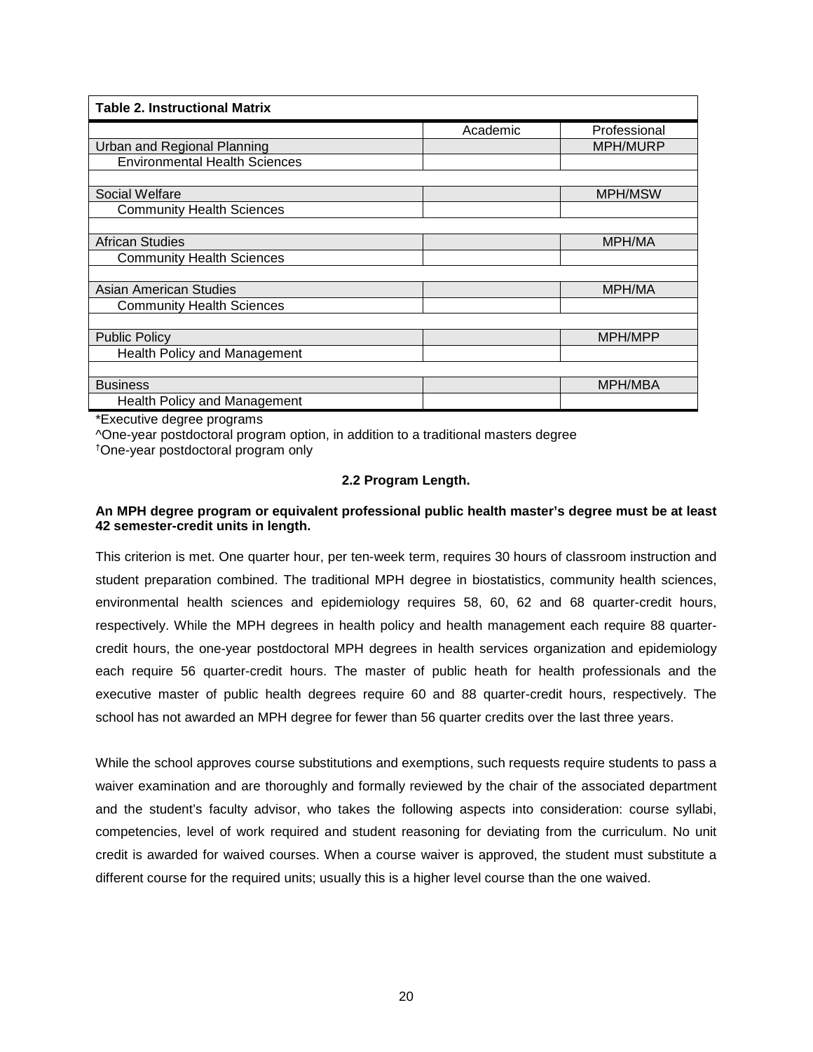| <b>Table 2. Instructional Matrix</b> |          |                |  |
|--------------------------------------|----------|----------------|--|
|                                      | Academic | Professional   |  |
| Urban and Regional Planning          |          | MPH/MURP       |  |
| <b>Environmental Health Sciences</b> |          |                |  |
|                                      |          |                |  |
| Social Welfare                       |          | <b>MPH/MSW</b> |  |
| <b>Community Health Sciences</b>     |          |                |  |
|                                      |          |                |  |
| <b>African Studies</b>               |          | <b>MPH/MA</b>  |  |
| <b>Community Health Sciences</b>     |          |                |  |
|                                      |          |                |  |
| <b>Asian American Studies</b>        |          | <b>MPH/MA</b>  |  |
| <b>Community Health Sciences</b>     |          |                |  |
|                                      |          |                |  |
| <b>Public Policy</b>                 |          | MPH/MPP        |  |
| Health Policy and Management         |          |                |  |
|                                      |          |                |  |
| <b>Business</b>                      |          | MPH/MBA        |  |
| <b>Health Policy and Management</b>  |          |                |  |

\*Executive degree programs

^One-year postdoctoral program option, in addition to a traditional masters degree

<span id="page-21-0"></span>†One-year postdoctoral program only

### **2.2 Program Length.**

## **An MPH degree program or equivalent professional public health master's degree must be at least 42 semester-credit units in length.**

This criterion is met. One quarter hour, per ten-week term, requires 30 hours of classroom instruction and student preparation combined. The traditional MPH degree in biostatistics, community health sciences, environmental health sciences and epidemiology requires 58, 60, 62 and 68 quarter-credit hours, respectively. While the MPH degrees in health policy and health management each require 88 quartercredit hours, the one-year postdoctoral MPH degrees in health services organization and epidemiology each require 56 quarter-credit hours. The master of public heath for health professionals and the executive master of public health degrees require 60 and 88 quarter-credit hours, respectively. The school has not awarded an MPH degree for fewer than 56 quarter credits over the last three years.

While the school approves course substitutions and exemptions, such requests require students to pass a waiver examination and are thoroughly and formally reviewed by the chair of the associated department and the student's faculty advisor, who takes the following aspects into consideration: course syllabi, competencies, level of work required and student reasoning for deviating from the curriculum. No unit credit is awarded for waived courses. When a course waiver is approved, the student must substitute a different course for the required units; usually this is a higher level course than the one waived.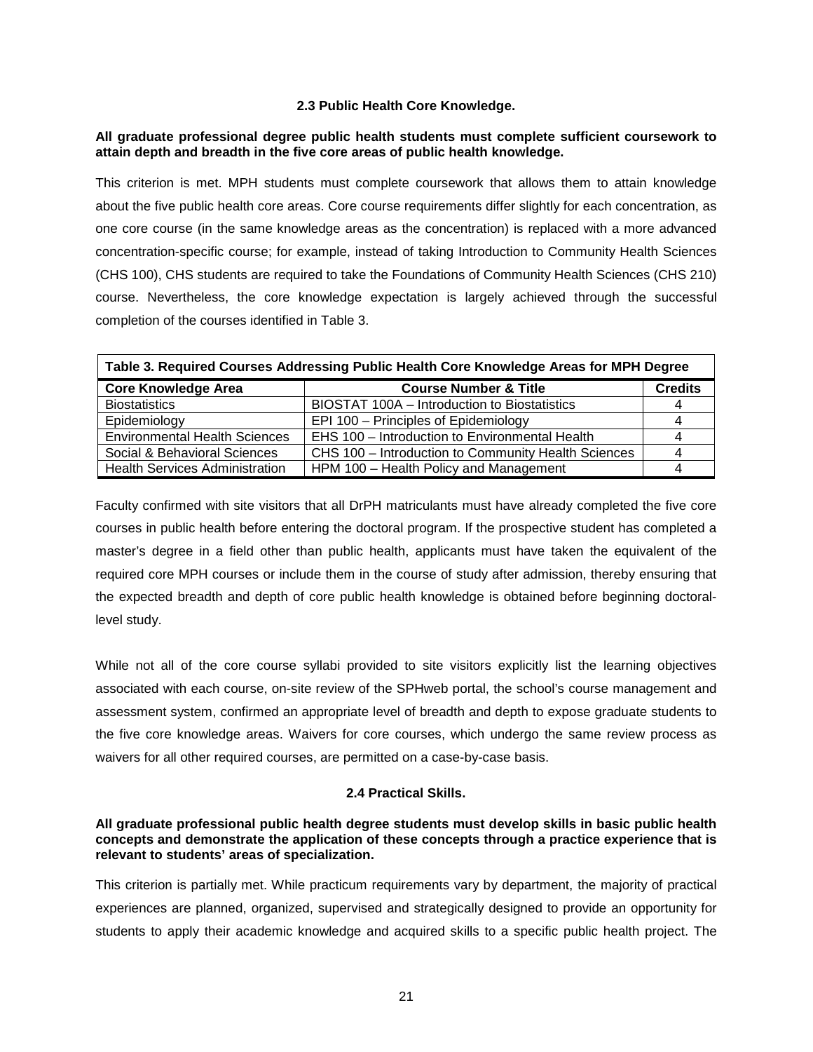## **2.3 Public Health Core Knowledge.**

## <span id="page-22-0"></span>**All graduate professional degree public health students must complete sufficient coursework to attain depth and breadth in the five core areas of public health knowledge.**

This criterion is met. MPH students must complete coursework that allows them to attain knowledge about the five public health core areas. Core course requirements differ slightly for each concentration, as one core course (in the same knowledge areas as the concentration) is replaced with a more advanced concentration-specific course; for example, instead of taking Introduction to Community Health Sciences (CHS 100), CHS students are required to take the Foundations of Community Health Sciences (CHS 210) course. Nevertheless, the core knowledge expectation is largely achieved through the successful completion of the courses identified in Table 3.

| Table 3. Required Courses Addressing Public Health Core Knowledge Areas for MPH Degree |                                                     |                |  |
|----------------------------------------------------------------------------------------|-----------------------------------------------------|----------------|--|
| <b>Core Knowledge Area</b>                                                             | <b>Course Number &amp; Title</b>                    | <b>Credits</b> |  |
| <b>Biostatistics</b>                                                                   | BIOSTAT 100A - Introduction to Biostatistics        |                |  |
| Epidemiology                                                                           | EPI 100 - Principles of Epidemiology                |                |  |
| <b>Environmental Health Sciences</b>                                                   | EHS 100 - Introduction to Environmental Health      |                |  |
| Social & Behavioral Sciences                                                           | CHS 100 - Introduction to Community Health Sciences |                |  |
| <b>Health Services Administration</b>                                                  | HPM 100 - Health Policy and Management              |                |  |

Faculty confirmed with site visitors that all DrPH matriculants must have already completed the five core courses in public health before entering the doctoral program. If the prospective student has completed a master's degree in a field other than public health, applicants must have taken the equivalent of the required core MPH courses or include them in the course of study after admission, thereby ensuring that the expected breadth and depth of core public health knowledge is obtained before beginning doctorallevel study.

While not all of the core course syllabi provided to site visitors explicitly list the learning objectives associated with each course, on-site review of the SPHweb portal, the school's course management and assessment system, confirmed an appropriate level of breadth and depth to expose graduate students to the five core knowledge areas. Waivers for core courses, which undergo the same review process as waivers for all other required courses, are permitted on a case-by-case basis.

### **2.4 Practical Skills.**

### <span id="page-22-1"></span>**All graduate professional public health degree students must develop skills in basic public health concepts and demonstrate the application of these concepts through a practice experience that is relevant to students' areas of specialization.**

This criterion is partially met. While practicum requirements vary by department, the majority of practical experiences are planned, organized, supervised and strategically designed to provide an opportunity for students to apply their academic knowledge and acquired skills to a specific public health project. The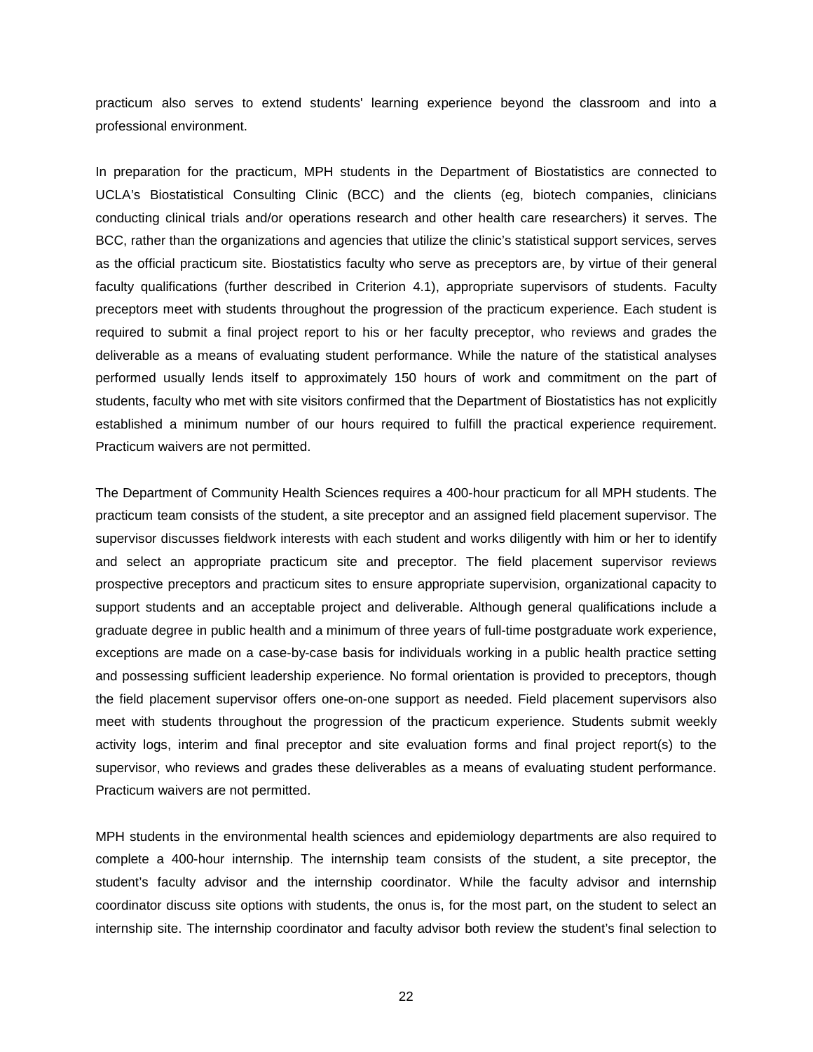practicum also serves to extend students' learning experience beyond the classroom and into a professional environment.

In preparation for the practicum, MPH students in the Department of Biostatistics are connected to UCLA's Biostatistical Consulting Clinic (BCC) and the clients (eg, biotech companies, clinicians conducting clinical trials and/or operations research and other health care researchers) it serves. The BCC, rather than the organizations and agencies that utilize the clinic's statistical support services, serves as the official practicum site. Biostatistics faculty who serve as preceptors are, by virtue of their general faculty qualifications (further described in Criterion 4.1), appropriate supervisors of students. Faculty preceptors meet with students throughout the progression of the practicum experience. Each student is required to submit a final project report to his or her faculty preceptor, who reviews and grades the deliverable as a means of evaluating student performance. While the nature of the statistical analyses performed usually lends itself to approximately 150 hours of work and commitment on the part of students, faculty who met with site visitors confirmed that the Department of Biostatistics has not explicitly established a minimum number of our hours required to fulfill the practical experience requirement. Practicum waivers are not permitted.

The Department of Community Health Sciences requires a 400-hour practicum for all MPH students. The practicum team consists of the student, a site preceptor and an assigned field placement supervisor. The supervisor discusses fieldwork interests with each student and works diligently with him or her to identify and select an appropriate practicum site and preceptor. The field placement supervisor reviews prospective preceptors and practicum sites to ensure appropriate supervision, organizational capacity to support students and an acceptable project and deliverable. Although general qualifications include a graduate degree in public health and a minimum of three years of full-time postgraduate work experience, exceptions are made on a case-by-case basis for individuals working in a public health practice setting and possessing sufficient leadership experience. No formal orientation is provided to preceptors, though the field placement supervisor offers one-on-one support as needed. Field placement supervisors also meet with students throughout the progression of the practicum experience. Students submit weekly activity logs, interim and final preceptor and site evaluation forms and final project report(s) to the supervisor, who reviews and grades these deliverables as a means of evaluating student performance. Practicum waivers are not permitted.

MPH students in the environmental health sciences and epidemiology departments are also required to complete a 400-hour internship. The internship team consists of the student, a site preceptor, the student's faculty advisor and the internship coordinator. While the faculty advisor and internship coordinator discuss site options with students, the onus is, for the most part, on the student to select an internship site. The internship coordinator and faculty advisor both review the student's final selection to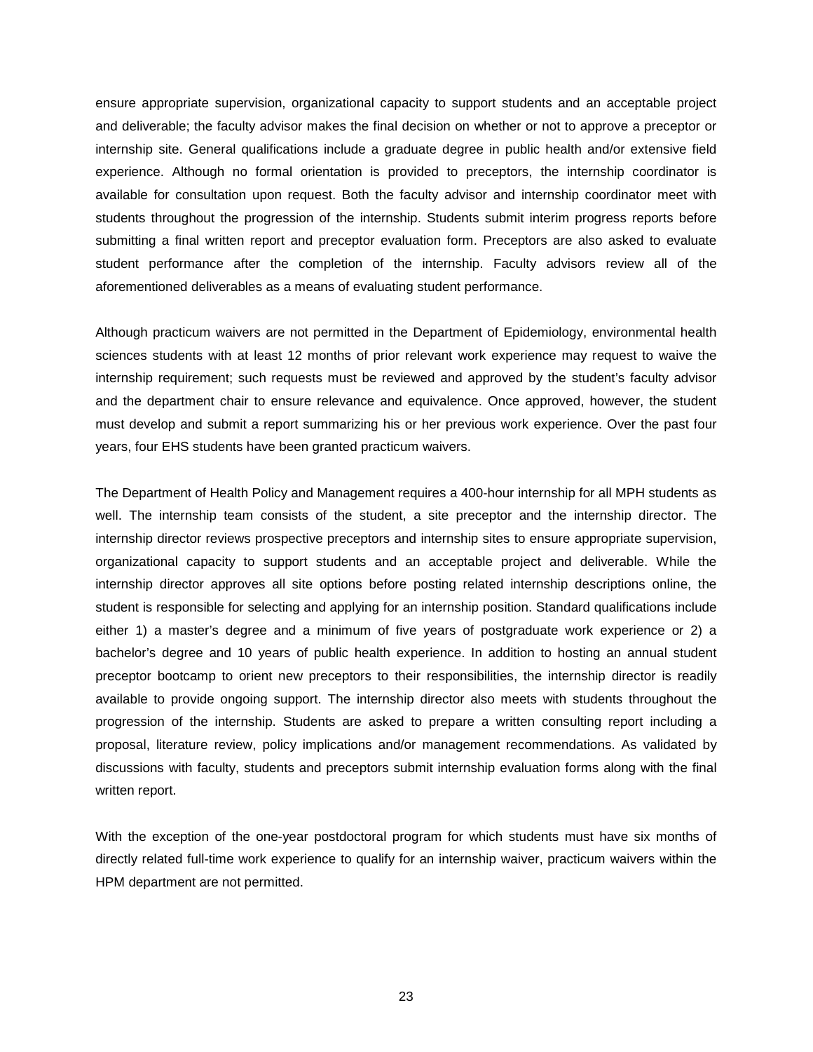ensure appropriate supervision, organizational capacity to support students and an acceptable project and deliverable; the faculty advisor makes the final decision on whether or not to approve a preceptor or internship site. General qualifications include a graduate degree in public health and/or extensive field experience. Although no formal orientation is provided to preceptors, the internship coordinator is available for consultation upon request. Both the faculty advisor and internship coordinator meet with students throughout the progression of the internship. Students submit interim progress reports before submitting a final written report and preceptor evaluation form. Preceptors are also asked to evaluate student performance after the completion of the internship. Faculty advisors review all of the aforementioned deliverables as a means of evaluating student performance.

Although practicum waivers are not permitted in the Department of Epidemiology, environmental health sciences students with at least 12 months of prior relevant work experience may request to waive the internship requirement; such requests must be reviewed and approved by the student's faculty advisor and the department chair to ensure relevance and equivalence. Once approved, however, the student must develop and submit a report summarizing his or her previous work experience. Over the past four years, four EHS students have been granted practicum waivers.

The Department of Health Policy and Management requires a 400-hour internship for all MPH students as well. The internship team consists of the student, a site preceptor and the internship director. The internship director reviews prospective preceptors and internship sites to ensure appropriate supervision, organizational capacity to support students and an acceptable project and deliverable. While the internship director approves all site options before posting related internship descriptions online, the student is responsible for selecting and applying for an internship position. Standard qualifications include either 1) a master's degree and a minimum of five years of postgraduate work experience or 2) a bachelor's degree and 10 years of public health experience. In addition to hosting an annual student preceptor bootcamp to orient new preceptors to their responsibilities, the internship director is readily available to provide ongoing support. The internship director also meets with students throughout the progression of the internship. Students are asked to prepare a written consulting report including a proposal, literature review, policy implications and/or management recommendations. As validated by discussions with faculty, students and preceptors submit internship evaluation forms along with the final written report.

With the exception of the one-year postdoctoral program for which students must have six months of directly related full-time work experience to qualify for an internship waiver, practicum waivers within the HPM department are not permitted.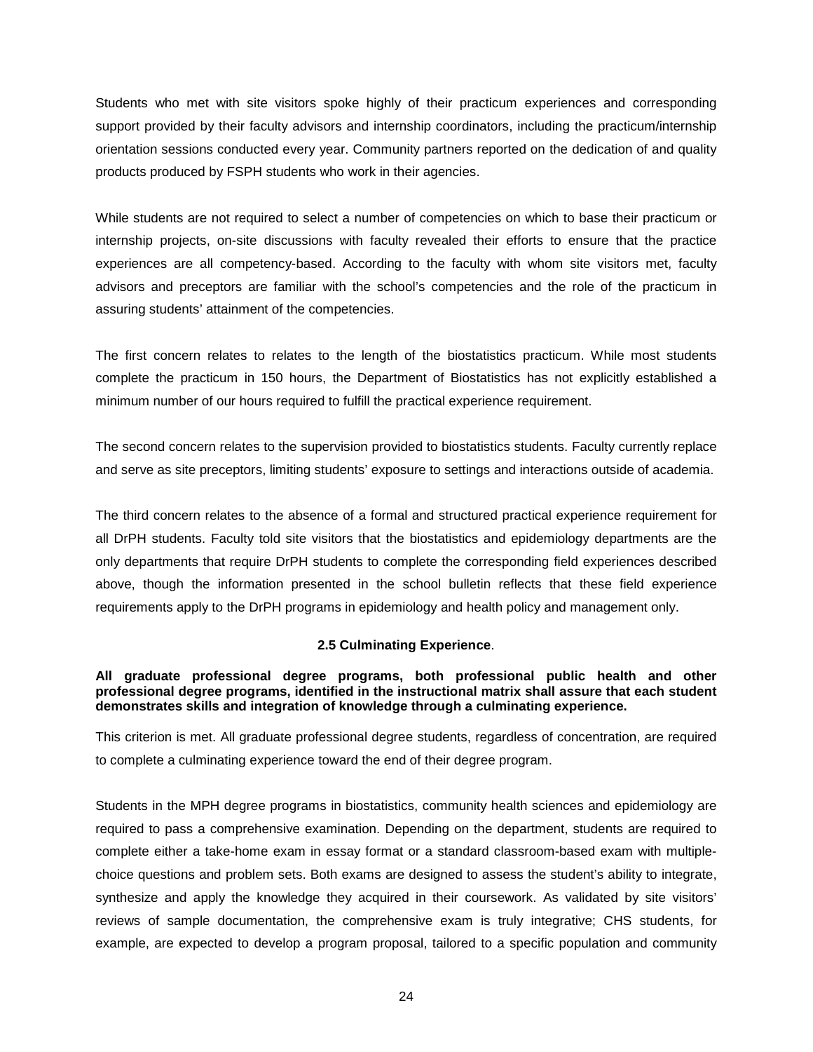Students who met with site visitors spoke highly of their practicum experiences and corresponding support provided by their faculty advisors and internship coordinators, including the practicum/internship orientation sessions conducted every year. Community partners reported on the dedication of and quality products produced by FSPH students who work in their agencies.

While students are not required to select a number of competencies on which to base their practicum or internship projects, on-site discussions with faculty revealed their efforts to ensure that the practice experiences are all competency-based. According to the faculty with whom site visitors met, faculty advisors and preceptors are familiar with the school's competencies and the role of the practicum in assuring students' attainment of the competencies.

The first concern relates to relates to the length of the biostatistics practicum. While most students complete the practicum in 150 hours, the Department of Biostatistics has not explicitly established a minimum number of our hours required to fulfill the practical experience requirement.

The second concern relates to the supervision provided to biostatistics students. Faculty currently replace and serve as site preceptors, limiting students' exposure to settings and interactions outside of academia.

The third concern relates to the absence of a formal and structured practical experience requirement for all DrPH students. Faculty told site visitors that the biostatistics and epidemiology departments are the only departments that require DrPH students to complete the corresponding field experiences described above, though the information presented in the school bulletin reflects that these field experience requirements apply to the DrPH programs in epidemiology and health policy and management only.

## **2.5 Culminating Experience**.

## <span id="page-25-0"></span>**All graduate professional degree programs, both professional public health and other professional degree programs, identified in the instructional matrix shall assure that each student demonstrates skills and integration of knowledge through a culminating experience.**

This criterion is met. All graduate professional degree students, regardless of concentration, are required to complete a culminating experience toward the end of their degree program.

Students in the MPH degree programs in biostatistics, community health sciences and epidemiology are required to pass a comprehensive examination. Depending on the department, students are required to complete either a take-home exam in essay format or a standard classroom-based exam with multiplechoice questions and problem sets. Both exams are designed to assess the student's ability to integrate, synthesize and apply the knowledge they acquired in their coursework. As validated by site visitors' reviews of sample documentation, the comprehensive exam is truly integrative; CHS students, for example, are expected to develop a program proposal, tailored to a specific population and community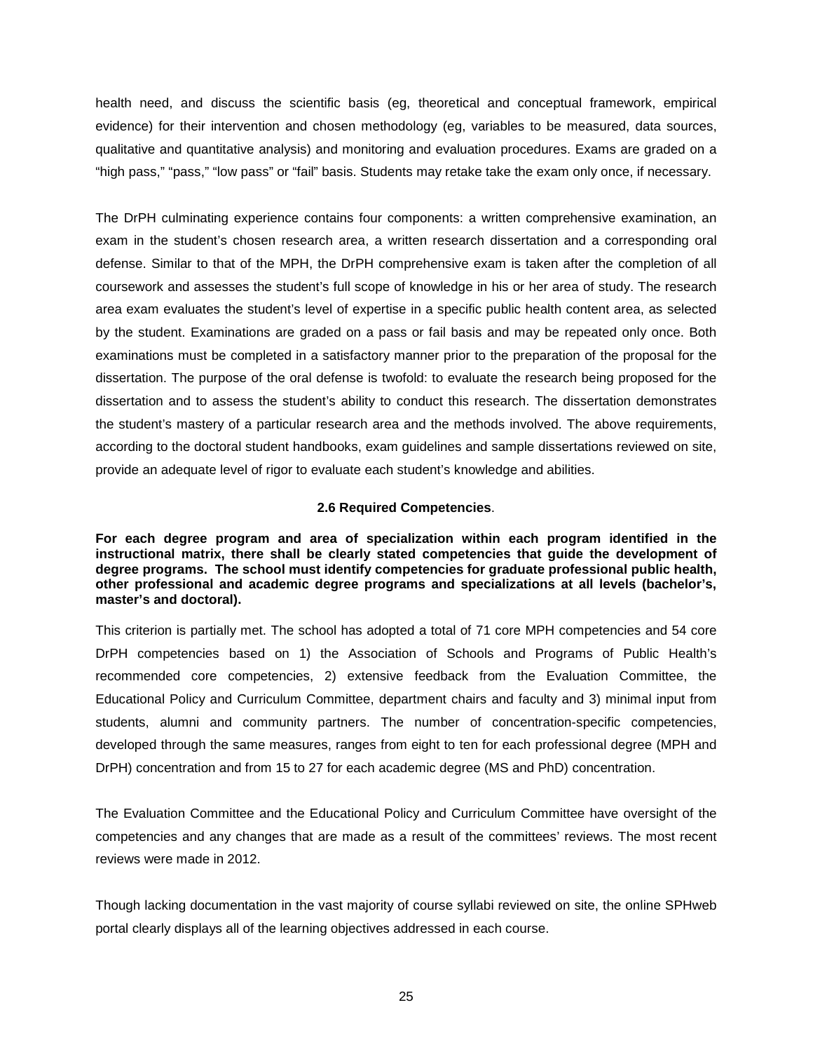health need, and discuss the scientific basis (eg, theoretical and conceptual framework, empirical evidence) for their intervention and chosen methodology (eg, variables to be measured, data sources, qualitative and quantitative analysis) and monitoring and evaluation procedures. Exams are graded on a "high pass," "pass," "low pass" or "fail" basis. Students may retake take the exam only once, if necessary.

The DrPH culminating experience contains four components: a written comprehensive examination, an exam in the student's chosen research area, a written research dissertation and a corresponding oral defense. Similar to that of the MPH, the DrPH comprehensive exam is taken after the completion of all coursework and assesses the student's full scope of knowledge in his or her area of study. The research area exam evaluates the student's level of expertise in a specific public health content area, as selected by the student. Examinations are graded on a pass or fail basis and may be repeated only once. Both examinations must be completed in a satisfactory manner prior to the preparation of the proposal for the dissertation. The purpose of the oral defense is twofold: to evaluate the research being proposed for the dissertation and to assess the student's ability to conduct this research. The dissertation demonstrates the student's mastery of a particular research area and the methods involved. The above requirements, according to the doctoral student handbooks, exam guidelines and sample dissertations reviewed on site, provide an adequate level of rigor to evaluate each student's knowledge and abilities.

### **2.6 Required Competencies**.

<span id="page-26-0"></span>**For each degree program and area of specialization within each program identified in the instructional matrix, there shall be clearly stated competencies that guide the development of degree programs. The school must identify competencies for graduate professional public health, other professional and academic degree programs and specializations at all levels (bachelor's, master's and doctoral).**

This criterion is partially met. The school has adopted a total of 71 core MPH competencies and 54 core DrPH competencies based on 1) the Association of Schools and Programs of Public Health's recommended core competencies, 2) extensive feedback from the Evaluation Committee, the Educational Policy and Curriculum Committee, department chairs and faculty and 3) minimal input from students, alumni and community partners. The number of concentration-specific competencies, developed through the same measures, ranges from eight to ten for each professional degree (MPH and DrPH) concentration and from 15 to 27 for each academic degree (MS and PhD) concentration.

The Evaluation Committee and the Educational Policy and Curriculum Committee have oversight of the competencies and any changes that are made as a result of the committees' reviews. The most recent reviews were made in 2012.

Though lacking documentation in the vast majority of course syllabi reviewed on site, the online SPHweb portal clearly displays all of the learning objectives addressed in each course.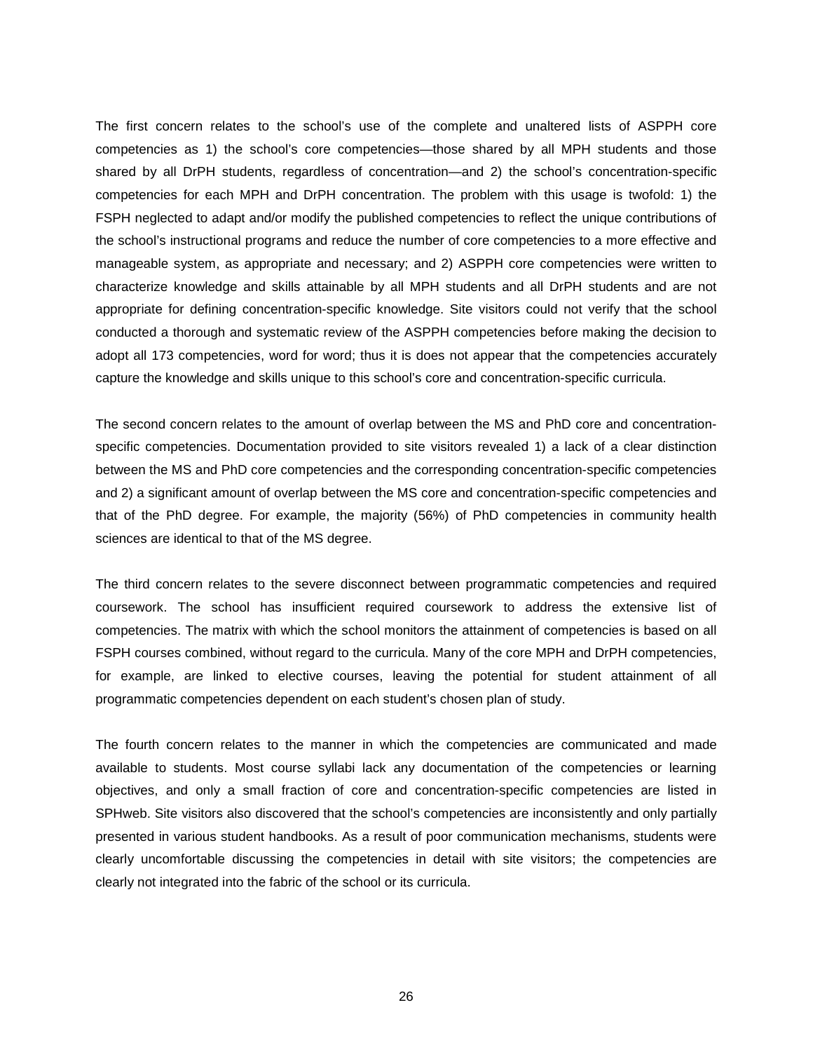The first concern relates to the school's use of the complete and unaltered lists of ASPPH core competencies as 1) the school's core competencies—those shared by all MPH students and those shared by all DrPH students, regardless of concentration—and 2) the school's concentration-specific competencies for each MPH and DrPH concentration. The problem with this usage is twofold: 1) the FSPH neglected to adapt and/or modify the published competencies to reflect the unique contributions of the school's instructional programs and reduce the number of core competencies to a more effective and manageable system, as appropriate and necessary; and 2) ASPPH core competencies were written to characterize knowledge and skills attainable by all MPH students and all DrPH students and are not appropriate for defining concentration-specific knowledge. Site visitors could not verify that the school conducted a thorough and systematic review of the ASPPH competencies before making the decision to adopt all 173 competencies, word for word; thus it is does not appear that the competencies accurately capture the knowledge and skills unique to this school's core and concentration-specific curricula.

The second concern relates to the amount of overlap between the MS and PhD core and concentrationspecific competencies. Documentation provided to site visitors revealed 1) a lack of a clear distinction between the MS and PhD core competencies and the corresponding concentration-specific competencies and 2) a significant amount of overlap between the MS core and concentration-specific competencies and that of the PhD degree. For example, the majority (56%) of PhD competencies in community health sciences are identical to that of the MS degree.

The third concern relates to the severe disconnect between programmatic competencies and required coursework. The school has insufficient required coursework to address the extensive list of competencies. The matrix with which the school monitors the attainment of competencies is based on all FSPH courses combined, without regard to the curricula. Many of the core MPH and DrPH competencies, for example, are linked to elective courses, leaving the potential for student attainment of all programmatic competencies dependent on each student's chosen plan of study.

The fourth concern relates to the manner in which the competencies are communicated and made available to students. Most course syllabi lack any documentation of the competencies or learning objectives, and only a small fraction of core and concentration-specific competencies are listed in SPHweb. Site visitors also discovered that the school's competencies are inconsistently and only partially presented in various student handbooks. As a result of poor communication mechanisms, students were clearly uncomfortable discussing the competencies in detail with site visitors; the competencies are clearly not integrated into the fabric of the school or its curricula.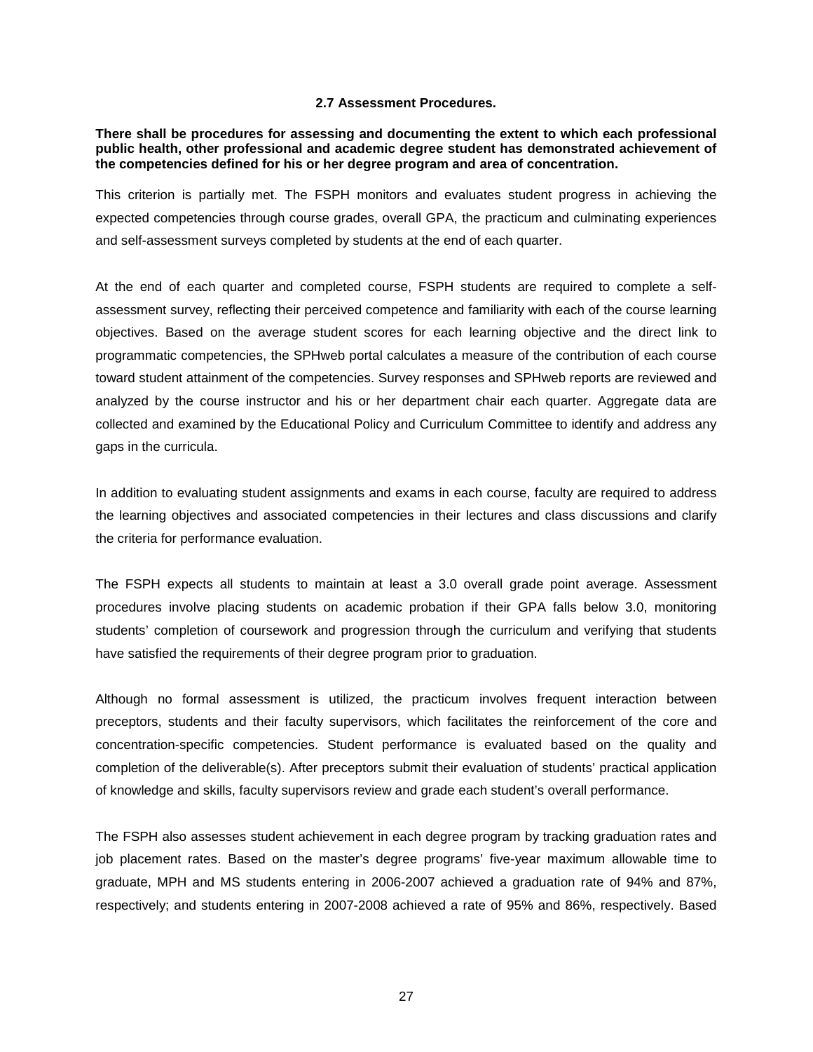### **2.7 Assessment Procedures.**

<span id="page-28-0"></span>**There shall be procedures for assessing and documenting the extent to which each professional public health, other professional and academic degree student has demonstrated achievement of the competencies defined for his or her degree program and area of concentration.**

This criterion is partially met. The FSPH monitors and evaluates student progress in achieving the expected competencies through course grades, overall GPA, the practicum and culminating experiences and self-assessment surveys completed by students at the end of each quarter.

At the end of each quarter and completed course, FSPH students are required to complete a selfassessment survey, reflecting their perceived competence and familiarity with each of the course learning objectives. Based on the average student scores for each learning objective and the direct link to programmatic competencies, the SPHweb portal calculates a measure of the contribution of each course toward student attainment of the competencies. Survey responses and SPHweb reports are reviewed and analyzed by the course instructor and his or her department chair each quarter. Aggregate data are collected and examined by the Educational Policy and Curriculum Committee to identify and address any gaps in the curricula.

In addition to evaluating student assignments and exams in each course, faculty are required to address the learning objectives and associated competencies in their lectures and class discussions and clarify the criteria for performance evaluation.

The FSPH expects all students to maintain at least a 3.0 overall grade point average. Assessment procedures involve placing students on academic probation if their GPA falls below 3.0, monitoring students' completion of coursework and progression through the curriculum and verifying that students have satisfied the requirements of their degree program prior to graduation.

Although no formal assessment is utilized, the practicum involves frequent interaction between preceptors, students and their faculty supervisors, which facilitates the reinforcement of the core and concentration-specific competencies. Student performance is evaluated based on the quality and completion of the deliverable(s). After preceptors submit their evaluation of students' practical application of knowledge and skills, faculty supervisors review and grade each student's overall performance.

The FSPH also assesses student achievement in each degree program by tracking graduation rates and job placement rates. Based on the master's degree programs' five-year maximum allowable time to graduate, MPH and MS students entering in 2006-2007 achieved a graduation rate of 94% and 87%, respectively; and students entering in 2007-2008 achieved a rate of 95% and 86%, respectively. Based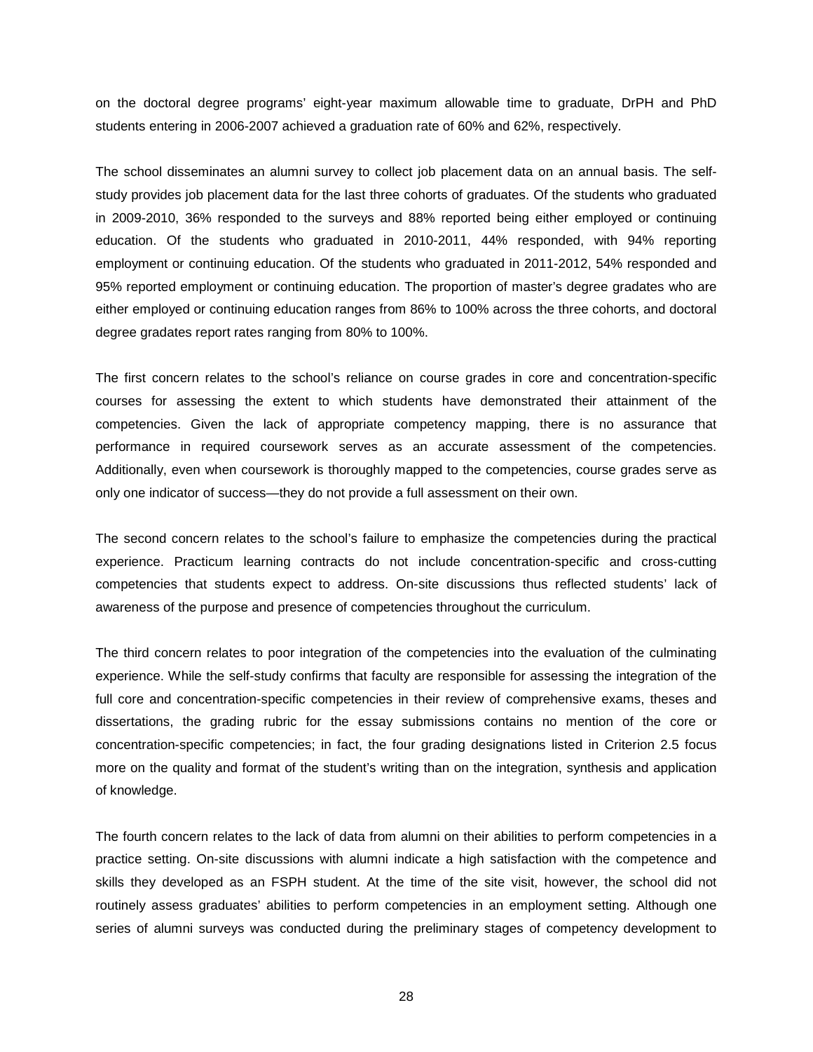on the doctoral degree programs' eight-year maximum allowable time to graduate, DrPH and PhD students entering in 2006-2007 achieved a graduation rate of 60% and 62%, respectively.

The school disseminates an alumni survey to collect job placement data on an annual basis. The selfstudy provides job placement data for the last three cohorts of graduates. Of the students who graduated in 2009-2010, 36% responded to the surveys and 88% reported being either employed or continuing education. Of the students who graduated in 2010-2011, 44% responded, with 94% reporting employment or continuing education. Of the students who graduated in 2011-2012, 54% responded and 95% reported employment or continuing education. The proportion of master's degree gradates who are either employed or continuing education ranges from 86% to 100% across the three cohorts, and doctoral degree gradates report rates ranging from 80% to 100%.

The first concern relates to the school's reliance on course grades in core and concentration-specific courses for assessing the extent to which students have demonstrated their attainment of the competencies. Given the lack of appropriate competency mapping, there is no assurance that performance in required coursework serves as an accurate assessment of the competencies. Additionally, even when coursework is thoroughly mapped to the competencies, course grades serve as only one indicator of success—they do not provide a full assessment on their own.

The second concern relates to the school's failure to emphasize the competencies during the practical experience. Practicum learning contracts do not include concentration-specific and cross-cutting competencies that students expect to address. On-site discussions thus reflected students' lack of awareness of the purpose and presence of competencies throughout the curriculum.

The third concern relates to poor integration of the competencies into the evaluation of the culminating experience. While the self-study confirms that faculty are responsible for assessing the integration of the full core and concentration-specific competencies in their review of comprehensive exams, theses and dissertations, the grading rubric for the essay submissions contains no mention of the core or concentration-specific competencies; in fact, the four grading designations listed in Criterion 2.5 focus more on the quality and format of the student's writing than on the integration, synthesis and application of knowledge.

The fourth concern relates to the lack of data from alumni on their abilities to perform competencies in a practice setting. On-site discussions with alumni indicate a high satisfaction with the competence and skills they developed as an FSPH student. At the time of the site visit, however, the school did not routinely assess graduates' abilities to perform competencies in an employment setting. Although one series of alumni surveys was conducted during the preliminary stages of competency development to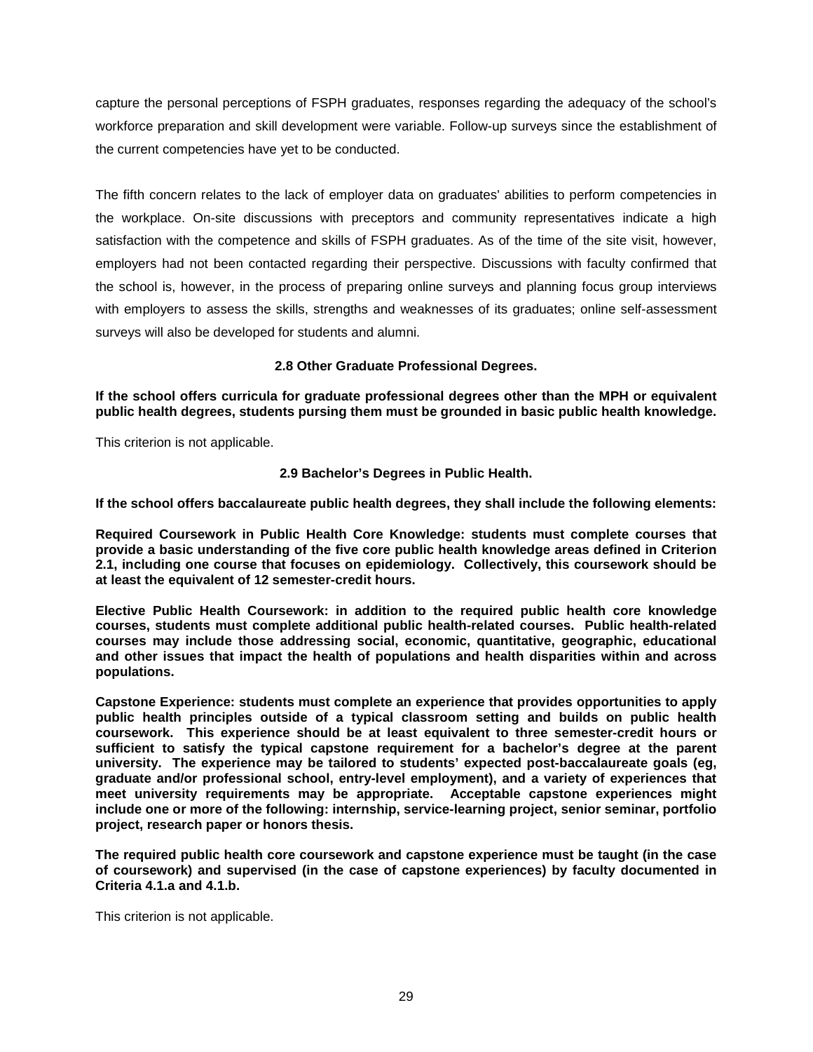capture the personal perceptions of FSPH graduates, responses regarding the adequacy of the school's workforce preparation and skill development were variable. Follow-up surveys since the establishment of the current competencies have yet to be conducted.

The fifth concern relates to the lack of employer data on graduates' abilities to perform competencies in the workplace. On-site discussions with preceptors and community representatives indicate a high satisfaction with the competence and skills of FSPH graduates. As of the time of the site visit, however, employers had not been contacted regarding their perspective. Discussions with faculty confirmed that the school is, however, in the process of preparing online surveys and planning focus group interviews with employers to assess the skills, strengths and weaknesses of its graduates; online self-assessment surveys will also be developed for students and alumni.

## **2.8 Other Graduate Professional Degrees.**

<span id="page-30-0"></span>**If the school offers curricula for graduate professional degrees other than the MPH or equivalent public health degrees, students pursing them must be grounded in basic public health knowledge.**

<span id="page-30-1"></span>This criterion is not applicable.

## **2.9 Bachelor's Degrees in Public Health.**

**If the school offers baccalaureate public health degrees, they shall include the following elements:**

**Required Coursework in Public Health Core Knowledge: students must complete courses that provide a basic understanding of the five core public health knowledge areas defined in Criterion 2.1, including one course that focuses on epidemiology. Collectively, this coursework should be at least the equivalent of 12 semester-credit hours.**

**Elective Public Health Coursework: in addition to the required public health core knowledge courses, students must complete additional public health-related courses. Public health-related courses may include those addressing social, economic, quantitative, geographic, educational and other issues that impact the health of populations and health disparities within and across populations.**

**Capstone Experience: students must complete an experience that provides opportunities to apply public health principles outside of a typical classroom setting and builds on public health coursework. This experience should be at least equivalent to three semester-credit hours or sufficient to satisfy the typical capstone requirement for a bachelor's degree at the parent university. The experience may be tailored to students' expected post-baccalaureate goals (eg, graduate and/or professional school, entry-level employment), and a variety of experiences that meet university requirements may be appropriate. Acceptable capstone experiences might include one or more of the following: internship, service-learning project, senior seminar, portfolio project, research paper or honors thesis.**

**The required public health core coursework and capstone experience must be taught (in the case of coursework) and supervised (in the case of capstone experiences) by faculty documented in Criteria 4.1.a and 4.1.b.**

This criterion is not applicable.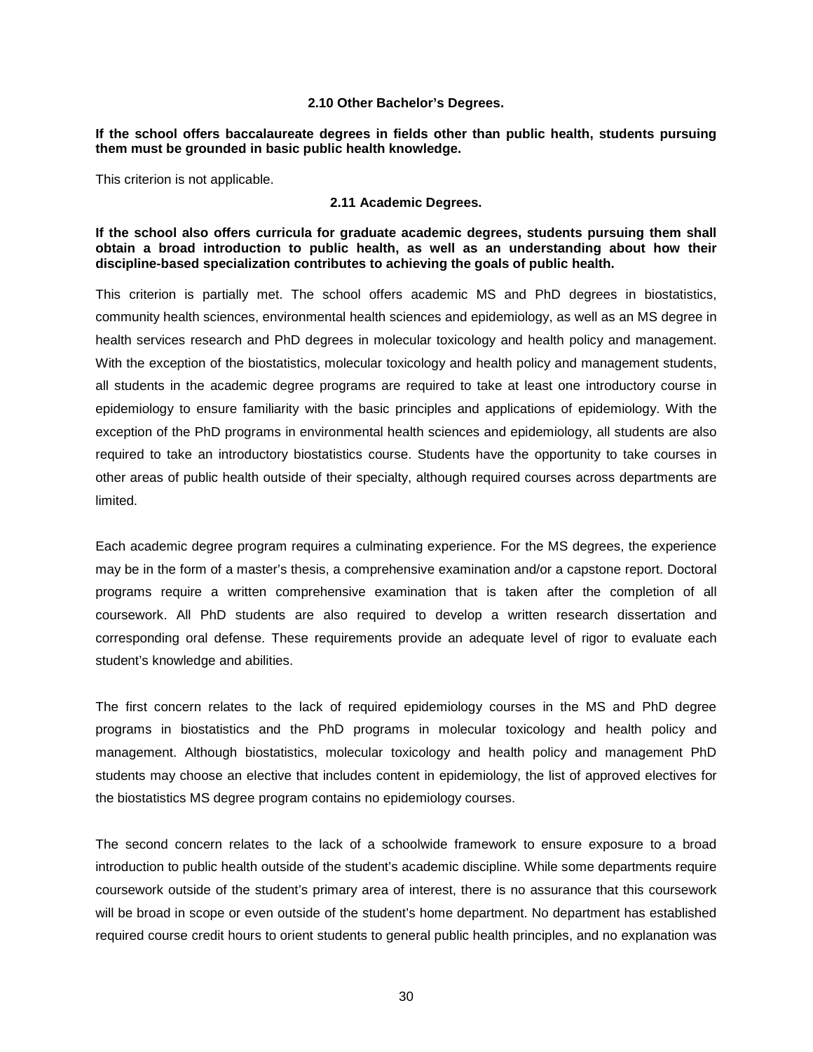### **2.10 Other Bachelor's Degrees.**

### <span id="page-31-0"></span>**If the school offers baccalaureate degrees in fields other than public health, students pursuing them must be grounded in basic public health knowledge.**

<span id="page-31-1"></span>This criterion is not applicable.

#### **2.11 Academic Degrees.**

**If the school also offers curricula for graduate academic degrees, students pursuing them shall obtain a broad introduction to public health, as well as an understanding about how their discipline-based specialization contributes to achieving the goals of public health.**

This criterion is partially met. The school offers academic MS and PhD degrees in biostatistics, community health sciences, environmental health sciences and epidemiology, as well as an MS degree in health services research and PhD degrees in molecular toxicology and health policy and management. With the exception of the biostatistics, molecular toxicology and health policy and management students, all students in the academic degree programs are required to take at least one introductory course in epidemiology to ensure familiarity with the basic principles and applications of epidemiology. With the exception of the PhD programs in environmental health sciences and epidemiology, all students are also required to take an introductory biostatistics course. Students have the opportunity to take courses in other areas of public health outside of their specialty, although required courses across departments are limited.

Each academic degree program requires a culminating experience. For the MS degrees, the experience may be in the form of a master's thesis, a comprehensive examination and/or a capstone report. Doctoral programs require a written comprehensive examination that is taken after the completion of all coursework. All PhD students are also required to develop a written research dissertation and corresponding oral defense. These requirements provide an adequate level of rigor to evaluate each student's knowledge and abilities.

The first concern relates to the lack of required epidemiology courses in the MS and PhD degree programs in biostatistics and the PhD programs in molecular toxicology and health policy and management. Although biostatistics, molecular toxicology and health policy and management PhD students may choose an elective that includes content in epidemiology, the list of approved electives for the biostatistics MS degree program contains no epidemiology courses.

The second concern relates to the lack of a schoolwide framework to ensure exposure to a broad introduction to public health outside of the student's academic discipline. While some departments require coursework outside of the student's primary area of interest, there is no assurance that this coursework will be broad in scope or even outside of the student's home department. No department has established required course credit hours to orient students to general public health principles, and no explanation was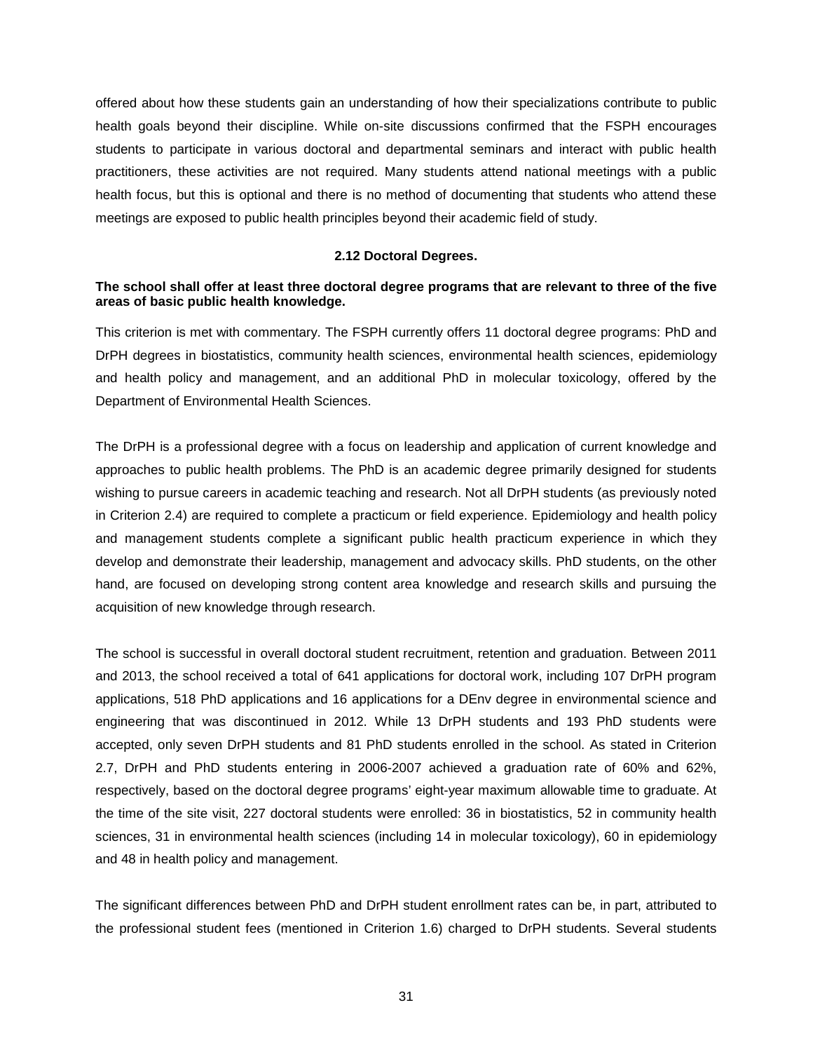offered about how these students gain an understanding of how their specializations contribute to public health goals beyond their discipline. While on-site discussions confirmed that the FSPH encourages students to participate in various doctoral and departmental seminars and interact with public health practitioners, these activities are not required. Many students attend national meetings with a public health focus, but this is optional and there is no method of documenting that students who attend these meetings are exposed to public health principles beyond their academic field of study.

### **2.12 Doctoral Degrees.**

## <span id="page-32-0"></span>**The school shall offer at least three doctoral degree programs that are relevant to three of the five areas of basic public health knowledge.**

This criterion is met with commentary. The FSPH currently offers 11 doctoral degree programs: PhD and DrPH degrees in biostatistics, community health sciences, environmental health sciences, epidemiology and health policy and management, and an additional PhD in molecular toxicology, offered by the Department of Environmental Health Sciences.

The DrPH is a professional degree with a focus on leadership and application of current knowledge and approaches to public health problems. The PhD is an academic degree primarily designed for students wishing to pursue careers in academic teaching and research. Not all DrPH students (as previously noted in Criterion 2.4) are required to complete a practicum or field experience. Epidemiology and health policy and management students complete a significant public health practicum experience in which they develop and demonstrate their leadership, management and advocacy skills. PhD students, on the other hand, are focused on developing strong content area knowledge and research skills and pursuing the acquisition of new knowledge through research.

The school is successful in overall doctoral student recruitment, retention and graduation. Between 2011 and 2013, the school received a total of 641 applications for doctoral work, including 107 DrPH program applications, 518 PhD applications and 16 applications for a DEnv degree in environmental science and engineering that was discontinued in 2012. While 13 DrPH students and 193 PhD students were accepted, only seven DrPH students and 81 PhD students enrolled in the school. As stated in Criterion 2.7, DrPH and PhD students entering in 2006-2007 achieved a graduation rate of 60% and 62%, respectively, based on the doctoral degree programs' eight-year maximum allowable time to graduate. At the time of the site visit, 227 doctoral students were enrolled: 36 in biostatistics, 52 in community health sciences, 31 in environmental health sciences (including 14 in molecular toxicology), 60 in epidemiology and 48 in health policy and management.

The significant differences between PhD and DrPH student enrollment rates can be, in part, attributed to the professional student fees (mentioned in Criterion 1.6) charged to DrPH students. Several students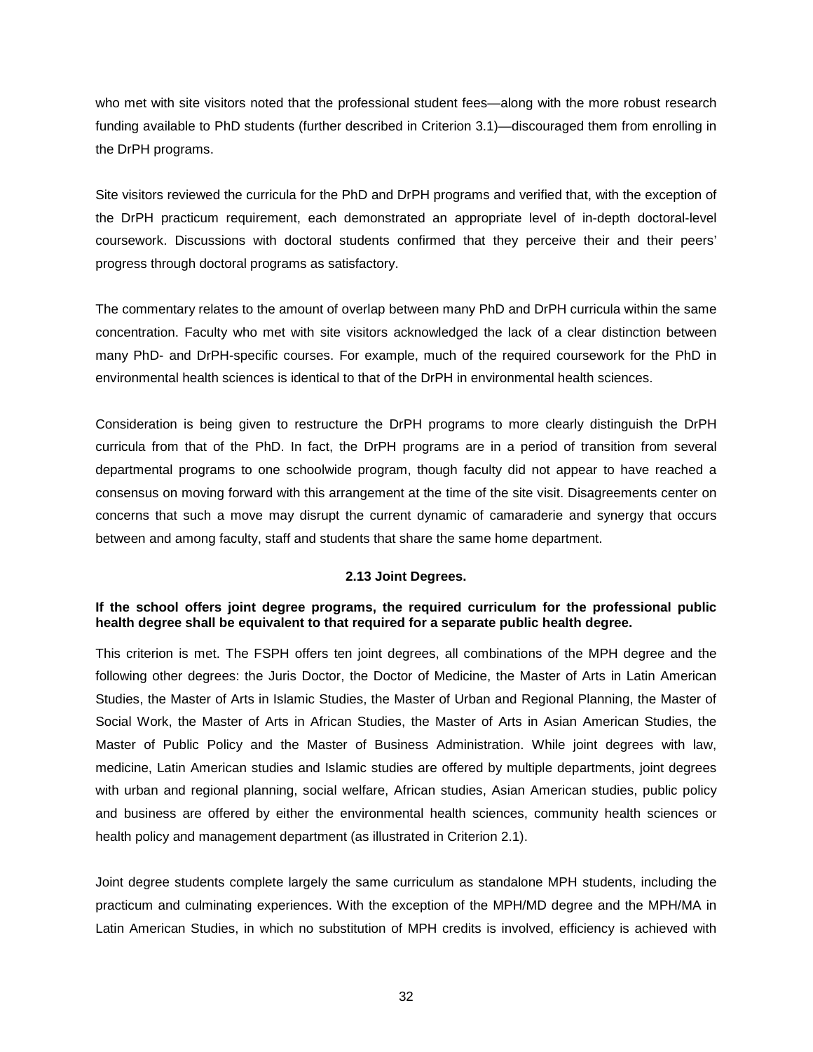who met with site visitors noted that the professional student fees—along with the more robust research funding available to PhD students (further described in Criterion 3.1)—discouraged them from enrolling in the DrPH programs.

Site visitors reviewed the curricula for the PhD and DrPH programs and verified that, with the exception of the DrPH practicum requirement, each demonstrated an appropriate level of in-depth doctoral-level coursework. Discussions with doctoral students confirmed that they perceive their and their peers' progress through doctoral programs as satisfactory.

The commentary relates to the amount of overlap between many PhD and DrPH curricula within the same concentration. Faculty who met with site visitors acknowledged the lack of a clear distinction between many PhD- and DrPH-specific courses. For example, much of the required coursework for the PhD in environmental health sciences is identical to that of the DrPH in environmental health sciences.

Consideration is being given to restructure the DrPH programs to more clearly distinguish the DrPH curricula from that of the PhD. In fact, the DrPH programs are in a period of transition from several departmental programs to one schoolwide program, though faculty did not appear to have reached a consensus on moving forward with this arrangement at the time of the site visit. Disagreements center on concerns that such a move may disrupt the current dynamic of camaraderie and synergy that occurs between and among faculty, staff and students that share the same home department.

### **2.13 Joint Degrees.**

### <span id="page-33-0"></span>**If the school offers joint degree programs, the required curriculum for the professional public health degree shall be equivalent to that required for a separate public health degree.**

This criterion is met. The FSPH offers ten joint degrees, all combinations of the MPH degree and the following other degrees: the Juris Doctor, the Doctor of Medicine, the Master of Arts in Latin American Studies, the Master of Arts in Islamic Studies, the Master of Urban and Regional Planning, the Master of Social Work, the Master of Arts in African Studies, the Master of Arts in Asian American Studies, the Master of Public Policy and the Master of Business Administration. While joint degrees with law, medicine, Latin American studies and Islamic studies are offered by multiple departments, joint degrees with urban and regional planning, social welfare, African studies, Asian American studies, public policy and business are offered by either the environmental health sciences, community health sciences or health policy and management department (as illustrated in Criterion 2.1).

Joint degree students complete largely the same curriculum as standalone MPH students, including the practicum and culminating experiences. With the exception of the MPH/MD degree and the MPH/MA in Latin American Studies, in which no substitution of MPH credits is involved, efficiency is achieved with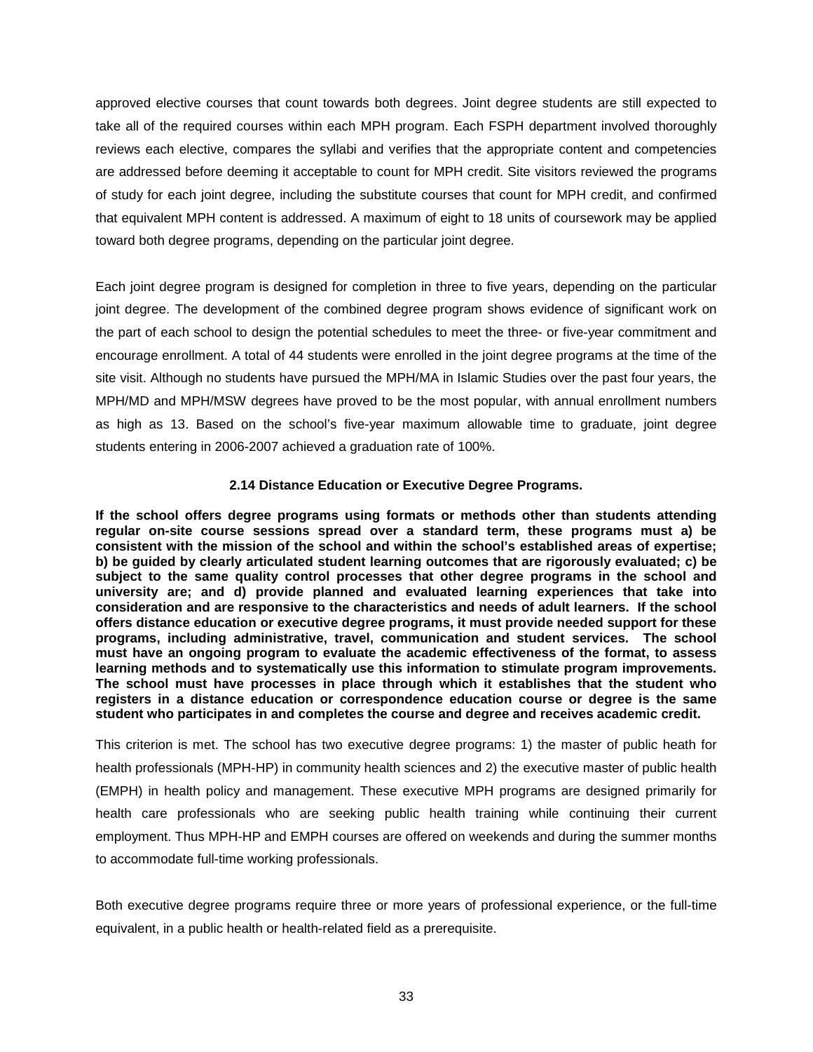approved elective courses that count towards both degrees. Joint degree students are still expected to take all of the required courses within each MPH program. Each FSPH department involved thoroughly reviews each elective, compares the syllabi and verifies that the appropriate content and competencies are addressed before deeming it acceptable to count for MPH credit. Site visitors reviewed the programs of study for each joint degree, including the substitute courses that count for MPH credit, and confirmed that equivalent MPH content is addressed. A maximum of eight to 18 units of coursework may be applied toward both degree programs, depending on the particular joint degree.

Each joint degree program is designed for completion in three to five years, depending on the particular joint degree. The development of the combined degree program shows evidence of significant work on the part of each school to design the potential schedules to meet the three- or five-year commitment and encourage enrollment. A total of 44 students were enrolled in the joint degree programs at the time of the site visit. Although no students have pursued the MPH/MA in Islamic Studies over the past four years, the MPH/MD and MPH/MSW degrees have proved to be the most popular, with annual enrollment numbers as high as 13. Based on the school's five-year maximum allowable time to graduate, joint degree students entering in 2006-2007 achieved a graduation rate of 100%.

## **2.14 Distance Education or Executive Degree Programs.**

<span id="page-34-0"></span>**If the school offers degree programs using formats or methods other than students attending regular on-site course sessions spread over a standard term, these programs must a) be consistent with the mission of the school and within the school's established areas of expertise; b) be guided by clearly articulated student learning outcomes that are rigorously evaluated; c) be subject to the same quality control processes that other degree programs in the school and university are; and d) provide planned and evaluated learning experiences that take into consideration and are responsive to the characteristics and needs of adult learners. If the school offers distance education or executive degree programs, it must provide needed support for these programs, including administrative, travel, communication and student services. The school must have an ongoing program to evaluate the academic effectiveness of the format, to assess learning methods and to systematically use this information to stimulate program improvements. The school must have processes in place through which it establishes that the student who registers in a distance education or correspondence education course or degree is the same student who participates in and completes the course and degree and receives academic credit.**

This criterion is met. The school has two executive degree programs: 1) the master of public heath for health professionals (MPH-HP) in community health sciences and 2) the executive master of public health (EMPH) in health policy and management. These executive MPH programs are designed primarily for health care professionals who are seeking public health training while continuing their current employment. Thus MPH-HP and EMPH courses are offered on weekends and during the summer months to accommodate full-time working professionals.

Both executive degree programs require three or more years of professional experience, or the full-time equivalent, in a public health or health-related field as a prerequisite.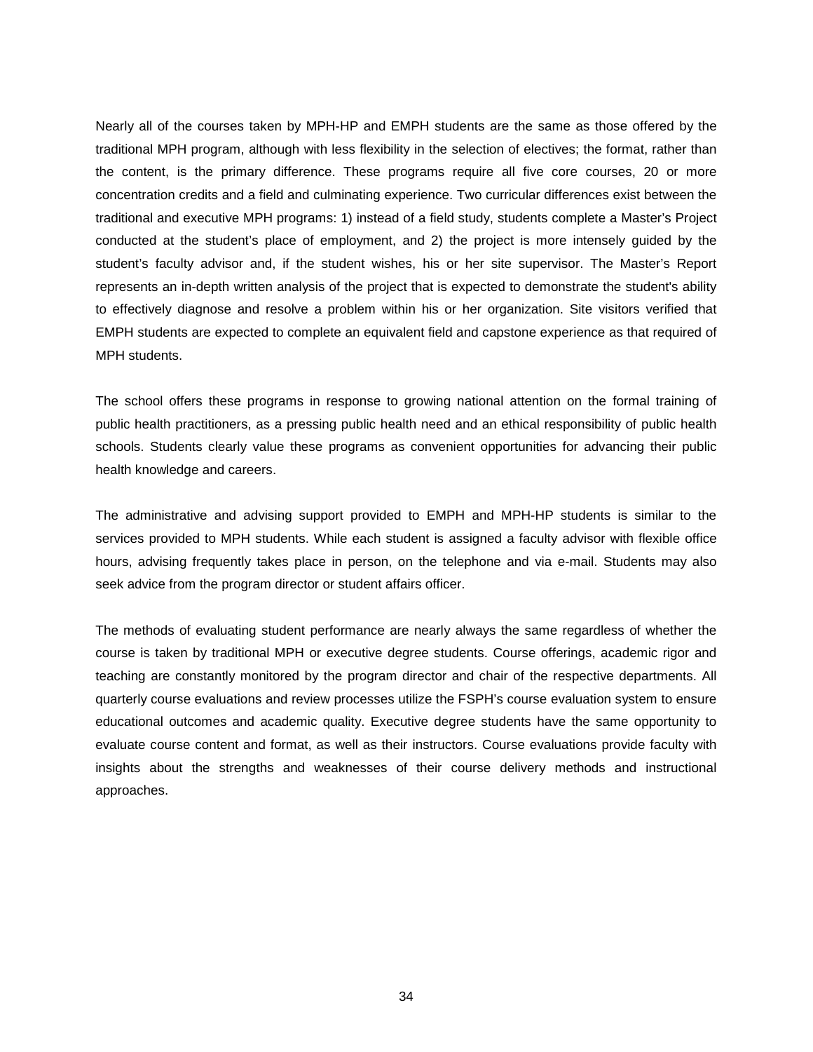Nearly all of the courses taken by MPH-HP and EMPH students are the same as those offered by the traditional MPH program, although with less flexibility in the selection of electives; the format, rather than the content, is the primary difference. These programs require all five core courses, 20 or more concentration credits and a field and culminating experience. Two curricular differences exist between the traditional and executive MPH programs: 1) instead of a field study, students complete a Master's Project conducted at the student's place of employment, and 2) the project is more intensely guided by the student's faculty advisor and, if the student wishes, his or her site supervisor. The Master's Report represents an in-depth written analysis of the project that is expected to demonstrate the student's ability to effectively diagnose and resolve a problem within his or her organization. Site visitors verified that EMPH students are expected to complete an equivalent field and capstone experience as that required of MPH students.

The school offers these programs in response to growing national attention on the formal training of public health practitioners, as a pressing public health need and an ethical responsibility of public health schools. Students clearly value these programs as convenient opportunities for advancing their public health knowledge and careers.

The administrative and advising support provided to EMPH and MPH-HP students is similar to the services provided to MPH students. While each student is assigned a faculty advisor with flexible office hours, advising frequently takes place in person, on the telephone and via e-mail. Students may also seek advice from the program director or student affairs officer.

The methods of evaluating student performance are nearly always the same regardless of whether the course is taken by traditional MPH or executive degree students. Course offerings, academic rigor and teaching are constantly monitored by the program director and chair of the respective departments. All quarterly course evaluations and review processes utilize the FSPH's course evaluation system to ensure educational outcomes and academic quality. Executive degree students have the same opportunity to evaluate course content and format, as well as their instructors. Course evaluations provide faculty with insights about the strengths and weaknesses of their course delivery methods and instructional approaches.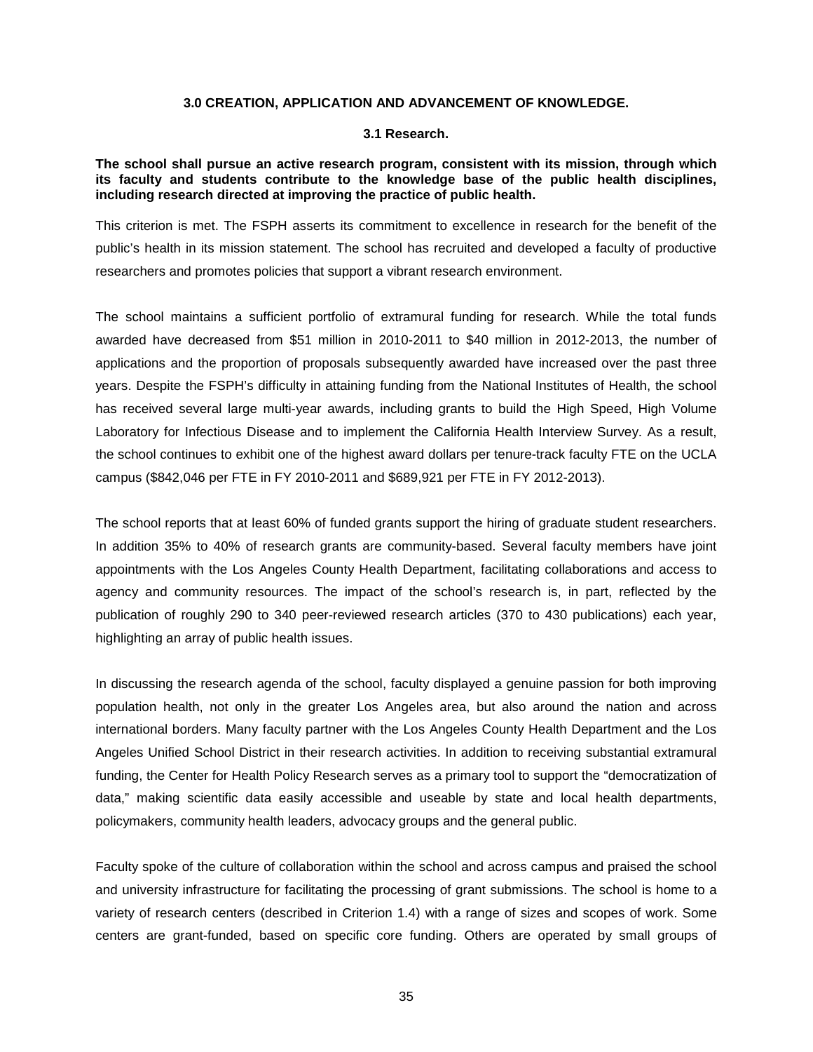### **3.0 CREATION, APPLICATION AND ADVANCEMENT OF KNOWLEDGE.**

### **3.1 Research.**

## <span id="page-36-1"></span><span id="page-36-0"></span>**The school shall pursue an active research program, consistent with its mission, through which its faculty and students contribute to the knowledge base of the public health disciplines, including research directed at improving the practice of public health.**

This criterion is met. The FSPH asserts its commitment to excellence in research for the benefit of the public's health in its mission statement. The school has recruited and developed a faculty of productive researchers and promotes policies that support a vibrant research environment.

The school maintains a sufficient portfolio of extramural funding for research. While the total funds awarded have decreased from \$51 million in 2010-2011 to \$40 million in 2012-2013, the number of applications and the proportion of proposals subsequently awarded have increased over the past three years. Despite the FSPH's difficulty in attaining funding from the National Institutes of Health, the school has received several large multi-year awards, including grants to build the High Speed, High Volume Laboratory for Infectious Disease and to implement the California Health Interview Survey. As a result, the school continues to exhibit one of the highest award dollars per tenure-track faculty FTE on the UCLA campus (\$842,046 per FTE in FY 2010-2011 and \$689,921 per FTE in FY 2012-2013).

The school reports that at least 60% of funded grants support the hiring of graduate student researchers. In addition 35% to 40% of research grants are community-based. Several faculty members have joint appointments with the Los Angeles County Health Department, facilitating collaborations and access to agency and community resources. The impact of the school's research is, in part, reflected by the publication of roughly 290 to 340 peer-reviewed research articles (370 to 430 publications) each year, highlighting an array of public health issues.

In discussing the research agenda of the school, faculty displayed a genuine passion for both improving population health, not only in the greater Los Angeles area, but also around the nation and across international borders. Many faculty partner with the Los Angeles County Health Department and the Los Angeles Unified School District in their research activities. In addition to receiving substantial extramural funding, the Center for Health Policy Research serves as a primary tool to support the "democratization of data," making scientific data easily accessible and useable by state and local health departments, policymakers, community health leaders, advocacy groups and the general public.

Faculty spoke of the culture of collaboration within the school and across campus and praised the school and university infrastructure for facilitating the processing of grant submissions. The school is home to a variety of research centers (described in Criterion 1.4) with a range of sizes and scopes of work. Some centers are grant-funded, based on specific core funding. Others are operated by small groups of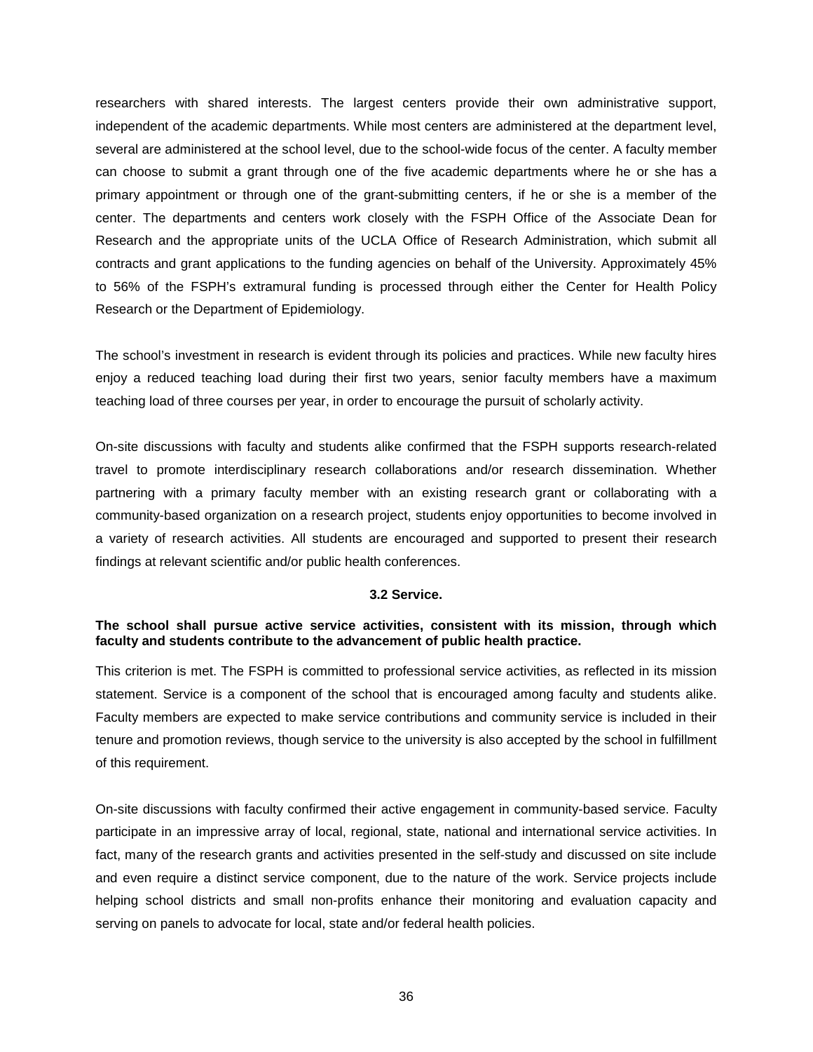researchers with shared interests. The largest centers provide their own administrative support, independent of the academic departments. While most centers are administered at the department level, several are administered at the school level, due to the school-wide focus of the center. A faculty member can choose to submit a grant through one of the five academic departments where he or she has a primary appointment or through one of the grant-submitting centers, if he or she is a member of the center. The departments and centers work closely with the FSPH Office of the Associate Dean for Research and the appropriate units of the UCLA Office of Research Administration, which submit all contracts and grant applications to the funding agencies on behalf of the University. Approximately 45% to 56% of the FSPH's extramural funding is processed through either the Center for Health Policy Research or the Department of Epidemiology.

The school's investment in research is evident through its policies and practices. While new faculty hires enjoy a reduced teaching load during their first two years, senior faculty members have a maximum teaching load of three courses per year, in order to encourage the pursuit of scholarly activity.

On-site discussions with faculty and students alike confirmed that the FSPH supports research-related travel to promote interdisciplinary research collaborations and/or research dissemination. Whether partnering with a primary faculty member with an existing research grant or collaborating with a community-based organization on a research project, students enjoy opportunities to become involved in a variety of research activities. All students are encouraged and supported to present their research findings at relevant scientific and/or public health conferences.

### **3.2 Service.**

### <span id="page-37-0"></span>**The school shall pursue active service activities, consistent with its mission, through which faculty and students contribute to the advancement of public health practice.**

This criterion is met. The FSPH is committed to professional service activities, as reflected in its mission statement. Service is a component of the school that is encouraged among faculty and students alike. Faculty members are expected to make service contributions and community service is included in their tenure and promotion reviews, though service to the university is also accepted by the school in fulfillment of this requirement.

On-site discussions with faculty confirmed their active engagement in community-based service. Faculty participate in an impressive array of local, regional, state, national and international service activities. In fact, many of the research grants and activities presented in the self-study and discussed on site include and even require a distinct service component, due to the nature of the work. Service projects include helping school districts and small non-profits enhance their monitoring and evaluation capacity and serving on panels to advocate for local, state and/or federal health policies.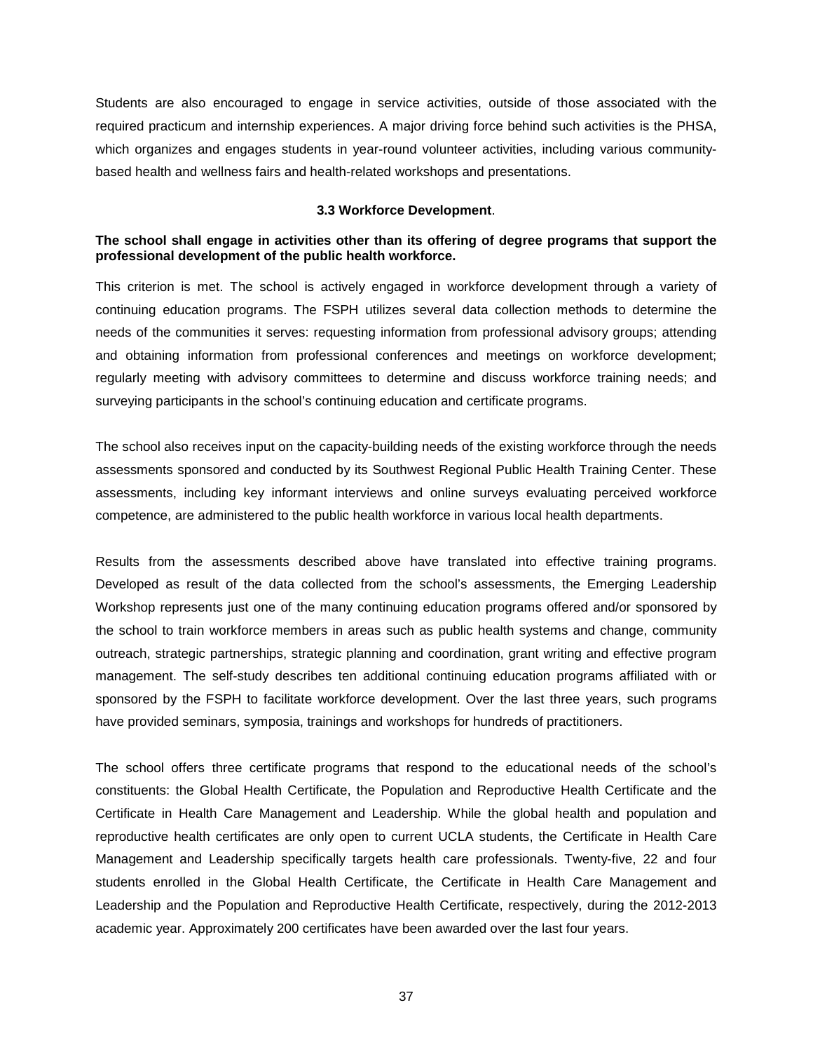Students are also encouraged to engage in service activities, outside of those associated with the required practicum and internship experiences. A major driving force behind such activities is the PHSA, which organizes and engages students in year-round volunteer activities, including various communitybased health and wellness fairs and health-related workshops and presentations.

### **3.3 Workforce Development**.

## <span id="page-38-0"></span>**The school shall engage in activities other than its offering of degree programs that support the professional development of the public health workforce.**

This criterion is met. The school is actively engaged in workforce development through a variety of continuing education programs. The FSPH utilizes several data collection methods to determine the needs of the communities it serves: requesting information from professional advisory groups; attending and obtaining information from professional conferences and meetings on workforce development; regularly meeting with advisory committees to determine and discuss workforce training needs; and surveying participants in the school's continuing education and certificate programs.

The school also receives input on the capacity-building needs of the existing workforce through the needs assessments sponsored and conducted by its Southwest Regional Public Health Training Center. These assessments, including key informant interviews and online surveys evaluating perceived workforce competence, are administered to the public health workforce in various local health departments.

Results from the assessments described above have translated into effective training programs. Developed as result of the data collected from the school's assessments, the Emerging Leadership Workshop represents just one of the many continuing education programs offered and/or sponsored by the school to train workforce members in areas such as public health systems and change, community outreach, strategic partnerships, strategic planning and coordination, grant writing and effective program management. The self-study describes ten additional continuing education programs affiliated with or sponsored by the FSPH to facilitate workforce development. Over the last three years, such programs have provided seminars, symposia, trainings and workshops for hundreds of practitioners.

The school offers three certificate programs that respond to the educational needs of the school's constituents: the Global Health Certificate, the Population and Reproductive Health Certificate and the Certificate in Health Care Management and Leadership. While the global health and population and reproductive health certificates are only open to current UCLA students, the Certificate in Health Care Management and Leadership specifically targets health care professionals. Twenty-five, 22 and four students enrolled in the Global Health Certificate, the Certificate in Health Care Management and Leadership and the Population and Reproductive Health Certificate, respectively, during the 2012-2013 academic year. Approximately 200 certificates have been awarded over the last four years.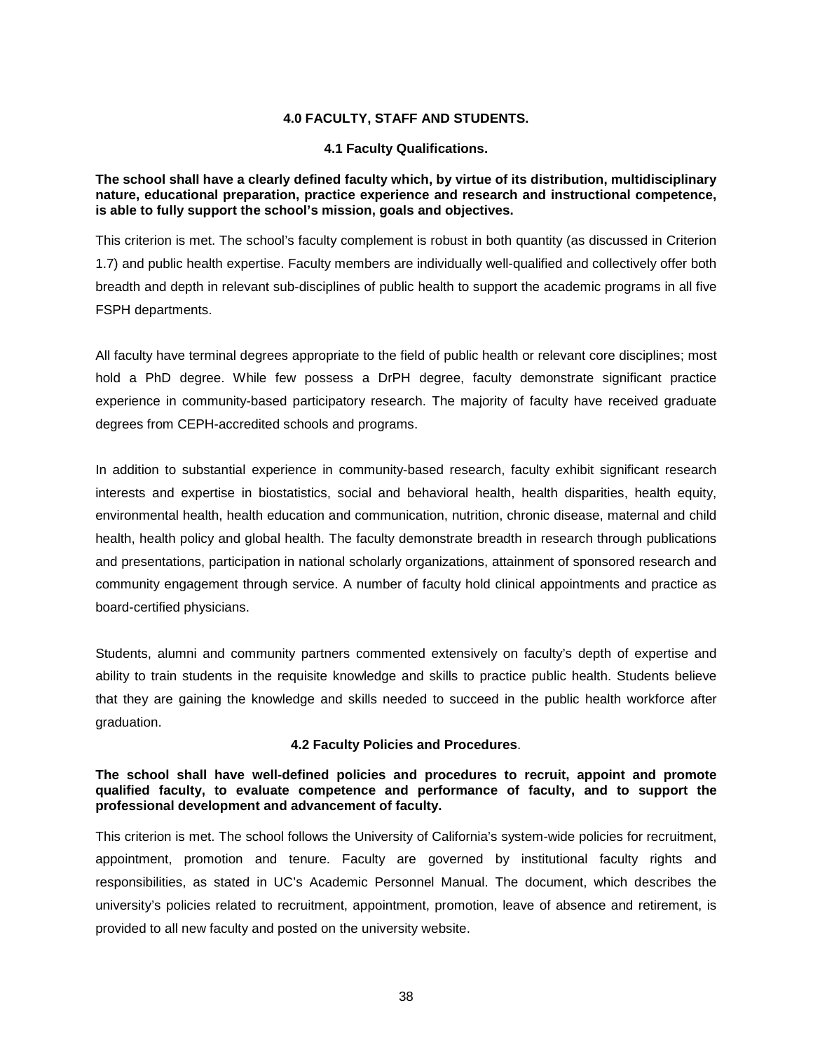### **4.0 FACULTY, STAFF AND STUDENTS.**

### **4.1 Faculty Qualifications.**

## <span id="page-39-1"></span><span id="page-39-0"></span>**The school shall have a clearly defined faculty which, by virtue of its distribution, multidisciplinary nature, educational preparation, practice experience and research and instructional competence, is able to fully support the school's mission, goals and objectives.**

This criterion is met. The school's faculty complement is robust in both quantity (as discussed in Criterion 1.7) and public health expertise. Faculty members are individually well-qualified and collectively offer both breadth and depth in relevant sub-disciplines of public health to support the academic programs in all five FSPH departments.

All faculty have terminal degrees appropriate to the field of public health or relevant core disciplines; most hold a PhD degree. While few possess a DrPH degree, faculty demonstrate significant practice experience in community-based participatory research. The majority of faculty have received graduate degrees from CEPH-accredited schools and programs.

In addition to substantial experience in community-based research, faculty exhibit significant research interests and expertise in biostatistics, social and behavioral health, health disparities, health equity, environmental health, health education and communication, nutrition, chronic disease, maternal and child health, health policy and global health. The faculty demonstrate breadth in research through publications and presentations, participation in national scholarly organizations, attainment of sponsored research and community engagement through service. A number of faculty hold clinical appointments and practice as board-certified physicians.

Students, alumni and community partners commented extensively on faculty's depth of expertise and ability to train students in the requisite knowledge and skills to practice public health. Students believe that they are gaining the knowledge and skills needed to succeed in the public health workforce after graduation.

## **4.2 Faculty Policies and Procedures**.

### <span id="page-39-2"></span>**The school shall have well-defined policies and procedures to recruit, appoint and promote qualified faculty, to evaluate competence and performance of faculty, and to support the professional development and advancement of faculty.**

This criterion is met. The school follows the University of California's system-wide policies for recruitment, appointment, promotion and tenure. Faculty are governed by institutional faculty rights and responsibilities, as stated in UC's Academic Personnel Manual. The document, which describes the university's policies related to recruitment, appointment, promotion, leave of absence and retirement, is provided to all new faculty and posted on the university website.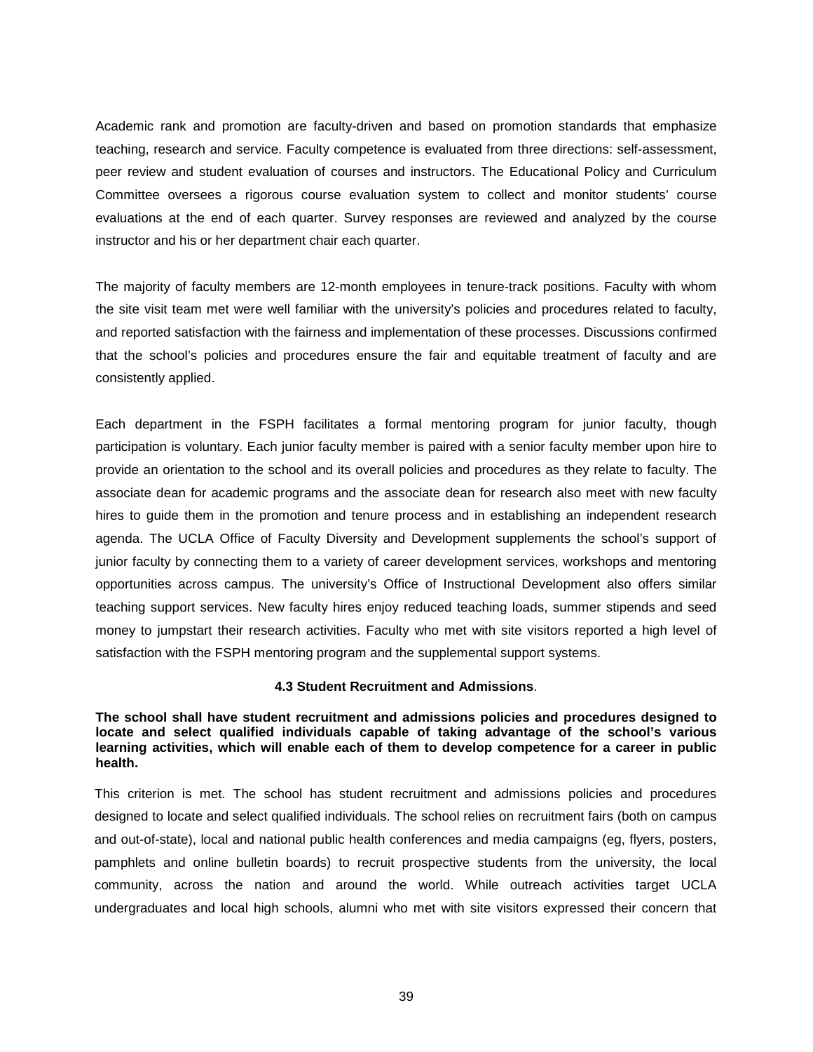Academic rank and promotion are faculty-driven and based on promotion standards that emphasize teaching, research and service. Faculty competence is evaluated from three directions: self-assessment, peer review and student evaluation of courses and instructors. The Educational Policy and Curriculum Committee oversees a rigorous course evaluation system to collect and monitor students' course evaluations at the end of each quarter. Survey responses are reviewed and analyzed by the course instructor and his or her department chair each quarter.

The majority of faculty members are 12-month employees in tenure-track positions. Faculty with whom the site visit team met were well familiar with the university's policies and procedures related to faculty, and reported satisfaction with the fairness and implementation of these processes. Discussions confirmed that the school's policies and procedures ensure the fair and equitable treatment of faculty and are consistently applied.

Each department in the FSPH facilitates a formal mentoring program for junior faculty, though participation is voluntary. Each junior faculty member is paired with a senior faculty member upon hire to provide an orientation to the school and its overall policies and procedures as they relate to faculty. The associate dean for academic programs and the associate dean for research also meet with new faculty hires to guide them in the promotion and tenure process and in establishing an independent research agenda. The UCLA Office of Faculty Diversity and Development supplements the school's support of junior faculty by connecting them to a variety of career development services, workshops and mentoring opportunities across campus. The university's Office of Instructional Development also offers similar teaching support services. New faculty hires enjoy reduced teaching loads, summer stipends and seed money to jumpstart their research activities. Faculty who met with site visitors reported a high level of satisfaction with the FSPH mentoring program and the supplemental support systems.

## **4.3 Student Recruitment and Admissions**.

<span id="page-40-0"></span>**The school shall have student recruitment and admissions policies and procedures designed to locate and select qualified individuals capable of taking advantage of the school's various learning activities, which will enable each of them to develop competence for a career in public health.**

This criterion is met. The school has student recruitment and admissions policies and procedures designed to locate and select qualified individuals. The school relies on recruitment fairs (both on campus and out-of-state), local and national public health conferences and media campaigns (eg, flyers, posters, pamphlets and online bulletin boards) to recruit prospective students from the university, the local community, across the nation and around the world. While outreach activities target UCLA undergraduates and local high schools, alumni who met with site visitors expressed their concern that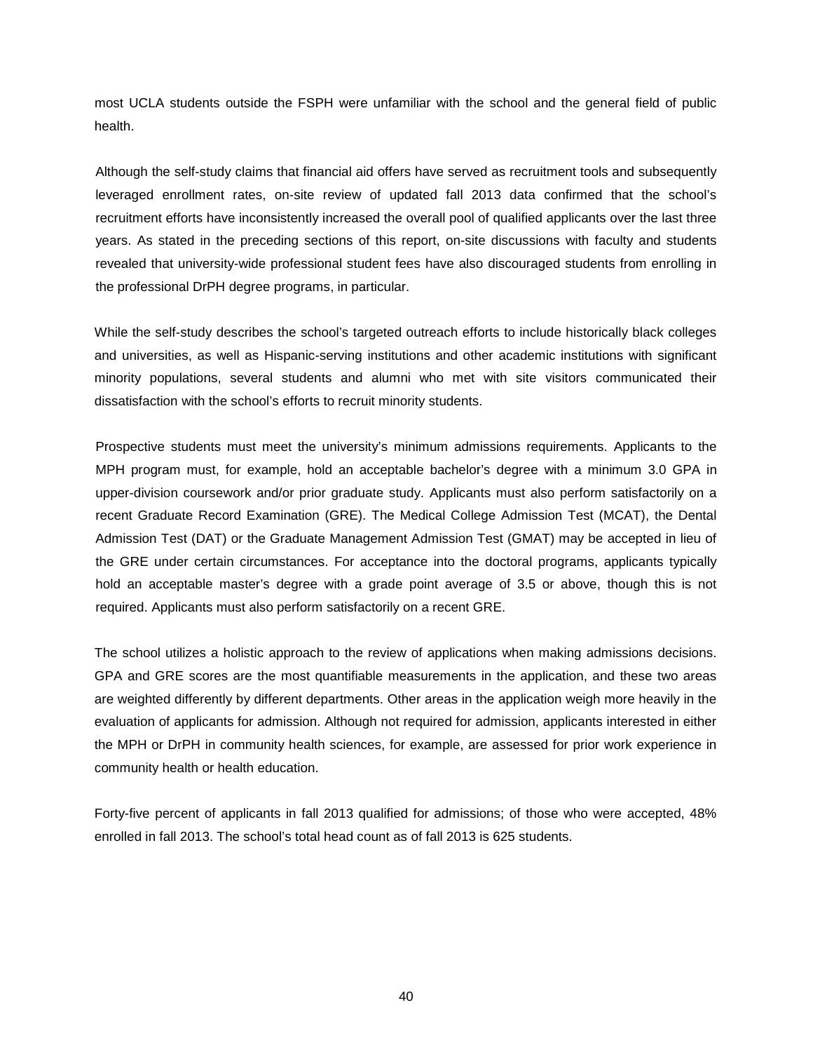most UCLA students outside the FSPH were unfamiliar with the school and the general field of public health.

Although the self-study claims that financial aid offers have served as recruitment tools and subsequently leveraged enrollment rates, on-site review of updated fall 2013 data confirmed that the school's recruitment efforts have inconsistently increased the overall pool of qualified applicants over the last three years. As stated in the preceding sections of this report, on-site discussions with faculty and students revealed that university-wide professional student fees have also discouraged students from enrolling in the professional DrPH degree programs, in particular.

While the self-study describes the school's targeted outreach efforts to include historically black colleges and universities, as well as Hispanic-serving institutions and other academic institutions with significant minority populations, several students and alumni who met with site visitors communicated their dissatisfaction with the school's efforts to recruit minority students.

Prospective students must meet the university's minimum admissions requirements. Applicants to the MPH program must, for example, hold an acceptable bachelor's degree with a minimum 3.0 GPA in upper-division coursework and/or prior graduate study. Applicants must also perform satisfactorily on a recent Graduate Record Examination (GRE). The Medical College Admission Test (MCAT), the Dental Admission Test (DAT) or the Graduate Management Admission Test (GMAT) may be accepted in lieu of the GRE under certain circumstances. For acceptance into the doctoral programs, applicants typically hold an acceptable master's degree with a grade point average of 3.5 or above, though this is not required. Applicants must also perform satisfactorily on a recent GRE.

The school utilizes a holistic approach to the review of applications when making admissions decisions. GPA and GRE scores are the most quantifiable measurements in the application, and these two areas are weighted differently by different departments. Other areas in the application weigh more heavily in the evaluation of applicants for admission. Although not required for admission, applicants interested in either the MPH or DrPH in community health sciences, for example, are assessed for prior work experience in community health or health education.

Forty-five percent of applicants in fall 2013 qualified for admissions; of those who were accepted, 48% enrolled in fall 2013. The school's total head count as of fall 2013 is 625 students.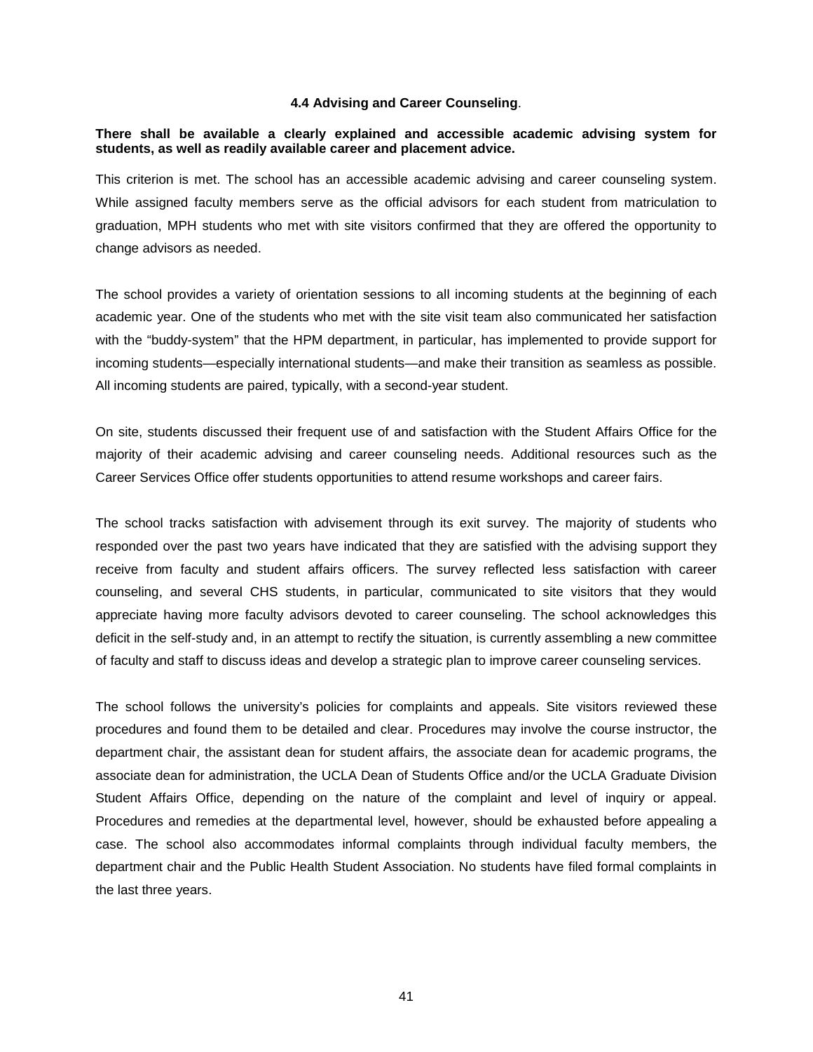### **4.4 Advising and Career Counseling**.

### <span id="page-42-0"></span>**There shall be available a clearly explained and accessible academic advising system for students, as well as readily available career and placement advice.**

This criterion is met. The school has an accessible academic advising and career counseling system. While assigned faculty members serve as the official advisors for each student from matriculation to graduation, MPH students who met with site visitors confirmed that they are offered the opportunity to change advisors as needed.

The school provides a variety of orientation sessions to all incoming students at the beginning of each academic year. One of the students who met with the site visit team also communicated her satisfaction with the "buddy-system" that the HPM department, in particular, has implemented to provide support for incoming students—especially international students—and make their transition as seamless as possible. All incoming students are paired, typically, with a second-year student.

On site, students discussed their frequent use of and satisfaction with the Student Affairs Office for the majority of their academic advising and career counseling needs. Additional resources such as the Career Services Office offer students opportunities to attend resume workshops and career fairs.

The school tracks satisfaction with advisement through its exit survey. The majority of students who responded over the past two years have indicated that they are satisfied with the advising support they receive from faculty and student affairs officers. The survey reflected less satisfaction with career counseling, and several CHS students, in particular, communicated to site visitors that they would appreciate having more faculty advisors devoted to career counseling. The school acknowledges this deficit in the self-study and, in an attempt to rectify the situation, is currently assembling a new committee of faculty and staff to discuss ideas and develop a strategic plan to improve career counseling services.

The school follows the university's policies for complaints and appeals. Site visitors reviewed these procedures and found them to be detailed and clear. Procedures may involve the course instructor, the department chair, the assistant dean for student affairs, the associate dean for academic programs, the associate dean for administration, the UCLA Dean of Students Office and/or the UCLA Graduate Division Student Affairs Office, depending on the nature of the complaint and level of inquiry or appeal. Procedures and remedies at the departmental level, however, should be exhausted before appealing a case. The school also accommodates informal complaints through individual faculty members, the department chair and the Public Health Student Association. No students have filed formal complaints in the last three years.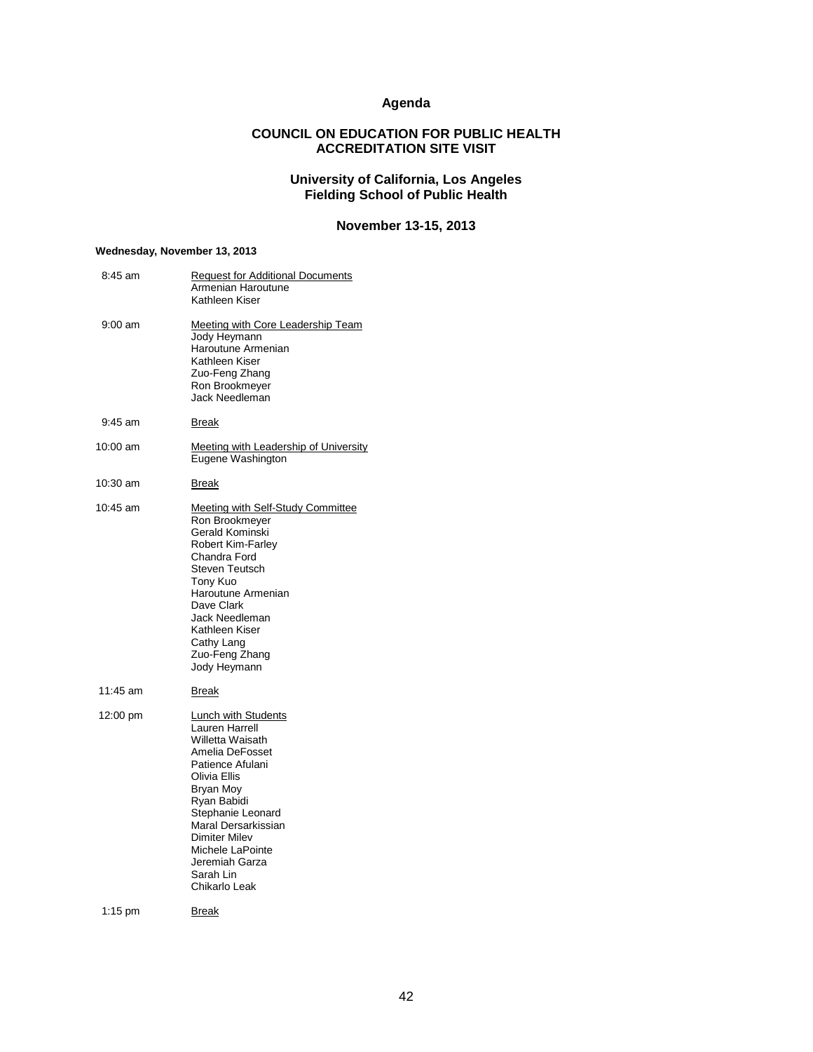## **Agenda**

## **COUNCIL ON EDUCATION FOR PUBLIC HEALTH ACCREDITATION SITE VISIT**

### **University of California, Los Angeles Fielding School of Public Health**

## **November 13-15, 2013**

### <span id="page-43-0"></span>**Wednesday, November 13, 2013**

| 8:45 am           | <b>Request for Additional Documents</b><br>Armenian Haroutune<br>Kathleen Kiser                                                                                                                                                                                                             |
|-------------------|---------------------------------------------------------------------------------------------------------------------------------------------------------------------------------------------------------------------------------------------------------------------------------------------|
| $9:00 \text{ am}$ | Meeting with Core Leadership Team<br>Jody Heymann<br>Haroutune Armenian<br>Kathleen Kiser<br>Zuo-Feng Zhang<br>Ron Brookmeyer<br>Jack Needleman                                                                                                                                             |
| $9:45$ am         | Break                                                                                                                                                                                                                                                                                       |
| 10:00 am          | <u>Meeting with Leadership of University</u><br>Eugene Washington                                                                                                                                                                                                                           |
| 10:30 am          | Break                                                                                                                                                                                                                                                                                       |
| 10:45 am          | Meeting with Self-Study Committee<br>Ron Brookmeyer<br>Gerald Kominski<br><b>Robert Kim-Farley</b><br>Chandra Ford<br>Steven Teutsch<br>Tony Kuo<br>Haroutune Armenian<br>Dave Clark<br>Jack Needleman<br>Kathleen Kiser<br>Cathy Lang<br>Zuo-Feng Zhang<br>Jody Heymann                    |
| 11:45 am          | Break                                                                                                                                                                                                                                                                                       |
| 12:00 pm          | <b>Lunch with Students</b><br>Lauren Harrell<br>Willetta Waisath<br>Amelia DeFosset<br>Patience Afulani<br>Olivia Ellis<br>Bryan Moy<br>Ryan Babidi<br>Stephanie Leonard<br>Maral Dersarkissian<br><b>Dimiter Milev</b><br>Michele LaPointe<br>Jeremiah Garza<br>Sarah Lin<br>Chikarlo Leak |
| $1:15$ pm         | <b>Break</b>                                                                                                                                                                                                                                                                                |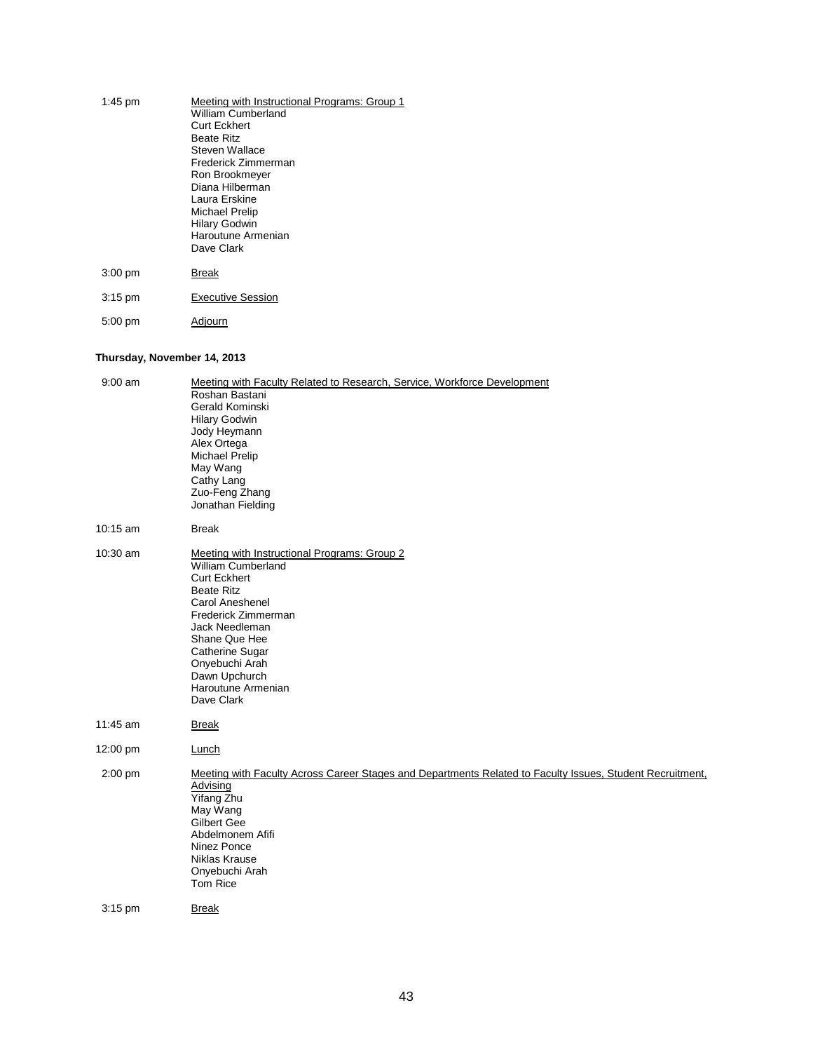| $1:45$ pm | Meeting with Instructional Programs: Group 1<br>William Cumberland<br><b>Curt Eckhert</b><br><b>Beate Ritz</b><br>Steven Wallace<br>Frederick Zimmerman<br>Ron Brookmeyer<br>Diana Hilberman<br>Laura Erskine<br>Michael Prelip<br><b>Hilary Godwin</b><br>Haroutune Armenian<br>Dave Clark |
|-----------|---------------------------------------------------------------------------------------------------------------------------------------------------------------------------------------------------------------------------------------------------------------------------------------------|
| $3:00$ pm | <b>Break</b>                                                                                                                                                                                                                                                                                |
| $3:15$ pm | <b>Executive Session</b>                                                                                                                                                                                                                                                                    |
| $5:00$ pm | Adjourn                                                                                                                                                                                                                                                                                     |

# **Thursday, November 14, 2013**

| $9:00$ am | Meeting with Faculty Related to Research, Service, Workforce Development<br>Roshan Bastani<br>Gerald Kominski<br><b>Hilary Godwin</b><br>Jody Heymann<br>Alex Ortega<br><b>Michael Prelip</b><br>May Wang<br>Cathy Lang<br>Zuo-Feng Zhang<br>Jonathan Fielding                                      |
|-----------|-----------------------------------------------------------------------------------------------------------------------------------------------------------------------------------------------------------------------------------------------------------------------------------------------------|
| 10:15 am  | <b>Break</b>                                                                                                                                                                                                                                                                                        |
| 10:30 am  | Meeting with Instructional Programs: Group 2<br><b>William Cumberland</b><br><b>Curt Eckhert</b><br><b>Beate Ritz</b><br><b>Carol Aneshenel</b><br>Frederick Zimmerman<br>Jack Needleman<br>Shane Que Hee<br>Catherine Sugar<br>Onyebuchi Arah<br>Dawn Upchurch<br>Haroutune Armenian<br>Dave Clark |
| 11:45 am  | <b>Break</b>                                                                                                                                                                                                                                                                                        |
| 12:00 pm  | Lunch                                                                                                                                                                                                                                                                                               |
| 2:00 pm   | Meeting with Faculty Across Career Stages and Departments Related to Faculty Issues, Student Recruitment,<br>Advising<br>Yifang Zhu<br>May Wang<br>Gilbert Gee<br>Abdelmonem Afifi<br>Ninez Ponce<br>Niklas Krause<br>Onyebuchi Arah<br>Tom Rice                                                    |
| $3:15$ pm | <b>Break</b>                                                                                                                                                                                                                                                                                        |
|           |                                                                                                                                                                                                                                                                                                     |